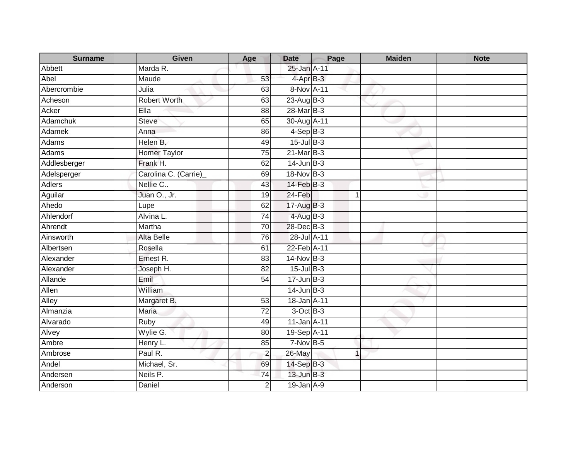| <b>Surname</b>  | <b>Given</b>          | Age             | <b>Date</b>     | Page                 | <b>Maiden</b> | <b>Note</b> |
|-----------------|-----------------------|-----------------|-----------------|----------------------|---------------|-------------|
| Abbett          | Marda R.              |                 | 25-Jan A-11     |                      |               |             |
| Abel            | Maude                 | 53              | 4-Apr B-3       |                      |               |             |
| Abercrombie     | Julia                 | 63              | 8-Nov A-11      |                      |               |             |
| Acheson         | <b>Robert Worth</b>   | 63              | $23$ -Aug $B-3$ |                      |               |             |
| Acker           | Ella                  | 88              | 28-Mar B-3      |                      |               |             |
| <b>Adamchuk</b> | <b>Steve</b>          | 65              | 30-Aug A-11     |                      |               |             |
| Adamek          | Anna                  | 86              | $4-SepB-3$      |                      |               |             |
| Adams           | Helen B.              | 49              | $15$ -Jul B-3   |                      |               |             |
| Adams           | <b>Homer Taylor</b>   | $\overline{75}$ | $21$ -Mar $B-3$ |                      |               |             |
| Addlesberger    | Frank H.              | 62              | $14$ -Jun $B-3$ |                      |               |             |
| Adelsperger     | Carolina C. (Carrie)_ | 69              | 18-Nov B-3      |                      |               |             |
| <b>Adlers</b>   | Nellie C              | 43              | 14-Feb B-3      |                      |               |             |
| Aguilar         | Juan O., Jr.          | 19              | 24-Feb          | $\blacktriangleleft$ |               |             |
| Ahedo           | Lupe                  | 62              | 17-Aug B-3      |                      |               |             |
| Ahlendorf       | Alvina L.             | 74              | $4-AugB-3$      |                      |               |             |
| Ahrendt         | Martha                | $\overline{70}$ | 28-Dec B-3      |                      |               |             |
| Ainsworth       | <b>Alta Belle</b>     | 76              | 28-Jul A-11     |                      |               |             |
| Albertsen       | Rosella               | 61              | 22-Feb A-11     |                      |               |             |
| Alexander       | Ernest R.             | 83              | 14-Nov B-3      |                      |               |             |
| Alexander       | Joseph H.             | $\overline{82}$ | $15$ -Jul $B-3$ |                      |               |             |
| Allande         | $E$ mil               | 54              | $17 - Jun$ B-3  |                      |               |             |
| Allen           | William               |                 | $14$ -Jun $B-3$ |                      |               |             |
| Alley           | Margaret B.           | 53              | 18-Jan A-11     |                      |               |             |
| Almanzia        | Maria                 | 72              | 3-Oct B-3       |                      |               |             |
| Alvarado        | Ruby                  | 49              | 11-Jan A-11     |                      |               |             |
| Alvey           | Wylie G.              | $\overline{80}$ | 19-Sep A-11     |                      |               |             |
| Ambre           | Henry L.              | 85              | $7-Nov$ B-5     |                      |               |             |
| Ambrose         | Paul R.               | $\overline{c}$  | 26-May          | $\mathbf 1$          |               |             |
| Andel           | Michael, Sr.          | 69              | 14-Sep B-3      |                      |               |             |
| Andersen        | Neils P.              | 74              | 13-Jun B-3      |                      |               |             |
| Anderson        | Daniel                | $\overline{2}$  | 19-Jan A-9      |                      |               |             |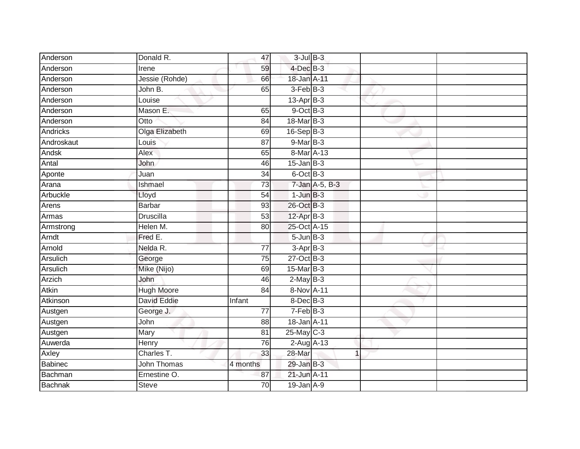| Anderson       | Donald R.          | 47              | $3$ -Jul $B-3$  |                |  |
|----------------|--------------------|-----------------|-----------------|----------------|--|
| Anderson       | Irene              | 59              | 4-Dec B-3       |                |  |
| Anderson       | Jessie (Rohde)     | 66              | 18-Jan A-11     |                |  |
| Anderson       | John B.            | 65              | 3-Feb B-3       |                |  |
| Anderson       | Louise             |                 | $13$ -Apr $B-3$ |                |  |
| Anderson       | Mason E.           | 65              | $9$ -Oct $B$ -3 |                |  |
| Anderson       | Otto               | 84              | 18-Mar B-3      |                |  |
| Andricks       | Olga Elizabeth     | 69              | $16-Sep$ B-3    |                |  |
| Androskaut     | Louis              | 87              | $9$ -Mar $B-3$  |                |  |
| Andsk          | Alex               | 65              | 8-Mar A-13      |                |  |
| Antal          | John               | 46              | $15$ -Jan $B-3$ |                |  |
| Aponte         | Juan               | 34              | 6-Oct B-3       |                |  |
| Arana          | Ishmael            | $\overline{73}$ |                 | 7-Jan A-5, B-3 |  |
| Arbuckle       | Lloyd              | 54              | $1$ -Jun $B-3$  |                |  |
| Arens          | <b>Barbar</b>      | 93              | 26-Oct B-3      |                |  |
| Armas          | Druscilla          | 53              | $12$ -Apr $B-3$ |                |  |
| Armstrong      | Helen M.           | 80              | 25-Oct A-15     |                |  |
| Arndt          | Fred E.            |                 | $5 - Jun$ $B-3$ |                |  |
| Arnold         | Nelda R.           | 77              | $3-Apr$ $B-3$   |                |  |
| Arsulich       | George             | 75              | $27$ -Oct B-3   |                |  |
| Arsulich       | Mike (Nijo)        | 69              | $15$ -Mar $B-3$ |                |  |
| Arzich         | John               | 46              | $2$ -May $B-3$  |                |  |
| Atkin          | <b>Hugh Moore</b>  | 84              | 8-Nov A-11      |                |  |
| Atkinson       | <b>David Eddie</b> | Infant          | $8$ -Dec $B$ -3 |                |  |
| Austgen        | George J.          | 77              | $7-Feb B-3$     |                |  |
| Austgen        | John               | 88              | 18-Jan A-11     |                |  |
| Austgen        | Mary               | 81              | 25-May C-3      |                |  |
| Auwerda        | Henry              | 76              | $2$ -Aug $A-13$ |                |  |
| Axley          | Charles T.         | 33              | $28 - Mar$      | 1              |  |
| <b>Babinec</b> | John Thomas        | 4 months        | 29-Jan B-3      |                |  |
| Bachman        | Ernestine O.       | 87              | 21-Jun A-11     |                |  |
| <b>Bachnak</b> | <b>Steve</b>       | $\overline{70}$ | $19$ -Jan $A-9$ |                |  |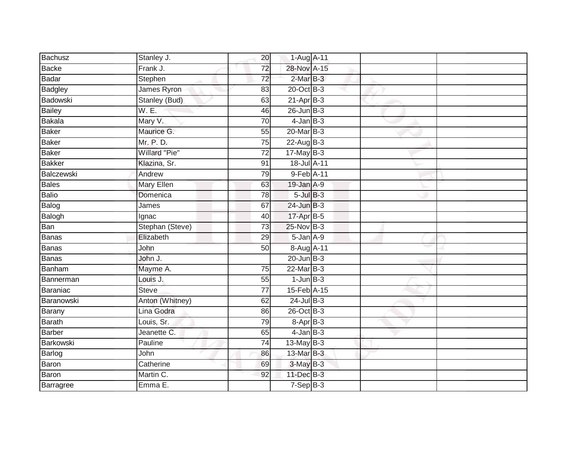| Bachusz         | Stanley J.      | 20              | 1-Aug A-11      |  |  |
|-----------------|-----------------|-----------------|-----------------|--|--|
| Backe           | Frank J.        | 72              | 28-Nov A-15     |  |  |
| Badar           | Stephen         | $\overline{72}$ | $2-MarB-3$      |  |  |
| Badgley         | James Ryron     | 83              | 20-Oct B-3      |  |  |
| <b>Badowski</b> | Stanley (Bud)   | 63              | $21-AprB-3$     |  |  |
| <b>Bailey</b>   | W. E.           | 46              | $26$ -Jun $B-3$ |  |  |
| <b>Bakala</b>   | Mary V.         | $\overline{70}$ | $4$ -Jan $B-3$  |  |  |
| Baker           | Maurice G.      | 55              | $20$ -Mar $B-3$ |  |  |
| Baker           | Mr. P. D.       | 75              | $22$ -Aug B-3   |  |  |
| Baker           | Willard "Pie"   | $\overline{72}$ | $17$ -May B-3   |  |  |
| <b>Bakker</b>   | Klazina, Sr.    | 91              | 18-Jul A-11     |  |  |
| Balczewski      | Andrew          | 79              | 9-Feb A-11      |  |  |
| <b>Bales</b>    | Mary Ellen      | 63              | $19$ -Jan $A-9$ |  |  |
| Balio           | Domenica        | 78              | $5$ -Jul $B-3$  |  |  |
| Balog           | James           | 67              | $24$ -Jun $B-3$ |  |  |
| Balogh          | Ignac           | 40              | 17-Apr B-5      |  |  |
| Ban             | Stephan (Steve) | $\overline{73}$ | $25$ -Nov $B-3$ |  |  |
| Banas           | Elizabeth       | 29              | 5-Jan A-9       |  |  |
| <b>Banas</b>    | John            | 50              | 8-Aug A-11      |  |  |
| Banas           | John J.         |                 | $20$ -Jun $B-3$ |  |  |
| Banham          | Mayme A.        | 75              | 22-Mar B-3      |  |  |
| Bannerman       | Louis J.        | 55              | $1$ -Jun $B-3$  |  |  |
| Baraniac        | <b>Steve</b>    | 77              | 15-Feb A-15     |  |  |
| Baranowski      | Anton (Whitney) | 62              | $24$ -Jul $B-3$ |  |  |
| Barany          | Lina Godra      | 86              | 26-Oct B-3      |  |  |
| Barath          | Louis, Sr.      | 79              | 8-Apr B-3       |  |  |
| Barber          | Jeanette C.     | 65              | $4$ -Jan $B-3$  |  |  |
| Barkowski       | Pauline         | 74              | 13-May $B-3$    |  |  |
| Barlog          | John            | 86              | 13-Mar B-3      |  |  |
| Baron           | Catherine       | 69              | $3-MayB-3$      |  |  |
| Baron           | Martin C.       | 92              | 11-Dec B-3      |  |  |
| Barragree       | Emma E.         |                 | $7-SepB-3$      |  |  |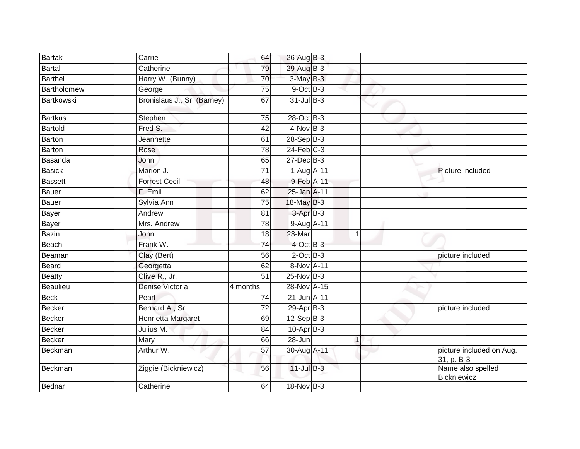| <b>Bartak</b>  | Carrie                      | 64              | 26-Aug B-3      |              |                                        |
|----------------|-----------------------------|-----------------|-----------------|--------------|----------------------------------------|
| <b>Bartal</b>  | Catherine                   | 79              | 29-Aug B-3      |              |                                        |
| <b>Barthel</b> | Harry W. (Bunny)            | 70              | 3-May B-3       |              |                                        |
| Bartholomew    | George                      | 75              | $9$ -Oct $B-3$  |              |                                        |
| Bartkowski     | Bronislaus J., Sr. (Barney) | 67              | $31$ -Jul B-3   |              |                                        |
| <b>Bartkus</b> | Stephen                     | 75              | 28-Oct B-3      |              |                                        |
| Bartold        | Fred S.                     | 42              | $4$ -Nov B-3    |              |                                        |
| <b>Barton</b>  | Jeannette                   | 61              | 28-Sep B-3      |              |                                        |
| <b>Barton</b>  | Rose                        | 78              | $24$ -Feb $C-3$ |              |                                        |
| Basanda        | John                        | 65              | 27-Dec B-3      |              |                                        |
| <b>Basick</b>  | Marion J.                   | 71              | 1-Aug A-11      |              | Picture included                       |
| <b>Bassett</b> | <b>Forrest Cecil</b>        | 48              | 9-Feb A-11      |              |                                        |
| Bauer          | F. Emil                     | 62              | 25-Jan A-11     |              |                                        |
| Bauer          | Sylvia Ann                  | 75              | $18$ -May B-3   |              |                                        |
| Bayer          | Andrew                      | 81              | 3-Apr B-3       |              |                                        |
| <b>Bayer</b>   | Mrs. Andrew                 | 78              | 9-Aug A-11      |              |                                        |
| <b>Bazin</b>   | John                        | 18              | 28-Mar          | 1            |                                        |
| Beach          | Frank W.                    | 74              | $4$ -Oct B-3    |              |                                        |
| Beaman         | Clay (Bert)                 | 56              | $2$ -Oct $B-3$  |              | picture included                       |
| Beard          | Georgetta                   | 62              | 8-Nov A-11      |              |                                        |
| <b>Beatty</b>  | Clive R., Jr.               | $\overline{51}$ | $25$ -Nov $B-3$ |              |                                        |
| Beaulieu       | Denise Victoria             | 4 months        | 28-Nov A-15     |              |                                        |
| <b>Beck</b>    | Pearl                       | 74              | 21-Jun A-11     |              |                                        |
| <b>Becker</b>  | Bernard A., Sr.             | $\overline{72}$ | $29-Apr$ B-3    |              | picture included                       |
| <b>Becker</b>  | Henrietta Margaret          | 69              | $12-SepB-3$     |              |                                        |
| <b>Becker</b>  | Julius M.                   | 84              | $10$ -Apr $B-3$ |              |                                        |
| <b>Becker</b>  | Mary                        | 66              | $28 - Jun$      | $\mathbf{1}$ |                                        |
| Beckman        | Arthur W.                   | $\overline{57}$ | 30-Aug A-11     |              | picture included on Aug.<br>31, p. B-3 |
| Beckman        | Ziggie (Bickniewicz)        | 56              | 11-Jul B-3      |              | Name also spelled<br>Bickniewicz       |
| Bednar         | Catherine                   | 64              | 18-Nov B-3      |              |                                        |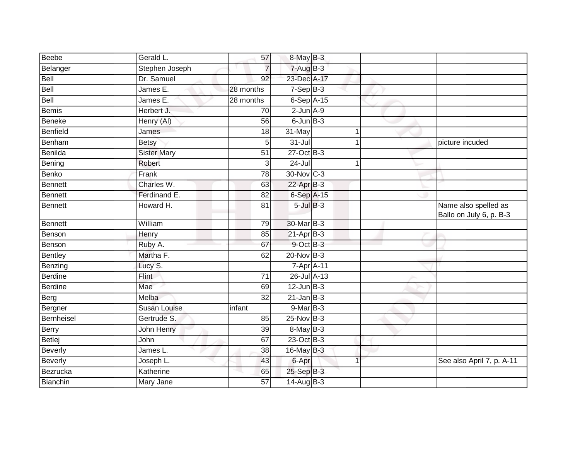| <b>Beebe</b> | Gerald L.          | 57              | 8-May B-3       |                      |                                                 |
|--------------|--------------------|-----------------|-----------------|----------------------|-------------------------------------------------|
| Belanger     | Stephen Joseph     | $\overline{7}$  | $7 - Aug$ B-3   |                      |                                                 |
| Bell         | Dr. Samuel         | 92              | 23-Dec A-17     |                      |                                                 |
| Bell         | James E.           | 28 months       | $7-Sep$ B-3     |                      |                                                 |
| Bell         | James E.           | 28 months       | 6-Sep A-15      |                      |                                                 |
| <b>Bemis</b> | Herbert J.         | 70              | $2$ -Jun $A-9$  |                      |                                                 |
| Beneke       | Henry (AI)         | 56              | $6$ -Jun $B-3$  |                      |                                                 |
| Benfield     | James              | 18              | 31-May          | 1                    |                                                 |
| Benham       | <b>Betsy</b>       | 5               | $31 -$ Jul      | 1                    | picture incuded                                 |
| Benilda      | <b>Sister Mary</b> | $\overline{51}$ | $27$ -Oct B-3   |                      |                                                 |
| Bening       | Robert             | 3               | $24 -$ Jul      | $\blacktriangleleft$ |                                                 |
| Benko        | Frank              | 78              | 30-Nov C-3      |                      |                                                 |
| Bennett      | Charles W.         | 63              | $22$ -Apr $B-3$ |                      |                                                 |
| Bennett      | Ferdinand E.       | 82              | 6-Sep A-15      |                      |                                                 |
| Bennett      | Howard H.          | 81              | $5$ -Jul $B-3$  |                      | Name also spelled as<br>Ballo on July 6, p. B-3 |
| Bennett      | William            | 79              | 30-Mar B-3      |                      |                                                 |
| Benson       | Henry              | 85              | $21-Apr$ B-3    |                      |                                                 |
| Benson       | Ruby A.            | 67              | 9-Oct B-3       |                      |                                                 |
| Bentley      | Martha F.          | 62              | $20$ -Nov B-3   |                      |                                                 |
| Benzing      | Lucy S.            |                 | 7-Apr A-11      |                      |                                                 |
| Berdine      | Flint              | 71              | 26-Jul A-13     |                      |                                                 |
| Berdine      | Mae                | 69              | $12$ -Jun $B-3$ |                      |                                                 |
| Berg         | Melba              | 32              | $21$ -Jan $B-3$ |                      |                                                 |
| Bergner      | Susan Louise       | infant          | $9-Mar$ B-3     |                      |                                                 |
| Bernheisel   | Gertrude S.        | 85              | 25-Nov B-3      |                      |                                                 |
| Berry        | John Henry         | 39              | $8$ -May $B-3$  |                      |                                                 |
| Betlej       | John               | 67              | 23-Oct B-3      |                      |                                                 |
| Beverly      | James L.           | 38              | 16-May B-3      |                      |                                                 |
| Beverly      | Joseph L.          | 43              | 6-Apr           |                      | See also April 7, p. A-11                       |
| Bezrucka     | Katherine          | 65              | 25-Sep B-3      |                      |                                                 |
| Bianchin     | Mary Jane          | 57              | $14$ -Aug $B-3$ |                      |                                                 |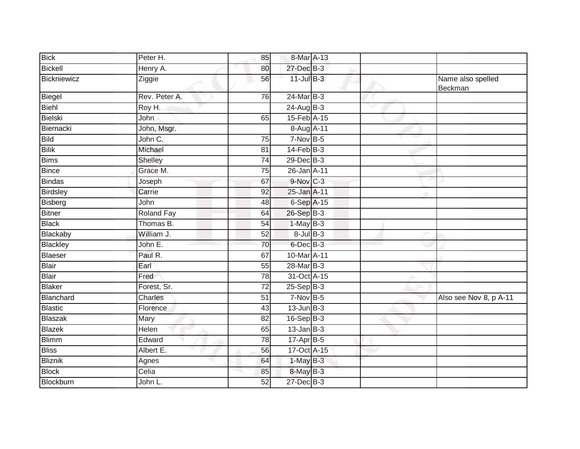| <b>Bick</b>    | Peter H.          | 85              | 8-Mar A-13      |   |                              |
|----------------|-------------------|-----------------|-----------------|---|------------------------------|
| <b>Bickell</b> | Henry A.          | 80              | 27-Dec B-3      |   |                              |
| Bickniewicz    | Ziggie            | 56              | $11$ -Jul $B-3$ |   | Name also spelled<br>Beckman |
| Biegel         | Rev. Peter A.     | 76              | $24$ -Mar $B-3$ |   |                              |
| Biehl          | Roy H.            |                 | 24-Aug B-3      | ▽ |                              |
| Bielski        | John              | 65              | 15-Feb A-15     |   |                              |
| Biernacki      | John, Msgr.       |                 | 8-Aug A-11      |   |                              |
| <b>Bild</b>    | John C.           | $\overline{75}$ | $7-Nov$ B-5     |   |                              |
| <b>Bilik</b>   | Michael           | 81              | $14$ -Feb $B-3$ |   |                              |
| <b>Bims</b>    | Shelley           | 74              | 29-Dec B-3      |   |                              |
| <b>Bince</b>   | Grace M.          | 75              | 26-Jan A-11     |   |                              |
| Bindas         | Joseph            | 67              | 9-Nov C-3       |   |                              |
| Birdsley       | Carrie            | $\overline{92}$ | 25-Jan A-11     |   |                              |
| Bisberg        | John              | 48              | 6-Sep A-15      |   |                              |
| <b>Bitner</b>  | <b>Roland Fay</b> | 64              | 26-Sep B-3      |   |                              |
| <b>Black</b>   | Thomas B.         | 54              | $1-May$ B-3     |   |                              |
| Blackaby       | William J.        | 52              | $8$ -Jul $B-3$  |   |                              |
| Blackley       | John E.           | 70              | $6$ -Dec $B$ -3 |   |                              |
| Blaeser        | Paul R.           | 67              | 10-Mar A-11     |   |                              |
| Blair          | Earl              | 55              | 28-Mar B-3      |   |                              |
| <b>Blair</b>   | Fred              | 78              | 31-Oct A-15     |   |                              |
| <b>Blaker</b>  | Forest, Sr.       | $\overline{72}$ | $25-SepB-3$     |   |                              |
| Blanchard      | Charles           | 51              | $7-Nov$ B-5     |   | Also see Nov 8, p A-11       |
| Blastic        | Florence          | 43              | $13$ -Jun $B-3$ |   |                              |
| <b>Blaszak</b> | Mary              | 82              | $16-Sep$ B-3    |   |                              |
| Blazek         | Helen             | 65              | $13$ -Jan $B-3$ |   |                              |
| <b>Blimm</b>   | Edward            | 78              | $17-Apr$ B-5    |   |                              |
| <b>Bliss</b>   | Albert E.         | 56              | 17-Oct A-15     |   |                              |
| <b>Bliznik</b> | Agnes             | 64              | $1$ -May $B-3$  |   |                              |
| <b>Block</b>   | Celia             | 85              | 8-May B-3       |   |                              |
| Blockburn      | John L.           | 52              | 27-Dec B-3      |   |                              |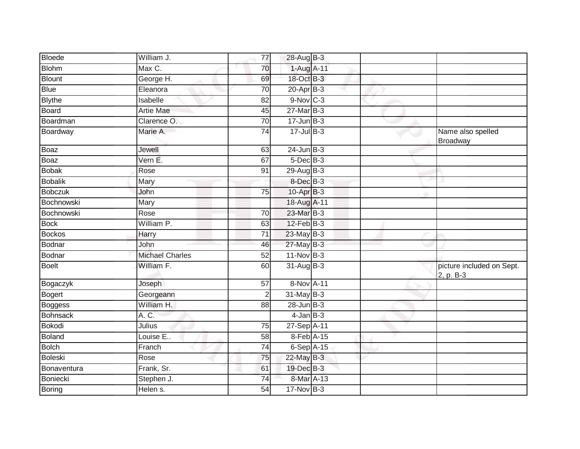| <b>Bloede</b>  | William J.             | 77              | 28-Aug B-3             |  |                                        |
|----------------|------------------------|-----------------|------------------------|--|----------------------------------------|
| <b>Blohm</b>   | Max C.                 | 70              | 1-Aug A-11             |  |                                        |
| <b>Blount</b>  | George H.              | 69              | 18-Oct B-3             |  |                                        |
| <b>Blue</b>    | Eleanora               | 70              | 20-Apr B-3             |  |                                        |
| <b>Blythe</b>  | Isabelle               | $\overline{82}$ | $9-Nov$ <sub>C-3</sub> |  |                                        |
| Board          | <b>Artie Mae</b>       | 45              | $27$ -Mar $B-3$        |  |                                        |
| Boardman       | Clarence O.            | 70              | $17 - Jun$ $B-3$       |  |                                        |
| Boardway       | Marie A.               | $\overline{74}$ | $17 -$ Jul $B - 3$     |  | Name also spelled<br>Broadway          |
| Boaz           | Jewell                 | 63              | $24$ -Jun $B-3$        |  |                                        |
| Boaz           | Vern E.                | 67              | $5$ -Dec $B$ -3        |  |                                        |
| <b>Bobak</b>   | Rose                   | 91              | 29-Aug B-3             |  |                                        |
| Bobalik        | Mary                   |                 | 8-Dec B-3              |  |                                        |
| <b>Bobczuk</b> | John                   | 75              | 10-Apr B-3             |  |                                        |
| Bochnowski     | Mary                   |                 | 18-Aug A-11            |  |                                        |
| Bochnowski     | Rose                   | 70              | 23-Mar B-3             |  |                                        |
| <b>Bock</b>    | William P.             | 63              | $12$ -Feb $B-3$        |  |                                        |
| <b>Bockos</b>  | <b>Harry</b>           | $\overline{71}$ | 23-May B-3             |  |                                        |
| Bodnar         | John                   | 46              | $27$ -May B-3          |  |                                        |
| Bodnar         | <b>Michael Charles</b> | 52              | 11-Nov B-3             |  |                                        |
| <b>Boelt</b>   | William F.             | 60              | 31-Aug B-3             |  | picture included on Sept.<br>2, p. B-3 |
| Bogaczyk       | Joseph                 | 57              | 8-Nov A-11             |  |                                        |
| Bogert         | Georgeann              | $\overline{2}$  | $31$ -May B-3          |  |                                        |
| Boggess        | William H.             | 88              | $28$ -Jun $B-3$        |  |                                        |
| Bohnsack       | A. C.                  |                 | $4$ -Jan $B-3$         |  |                                        |
| <b>Bokodi</b>  | Julius                 | 75              | 27-Sep A-11            |  |                                        |
| Boland         | Louise E               | 58              | 8-Feb A-15             |  |                                        |
| <b>Bolch</b>   | Franch                 | 74              | 6-Sep A-15             |  |                                        |
| <b>Boleski</b> | Rose                   | 75              | 22-May B-3             |  |                                        |
| Bonaventura    | Frank, Sr.             | 61              | 19-Dec B-3             |  |                                        |
| Boniecki       | Stephen J.             | $\overline{74}$ | 8-Mar A-13             |  |                                        |
| Boring         | Helen s.               | 54              | 17-Nov B-3             |  |                                        |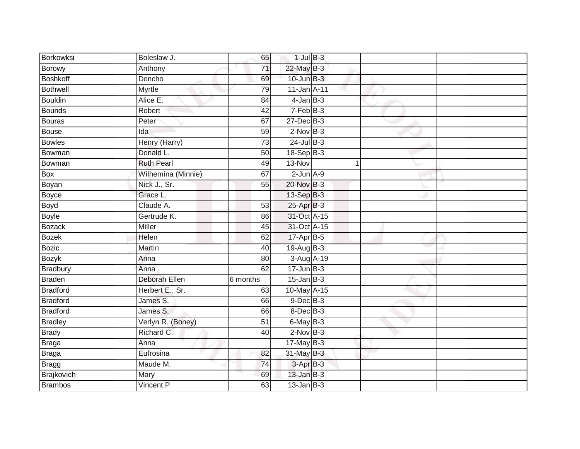| Borkowksi       | Boleslaw J.          | 65              | $1$ -Jul $B-3$              |   |  |
|-----------------|----------------------|-----------------|-----------------------------|---|--|
| Borowy          | Anthony              | 71              | 22-May B-3                  |   |  |
| <b>Boshkoff</b> | Doncho               | 69              | $10$ -Jun $B-3$             |   |  |
| <b>Bothwell</b> | Myrtle               | 79              | $11$ -Jan $A$ -11           |   |  |
| <b>Bouldin</b>  | Alice E.             | $\overline{84}$ | $4$ -Jan $B-3$              |   |  |
| <b>Bounds</b>   | Robert               | 42              | $7-FebB-3$                  |   |  |
| <b>Bouras</b>   | Peter                | 67              | $27 - Dec$ B-3              |   |  |
| <b>Bouse</b>    | Ida                  | 59              | $2$ -Nov $B-3$              |   |  |
| <b>Bowles</b>   | Henry (Harry)        | 73              | $24$ -Jul B-3               |   |  |
| Bowman          | Donald L.            | 50              | 18-Sep B-3                  |   |  |
| Bowman          | <b>Ruth Pearl</b>    | 49              | 13-Nov                      | 1 |  |
| Box             | Wilhemina (Minnie)   | 67              | $2$ -Jun $A-9$              |   |  |
| Boyan           | Nick J., Sr.         | 55              | 20-Nov B-3                  |   |  |
| Boyce           | Grace L.             |                 | 13-Sep B-3                  |   |  |
| <b>Boyd</b>     | Claude A.            | 53              | 25-Apr B-3                  |   |  |
| <b>Boyle</b>    | Gertrude K.          | 86              | 31-Oct A-15                 |   |  |
| <b>Bozack</b>   | <b>Miller</b>        | $\overline{45}$ | 31-Oct A-15                 |   |  |
| <b>Bozek</b>    | Helen                | 62              | 17-Apr B-5                  |   |  |
| <b>Bozic</b>    | Martin               | 40              | 19-Aug B-3                  |   |  |
| <b>Bozyk</b>    | Anna                 | 80              | 3-Aug A-19                  |   |  |
| <b>Bradbury</b> | Anna                 | 62              | $17 - Jun$ B-3              |   |  |
| <b>Braden</b>   | <b>Deborah Ellen</b> | 6 months        | $15$ -Jan $\overline{B}$ -3 |   |  |
| <b>Bradford</b> | Herbert E., Sr.      | 63              | 10-May A-15                 |   |  |
| <b>Bradford</b> | James S.             | 66              | $9$ -Dec $B$ -3             |   |  |
| <b>Bradford</b> | James S.             | 66              | 8-Dec B-3                   |   |  |
| <b>Bradley</b>  | Verlyn R. (Boney)    | 51              | $6$ -May $B-3$              |   |  |
| <b>Brady</b>    | Richard C.           | 40              | $2$ -Nov $B-3$              |   |  |
| <b>Braga</b>    | Anna                 |                 | $17$ -May B-3               |   |  |
| Braga           | Eufrosina            | 82              | 31-May B-3                  |   |  |
| Bragg           | Maude M.             | 74              | 3-Apr B-3                   |   |  |
| Brajkovich      | Mary                 | 69              | $13$ -Jan B-3               |   |  |
| <b>Brambos</b>  | Vincent P.           | 63              | $13$ -Jan B-3               |   |  |
|                 |                      |                 |                             |   |  |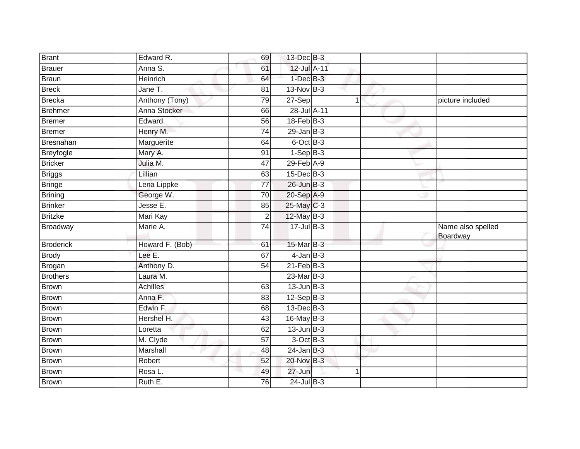| Brant                     | Edward R.             | 69              | 13-Dec B-3         |   |                   |
|---------------------------|-----------------------|-----------------|--------------------|---|-------------------|
| Brauer                    | Anna S.               | 61              | 12-Jul A-11        |   |                   |
| Braun                     | <b>Heinrich</b>       | 64              | $1$ -Dec $B-3$     |   |                   |
| <b>Breck</b>              | Jane $\overline{T}$ . | 81              | 13-Nov B-3         |   |                   |
| Brecka                    | Anthony (Tony)        | 79              | 27-Sep             | 1 | picture included  |
| Brehmer                   | Anna Stocker          | 66              | 28-Jul A-11        |   |                   |
| <b>Bremer</b>             | Edward                | 56              | $18$ -Feb $B-3$    |   |                   |
| Bremer                    | Henry M.              | 74              | $29$ -Jan B-3      |   |                   |
| Bresnahan                 | Marguerite            | 64              | 6-Oct B-3          |   |                   |
| Breyfogle                 | Mary A.               | 91              | $1-Sep$ B-3        |   |                   |
| <b>Bricker</b>            | Julia M.              | $\overline{47}$ | $29$ -Feb $A-9$    |   |                   |
| <b>Briggs</b>             | Lillian               | 63              | $15$ -Dec $B-3$    |   |                   |
| <b>Bringe</b>             | Lena Lippke           | 77              | $26$ -Jun $B-3$    |   |                   |
| Brining                   | George W.             | 70              | 20-Sep A-9         |   |                   |
| <b>Brinker</b>            | Jesse E.              | 85              | 25-May C-3         |   |                   |
| <b>Britzke</b>            | Mari Kay              | $\overline{2}$  | 12-May B-3         |   |                   |
|                           |                       |                 |                    |   |                   |
| Broadway                  | Marie A.              | 74              | $17 -$ Jul $B - 3$ |   | Name also spelled |
| <b>Broderick</b>          | Howard F. (Bob)       | 61              | 15-Mar B-3         |   | Boardway          |
| <b>Brody</b>              | Lee E.                | 67              | $4$ -Jan $B-3$     |   |                   |
|                           | Anthony D.            | 54              | $21$ -Feb $B-3$    |   |                   |
| Brogan<br><b>Brothers</b> | Laura M.              |                 | 23-Mar B-3         |   |                   |
| Brown                     | Achilles              | 63              | $13$ -Jun $B-3$    |   |                   |
| <b>Brown</b>              | Anna F.               | 83              | $12-Sep$ B-3       |   |                   |
| <b>Brown</b>              | Edwin F.              | 68              | 13-Dec B-3         |   |                   |
| <b>Brown</b>              | Hershel H.            | 43              | 16-May B-3         |   |                   |
| <b>Brown</b>              | Loretta               | 62              | $13$ -Jun $B-3$    |   |                   |
| Brown                     | M. Clyde              | 57              | $3$ -Oct $B-3$     |   |                   |
| Brown                     | Marshall              | 48              | $24$ -Jan $B-3$    |   |                   |
| <b>Brown</b>              | Robert                | 52              | 20-Nov B-3         |   |                   |
| Brown                     | Rosa L.               | 49              | 27-Jun             |   |                   |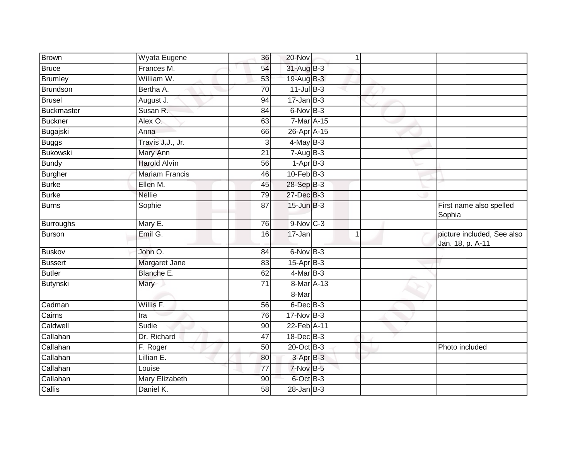| Frances M.<br>31-Aug B-3<br>54<br>William W.<br>19-Aug B-3<br>53<br>$11$ -Jul $B-3$<br>Bertha A.<br>70<br>August J.<br>$17 - Jan$ $B-3$<br>94<br>Susan R.<br>$6$ -Nov $B-3$<br>84<br>Alex O.<br>7-Mar A-15<br>63<br>26-Apr A-15<br>66<br>Anna<br>Travis J.J., Jr.<br>$4$ -May B-3<br>3<br>$7 - Aug$ B-3<br>Mary Ann<br>$\overline{21}$<br><b>Harold Alvin</b><br>56<br>$1-AprB-3$<br>$10$ -Feb $B-3$<br><b>Mariam Francis</b><br>46<br>Ellen M.<br>28-Sep B-3<br>45<br>27-Dec B-3<br><b>Nellie</b><br>$\overline{79}$<br>$15$ -Jun $B-3$<br>$\overline{87}$<br>Sophie<br>First name also spelled<br>Sophia<br>9-Nov C-3<br>Mary E.<br>76<br>Emil G.<br>17-Jan<br>picture included, See also<br>16<br>$\overline{1}$<br>Jan. 18, p. A-11<br>John O.<br>$6$ -Nov $B-3$<br>84<br>Margaret Jane<br>$15-Apr$ B-3<br>83<br>$4$ -Mar B-3<br>Blanche E.<br>62<br>8-Mar A-13<br>Mary<br>71<br>8-Mar<br>Willis F.<br>6-Dec B-3<br>56<br>17-Nov B-3<br>76<br>Ira<br>22-Feb A-11<br>Sudie<br>90<br>$18$ -Dec $B-3$<br>Dr. Richard<br>47<br>20-Oct B-3<br>50<br>F. Roger<br>Photo included<br>Lillian E.<br>$3-AprB-3$<br>80<br>7-Nov B-5<br>Louise<br>77<br><b>Mary Elizabeth</b><br>6-Oct B-3<br>90<br>Daniel K.<br>58<br>$28$ -Jan $ B-3 $ | <b>Brown</b>     | Wyata Eugene | 36 | 20-Nov | 1 |  |
|----------------------------------------------------------------------------------------------------------------------------------------------------------------------------------------------------------------------------------------------------------------------------------------------------------------------------------------------------------------------------------------------------------------------------------------------------------------------------------------------------------------------------------------------------------------------------------------------------------------------------------------------------------------------------------------------------------------------------------------------------------------------------------------------------------------------------------------------------------------------------------------------------------------------------------------------------------------------------------------------------------------------------------------------------------------------------------------------------------------------------------------------------------------------------------------------------------------------------------|------------------|--------------|----|--------|---|--|
|                                                                                                                                                                                                                                                                                                                                                                                                                                                                                                                                                                                                                                                                                                                                                                                                                                                                                                                                                                                                                                                                                                                                                                                                                                  | <b>Bruce</b>     |              |    |        |   |  |
|                                                                                                                                                                                                                                                                                                                                                                                                                                                                                                                                                                                                                                                                                                                                                                                                                                                                                                                                                                                                                                                                                                                                                                                                                                  | <b>Brumley</b>   |              |    |        |   |  |
|                                                                                                                                                                                                                                                                                                                                                                                                                                                                                                                                                                                                                                                                                                                                                                                                                                                                                                                                                                                                                                                                                                                                                                                                                                  | Brundson         |              |    |        |   |  |
|                                                                                                                                                                                                                                                                                                                                                                                                                                                                                                                                                                                                                                                                                                                                                                                                                                                                                                                                                                                                                                                                                                                                                                                                                                  | <b>Brusel</b>    |              |    |        |   |  |
|                                                                                                                                                                                                                                                                                                                                                                                                                                                                                                                                                                                                                                                                                                                                                                                                                                                                                                                                                                                                                                                                                                                                                                                                                                  | Buckmaster       |              |    |        |   |  |
|                                                                                                                                                                                                                                                                                                                                                                                                                                                                                                                                                                                                                                                                                                                                                                                                                                                                                                                                                                                                                                                                                                                                                                                                                                  | <b>Buckner</b>   |              |    |        |   |  |
|                                                                                                                                                                                                                                                                                                                                                                                                                                                                                                                                                                                                                                                                                                                                                                                                                                                                                                                                                                                                                                                                                                                                                                                                                                  | Bugajski         |              |    |        |   |  |
|                                                                                                                                                                                                                                                                                                                                                                                                                                                                                                                                                                                                                                                                                                                                                                                                                                                                                                                                                                                                                                                                                                                                                                                                                                  | <b>Buggs</b>     |              |    |        |   |  |
|                                                                                                                                                                                                                                                                                                                                                                                                                                                                                                                                                                                                                                                                                                                                                                                                                                                                                                                                                                                                                                                                                                                                                                                                                                  | <b>Bukowski</b>  |              |    |        |   |  |
|                                                                                                                                                                                                                                                                                                                                                                                                                                                                                                                                                                                                                                                                                                                                                                                                                                                                                                                                                                                                                                                                                                                                                                                                                                  | <b>Bundy</b>     |              |    |        |   |  |
|                                                                                                                                                                                                                                                                                                                                                                                                                                                                                                                                                                                                                                                                                                                                                                                                                                                                                                                                                                                                                                                                                                                                                                                                                                  | <b>Burgher</b>   |              |    |        |   |  |
|                                                                                                                                                                                                                                                                                                                                                                                                                                                                                                                                                                                                                                                                                                                                                                                                                                                                                                                                                                                                                                                                                                                                                                                                                                  | <b>Burke</b>     |              |    |        |   |  |
|                                                                                                                                                                                                                                                                                                                                                                                                                                                                                                                                                                                                                                                                                                                                                                                                                                                                                                                                                                                                                                                                                                                                                                                                                                  | <b>Burke</b>     |              |    |        |   |  |
|                                                                                                                                                                                                                                                                                                                                                                                                                                                                                                                                                                                                                                                                                                                                                                                                                                                                                                                                                                                                                                                                                                                                                                                                                                  | <b>Burns</b>     |              |    |        |   |  |
|                                                                                                                                                                                                                                                                                                                                                                                                                                                                                                                                                                                                                                                                                                                                                                                                                                                                                                                                                                                                                                                                                                                                                                                                                                  | <b>Burroughs</b> |              |    |        |   |  |
|                                                                                                                                                                                                                                                                                                                                                                                                                                                                                                                                                                                                                                                                                                                                                                                                                                                                                                                                                                                                                                                                                                                                                                                                                                  | Burson           |              |    |        |   |  |
|                                                                                                                                                                                                                                                                                                                                                                                                                                                                                                                                                                                                                                                                                                                                                                                                                                                                                                                                                                                                                                                                                                                                                                                                                                  | <b>Buskov</b>    |              |    |        |   |  |
|                                                                                                                                                                                                                                                                                                                                                                                                                                                                                                                                                                                                                                                                                                                                                                                                                                                                                                                                                                                                                                                                                                                                                                                                                                  | <b>Bussert</b>   |              |    |        |   |  |
|                                                                                                                                                                                                                                                                                                                                                                                                                                                                                                                                                                                                                                                                                                                                                                                                                                                                                                                                                                                                                                                                                                                                                                                                                                  | <b>Butler</b>    |              |    |        |   |  |
|                                                                                                                                                                                                                                                                                                                                                                                                                                                                                                                                                                                                                                                                                                                                                                                                                                                                                                                                                                                                                                                                                                                                                                                                                                  | <b>Butynski</b>  |              |    |        |   |  |
|                                                                                                                                                                                                                                                                                                                                                                                                                                                                                                                                                                                                                                                                                                                                                                                                                                                                                                                                                                                                                                                                                                                                                                                                                                  | Cadman           |              |    |        |   |  |
|                                                                                                                                                                                                                                                                                                                                                                                                                                                                                                                                                                                                                                                                                                                                                                                                                                                                                                                                                                                                                                                                                                                                                                                                                                  | Cairns           |              |    |        |   |  |
|                                                                                                                                                                                                                                                                                                                                                                                                                                                                                                                                                                                                                                                                                                                                                                                                                                                                                                                                                                                                                                                                                                                                                                                                                                  | Caldwell         |              |    |        |   |  |
|                                                                                                                                                                                                                                                                                                                                                                                                                                                                                                                                                                                                                                                                                                                                                                                                                                                                                                                                                                                                                                                                                                                                                                                                                                  | Callahan         |              |    |        |   |  |
|                                                                                                                                                                                                                                                                                                                                                                                                                                                                                                                                                                                                                                                                                                                                                                                                                                                                                                                                                                                                                                                                                                                                                                                                                                  | Callahan         |              |    |        |   |  |
|                                                                                                                                                                                                                                                                                                                                                                                                                                                                                                                                                                                                                                                                                                                                                                                                                                                                                                                                                                                                                                                                                                                                                                                                                                  | Callahan         |              |    |        |   |  |
|                                                                                                                                                                                                                                                                                                                                                                                                                                                                                                                                                                                                                                                                                                                                                                                                                                                                                                                                                                                                                                                                                                                                                                                                                                  | Callahan         |              |    |        |   |  |
|                                                                                                                                                                                                                                                                                                                                                                                                                                                                                                                                                                                                                                                                                                                                                                                                                                                                                                                                                                                                                                                                                                                                                                                                                                  | Callahan         |              |    |        |   |  |
|                                                                                                                                                                                                                                                                                                                                                                                                                                                                                                                                                                                                                                                                                                                                                                                                                                                                                                                                                                                                                                                                                                                                                                                                                                  | Callis           |              |    |        |   |  |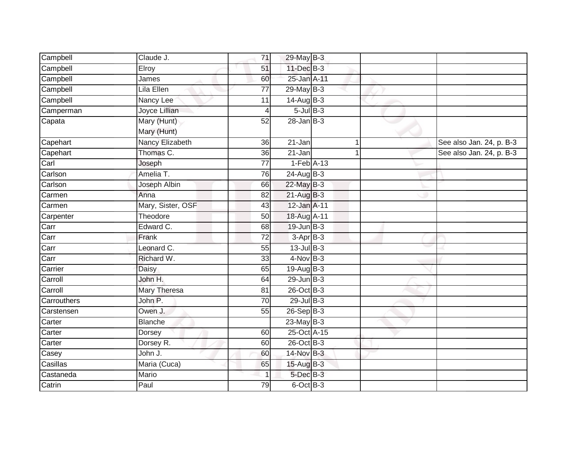| Campbell    | Claude J.         | $\overline{71}$         | 29-May B-3      |  |                          |
|-------------|-------------------|-------------------------|-----------------|--|--------------------------|
| Campbell    | Elroy             | 51                      | 11-Dec B-3      |  |                          |
| Campbell    | James             | 60                      | 25-Jan A-11     |  |                          |
| Campbell    | Lila Ellen        | $\overline{77}$         | $29$ -May B-3   |  |                          |
| Campbell    | Nancy Lee         | 11                      | $14$ -Aug B-3   |  |                          |
|             | Joyce Lillian     | $\overline{\mathbf{4}}$ | $5$ -Jul $B$ -3 |  |                          |
| Camperman   | Mary (Hunt)       | 52                      | $28$ -Jan B-3   |  |                          |
| Capata      |                   |                         |                 |  |                          |
|             | Mary (Hunt)       |                         |                 |  |                          |
| Capehart    | Nancy Elizabeth   | 36                      | 21-Jan          |  | See also Jan. 24, p. B-3 |
| Capehart    | Thomas C.         | 36                      | $21 - Jan$      |  | See also Jan. 24, p. B-3 |
| Carl        | Joseph            | $\overline{77}$         | $1-Feb$ A-13    |  |                          |
| Carlson     | Amelia T.         | 76                      | 24-Aug B-3      |  |                          |
| Carlson     | Joseph Albin      | 66                      | $22$ -May $B-3$ |  |                          |
| Carmen      | Anna              | 82                      | $21-AugB-3$     |  |                          |
| Carmen      | Mary, Sister, OSF | 43                      | 12-Jan A-11     |  |                          |
| Carpenter   | Theodore          | 50                      | 18-Aug A-11     |  |                          |
| Carr        | Edward C.         | 68                      | $19$ -Jun $B-3$ |  |                          |
| Carr        | Frank             | 72                      | $3-AprB-3$      |  |                          |
| Carr        | Leonard C.        | 55                      | $13$ -Jul $B-3$ |  |                          |
| Carr        | Richard W.        | 33                      | $4-NovB-3$      |  |                          |
| Carrier     | Daisy             | 65                      | 19-Aug B-3      |  |                          |
| Carroll     | John H.           | 64                      | $29$ -Jun $B-3$ |  |                          |
| Carroll     | Mary Theresa      | 81                      | 26-Oct B-3      |  |                          |
| Carrouthers | John P.           | 70                      | $29$ -Jul $B-3$ |  |                          |
| Carstensen  | Owen J.           | 55                      | 26-Sep B-3      |  |                          |
| Carter      | <b>Blanche</b>    |                         | $23$ -May B-3   |  |                          |
| Carter      | Dorsey            | 60                      | 25-Oct A-15     |  |                          |
| Carter      | Dorsey R.         | 60                      | 26-Oct B-3      |  |                          |
| Casey       | John J.           | 60                      | 14-Nov B-3      |  |                          |
| Casillas    | Maria (Cuca)      | 65                      | 15-Aug B-3      |  |                          |
| Castaneda   | Mario             | 1                       | 5-Dec B-3       |  |                          |
| Catrin      | Paul              | 79                      | $6$ -Oct $B-3$  |  |                          |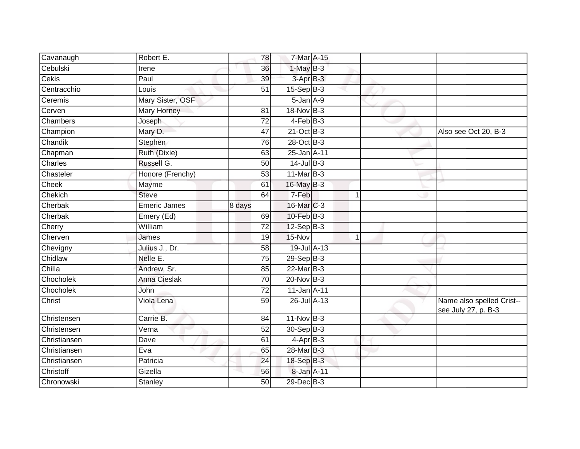| Cavanaugh    | Robert E.                    | 78              | 7-Mar A-15       |   |                                                  |
|--------------|------------------------------|-----------------|------------------|---|--------------------------------------------------|
| Cebulski     | Irene                        | 36              | $1-MayB-3$       |   |                                                  |
| Cekis        | Paul                         | 39              | 3-Apr B-3        |   |                                                  |
| Centracchio  | Louis                        | 51              | $15-Sep$ B-3     |   |                                                  |
| Ceremis      | Mary Sister, OSF             |                 | $5 - Jan A - 9$  |   |                                                  |
| Cerven       | Mary Horney                  | 81              | 18-Nov B-3       |   |                                                  |
| Chambers     | Joseph                       | 72              | $4$ -Feb $ B-3 $ |   |                                                  |
| Champion     | Mary D.                      | 47              | $21$ -Oct B-3    |   | Also see Oct 20, B-3                             |
| Chandik      | Stephen                      | 76              | 28-Oct B-3       |   |                                                  |
| Chapman      | Ruth (Dixie)                 | 63              | 25-Jan A-11      |   |                                                  |
| Charles      | Russell G.                   | 50              | $14$ -Jul B-3    |   |                                                  |
| Chasteler    | Honore (Frenchy)             | 53              | $11$ -Mar $B-3$  |   |                                                  |
| Cheek        | Mayme                        | 61              | 16-May B-3       |   |                                                  |
| Chekich      | <b>Steve</b>                 | 64              | 7-Feb            | 1 |                                                  |
| Cherbak      | <b>Emeric James</b>          | 8 days          | 16-Mar C-3       |   |                                                  |
| Cherbak      | Emery (Ed)                   | 69              | $10$ -Feb $B-3$  |   |                                                  |
| Cherry       | William                      | 72              | $12-Sep$ B-3     |   |                                                  |
| Cherven      | James                        | 19              | 15-Nov           | 1 |                                                  |
| Chevigny     | Julius J., Dr.               | 58              | 19-Jul A-13      |   |                                                  |
| Chidlaw      | Nelle E.                     | $\overline{75}$ | $29-Sep$ B-3     |   |                                                  |
| Chilla       | Andrew, Sr.                  | 85              | $22$ -Mar $B-3$  |   |                                                  |
| Chocholek    | <b>Anna Cieslak</b>          | $\overline{70}$ | $20$ -Nov $B-3$  |   |                                                  |
| Chocholek    | John                         | 72              | 11-Jan A-11      |   |                                                  |
| Christ       | Viola Lena                   | 59              | 26-Jul A-13      |   | Name also spelled Crist--<br>see July 27, p. B-3 |
| Christensen  | Carrie B.                    | 84              | $11-Nov$ B-3     |   |                                                  |
| Christensen  | $\overline{\mathsf{V}}$ erna | 52              | 30-Sep B-3       |   |                                                  |
| Christiansen | Dave                         | 61              | $4-AprB-3$       |   |                                                  |
| Christiansen | Eva                          | 65              | 28-Mar B-3       |   |                                                  |
| Christiansen | Patricia                     | 24              | 18-Sep B-3       |   |                                                  |
| Christoff    | Gizella                      | 56              | 8-Jan A-11       |   |                                                  |
| Chronowski   | Stanley                      | 50              | 29-Dec B-3       |   |                                                  |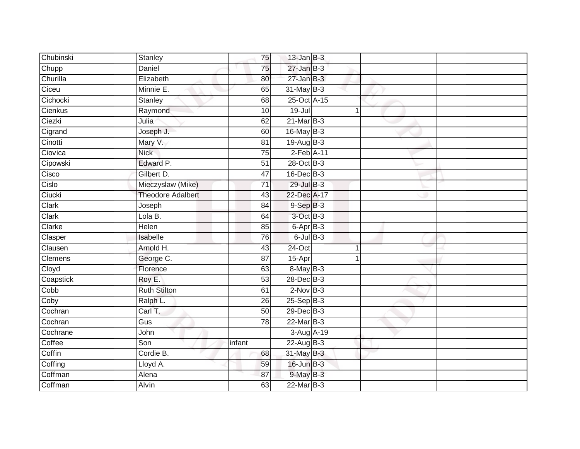| Chubinski      | Stanley                  | 75              | $13$ -Jan $B-3$  |   |  |
|----------------|--------------------------|-----------------|------------------|---|--|
| Chupp          | Daniel                   | 75              | $27 - Jan$ $B-3$ |   |  |
| Churilla       | Elizabeth                | 80              | $27 - Jan$ $B-3$ |   |  |
| Ciceu          | Minnie E.                | 65              | 31-May B-3       |   |  |
| Cichocki       | <b>Stanley</b>           | 68              | 25-Oct A-15      |   |  |
| Cienkus        | Raymond                  | 10              | $19 -$ Jul       | 1 |  |
| Ciezki         | Julia                    | 62              | $21$ -Mar $B-3$  |   |  |
| Cigrand        | Joseph J.                | 60              | 16-May B-3       |   |  |
| Cinotti        | Mary V.                  | 81              | 19-Aug B-3       |   |  |
| Ciovica        | <b>Nick</b>              | $\overline{75}$ | $2$ -Feb $A-11$  |   |  |
| Cipowski       | Edward P.                | 51              | 28-Oct B-3       |   |  |
| Cisco          | Gilbert D.               | 47              | $16$ -Dec $B-3$  |   |  |
| Cislo          | Mieczyslaw (Mike)        | 71              | 29-Jul B-3       |   |  |
| Ciucki         | <b>Theodore Adalbert</b> | 43              | 22-Dec A-17      |   |  |
| Clark          | Joseph                   | 84              | $9-SepB-3$       |   |  |
| Clark          | Lola B.                  | 64              | 3-Oct B-3        |   |  |
| Clarke         | Helen                    | 85              | $6$ -Apr $B$ -3  |   |  |
| Clasper        | Isabelle                 | 76              | $6$ -Jul $B$ -3  |   |  |
| Clausen        | Arnold H.                | 43              | 24-Oct           |   |  |
| <b>Clemens</b> | George C.                | 87              | 15-Apr           |   |  |
| Cloyd          | Florence                 | 63              | 8-May B-3        |   |  |
| Coapstick      | Roy E.                   | 53              | 28-Dec B-3       |   |  |
| Cobb           | <b>Ruth Stilton</b>      | 61              | $2$ -Nov $B-3$   |   |  |
| Coby           | Ralph L.                 | 26              | $25-Sep$ B-3     |   |  |
| Cochran        | Carl T.                  | $\overline{50}$ | 29-Dec B-3       |   |  |
| Cochran        | $\overline{Gus}$         | 78              | $22$ -Mar $B-3$  |   |  |
| Cochrane       | John                     |                 | 3-Aug A-19       |   |  |
| Coffee         | Son                      | infant          | $22$ -Aug $B-3$  |   |  |
| Coffin         | Cordie B.                | 68              | 31-May B-3       |   |  |
| Coffing        | Lloyd A.                 | 59              | 16-Jun B-3       |   |  |
| Coffman        | Alena                    | 87              | 9-May B-3        |   |  |
| Coffman        | <b>Alvin</b>             | 63              | 22-Mar B-3       |   |  |
|                |                          |                 |                  |   |  |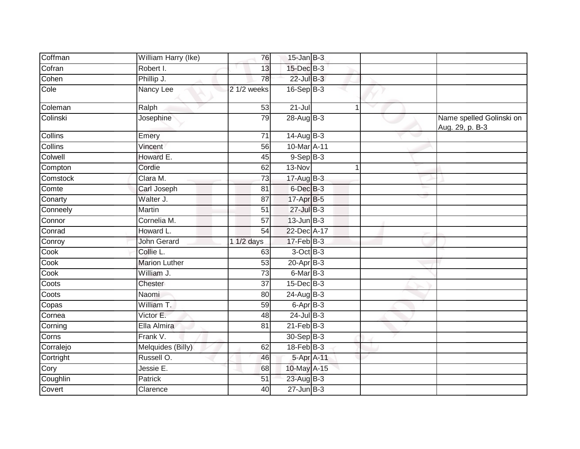| Coffman        | William Harry (Ike)  | 76              | $15$ -Jan B-3     |  |                                             |
|----------------|----------------------|-----------------|-------------------|--|---------------------------------------------|
| Cofran         | Robert I.            | 13              | 15-Dec B-3        |  |                                             |
| Cohen          | Phillip J.           | 78              | 22-Jul B-3        |  |                                             |
| Cole           | Nancy Lee            | 2 1/2 weeks     | $16-SepB-3$       |  |                                             |
| Coleman        | Ralph                | 53              | $21 -$ Jul        |  |                                             |
| Colinski       | Josephine            | 79              | $28$ -Aug B-3     |  | Name spelled Golinski on<br>Aug. 29, p. B-3 |
| <b>Collins</b> | Emery                | 71              | $14$ -Aug B-3     |  |                                             |
| <b>Collins</b> | Vincent              | 56              | 10-Mar A-11       |  |                                             |
| Colwell        | Howard E.            | 45              | $9-$ Sep $B-3$    |  |                                             |
| Compton        | Cordie               | 62              | 13-Nov            |  |                                             |
| Comstock       | Clara M.             | 73              | $17-AugB-3$       |  |                                             |
| Comte          | Carl Joseph          | 81              | 6-Dec B-3         |  |                                             |
| Conarty        | Walter J.            | 87              | 17-Apr B-5        |  |                                             |
| Conneely       | Martin               | 51              | 27-Jul B-3        |  |                                             |
| Connor         | Cornelia M.          | $\overline{57}$ | $13$ -Jun $B-3$   |  |                                             |
| Conrad         | Howard L.            | 54              | 22-Dec A-17       |  |                                             |
| Conroy         | John Gerard          | 1 1/2 days      | $17-Feb$ B-3      |  |                                             |
| Cook           | Collie L.            | 63              | $3$ -Oct $B-3$    |  |                                             |
| Cook           | <b>Marion Luther</b> | 53              | $20-Apr$ B-3      |  |                                             |
| Cook           | William J.           | 73              | 6-Mar B-3         |  |                                             |
| Coots          | Chester              | 37              | 15-Dec B-3        |  |                                             |
| Coots          | Naomi                | 80              | 24-Aug B-3        |  |                                             |
| Copas          | William T.           | 59              | $6 -$ Apr $B - 3$ |  |                                             |
| Cornea         | Victor E.            | 48              | $24$ -Jul B-3     |  |                                             |
| Corning        | Ella Almira          | 81              | $21$ -Feb $B-3$   |  |                                             |
| Corns          | Frank V.             |                 | 30-Sep B-3        |  |                                             |
| Corralejo      | Melquides (Billy)    | 62              | $18$ -Feb $B$ -3  |  |                                             |
| Cortright      | Russell O.           | 46              | 5-Apr A-11        |  |                                             |
| Cory           | Jessie E.            | 68              | 10-May A-15       |  |                                             |
| Coughlin       | <b>Patrick</b>       | 51              | 23-Aug B-3        |  |                                             |
| Covert         | Clarence             | 40              | $27 - Jun$ B-3    |  |                                             |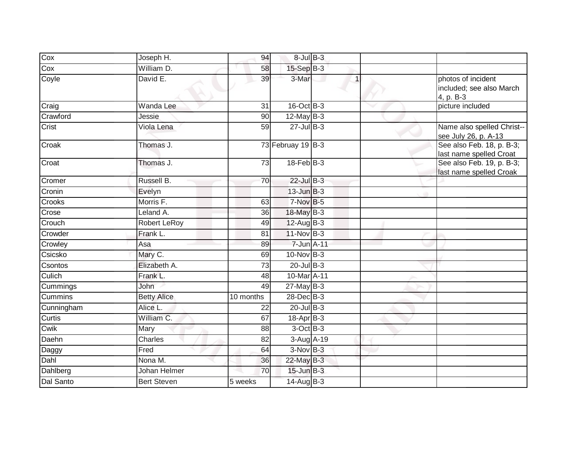| Joseph H.          | 94                 |  |                                                                                                                                                                                                                                                                                                                                                                                                                                                                              |                                                             |
|--------------------|--------------------|--|------------------------------------------------------------------------------------------------------------------------------------------------------------------------------------------------------------------------------------------------------------------------------------------------------------------------------------------------------------------------------------------------------------------------------------------------------------------------------|-------------------------------------------------------------|
| William D.         | 58                 |  |                                                                                                                                                                                                                                                                                                                                                                                                                                                                              |                                                             |
| David E.           | 39                 |  |                                                                                                                                                                                                                                                                                                                                                                                                                                                                              | photos of incident<br>included; see also March<br>4, p. B-3 |
| Wanda Lee          | $\overline{31}$    |  |                                                                                                                                                                                                                                                                                                                                                                                                                                                                              | picture included                                            |
| Jessie             | 90                 |  |                                                                                                                                                                                                                                                                                                                                                                                                                                                                              |                                                             |
| Viola Lena         | 59                 |  |                                                                                                                                                                                                                                                                                                                                                                                                                                                                              | Name also spelled Christ--<br>see July 26, p. A-13          |
| Thomas J.          |                    |  |                                                                                                                                                                                                                                                                                                                                                                                                                                                                              | See also Feb. 18, p. B-3;<br>last name spelled Croat        |
| Thomas J.          | $\overline{73}$    |  |                                                                                                                                                                                                                                                                                                                                                                                                                                                                              | See also Feb. 19, p. B-3;<br>last name spelled Croak        |
| Russell B.         | 70                 |  |                                                                                                                                                                                                                                                                                                                                                                                                                                                                              |                                                             |
| Evelyn             |                    |  |                                                                                                                                                                                                                                                                                                                                                                                                                                                                              |                                                             |
| Morris F.          | 63                 |  |                                                                                                                                                                                                                                                                                                                                                                                                                                                                              |                                                             |
| Leland A.          | 36                 |  |                                                                                                                                                                                                                                                                                                                                                                                                                                                                              |                                                             |
| Robert LeRoy       | 49                 |  |                                                                                                                                                                                                                                                                                                                                                                                                                                                                              |                                                             |
| Frank L.           | 81                 |  |                                                                                                                                                                                                                                                                                                                                                                                                                                                                              |                                                             |
| Asa                | 89                 |  |                                                                                                                                                                                                                                                                                                                                                                                                                                                                              |                                                             |
| Mary C.            | 69                 |  |                                                                                                                                                                                                                                                                                                                                                                                                                                                                              |                                                             |
| Elizabeth A.       | $\overline{73}$    |  |                                                                                                                                                                                                                                                                                                                                                                                                                                                                              |                                                             |
| Frank L.           | 48                 |  |                                                                                                                                                                                                                                                                                                                                                                                                                                                                              |                                                             |
| John               | 49                 |  |                                                                                                                                                                                                                                                                                                                                                                                                                                                                              |                                                             |
| <b>Betty Alice</b> | 10 months          |  |                                                                                                                                                                                                                                                                                                                                                                                                                                                                              |                                                             |
| Alice L.           | 22                 |  |                                                                                                                                                                                                                                                                                                                                                                                                                                                                              |                                                             |
| William C.         | 67                 |  |                                                                                                                                                                                                                                                                                                                                                                                                                                                                              |                                                             |
| Mary               | 88                 |  |                                                                                                                                                                                                                                                                                                                                                                                                                                                                              |                                                             |
|                    | 82                 |  |                                                                                                                                                                                                                                                                                                                                                                                                                                                                              |                                                             |
| Fred               | 64                 |  |                                                                                                                                                                                                                                                                                                                                                                                                                                                                              |                                                             |
|                    | 36                 |  |                                                                                                                                                                                                                                                                                                                                                                                                                                                                              |                                                             |
| Johan Helmer       | 70                 |  |                                                                                                                                                                                                                                                                                                                                                                                                                                                                              |                                                             |
| <b>Bert Steven</b> | 5 weeks            |  |                                                                                                                                                                                                                                                                                                                                                                                                                                                                              |                                                             |
|                    | Charles<br>Nona M. |  | $8$ -Jul $B$ -3<br>$15-Sep$ B-3<br>3-Mar<br>16-Oct B-3<br>12-May $B-3$<br>$27 -$ Jul B-3<br>73 Februay 19 B-3<br>$18$ -Feb $B-3$<br>22-Jul B-3<br>$13$ -Jun $B-3$<br>$7-Nov$ B-5<br>18-May B-3<br>$12$ -Aug $B-3$<br>11-Nov B-3<br>7-Jun A-11<br>$10$ -Nov B-3<br>$20$ -Jul B-3<br>10-Mar A-11<br>$27$ -May B-3<br>28-Dec B-3<br>$20$ -Jul B-3<br>$18$ -Apr $B$ -3<br>3-Oct B-3<br>3-Aug A-19<br>$\overline{3}$ -Nov B-3<br>22-May B-3<br>$15$ -Jun $B-3$<br>$14$ -Aug $B-3$ |                                                             |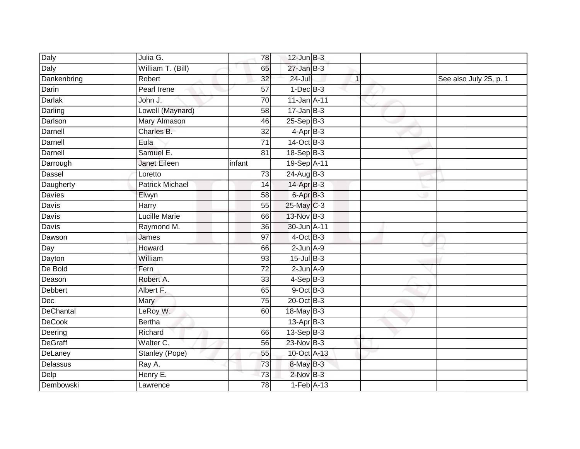| Daly           | Julia G.               | $\overline{78}$ | $12$ -Jun $B-3$       |   |                        |
|----------------|------------------------|-----------------|-----------------------|---|------------------------|
| Daly           | William T. (Bill)      | 65              | $27 - Jan$ $B-3$      |   |                        |
| Dankenbring    | Robert                 | 32              | $24 -$ Jul            | 1 | See also July 25, p. 1 |
| Darin          | Pearl Irene            | 57              | $1-Dec$ B-3           |   |                        |
| <b>Darlak</b>  | John J.                | $\overline{70}$ | 11-Jan A-11           |   |                        |
| Darling        | Lowell (Maynard)       | 58              | $17 - Jan$ $B-3$      |   |                        |
| Darlson        | Mary Almason           | 46              | $25-Sep$ B-3          |   |                        |
| Darnell        | Charles B.             | 32              | $4-AprB-3$            |   |                        |
| Darnell        | Eula                   | 71              | $14-Oct$ B-3          |   |                        |
| Darnell        | Samuel E.              | $\overline{81}$ | $18-Sep$ B-3          |   |                        |
| Darrough       | <b>Janet Eileen</b>    | infant          | 19-Sep A-11           |   |                        |
| Dassel         | Loretto                | $\overline{73}$ | 24-Aug B-3            |   |                        |
| Daugherty      | <b>Patrick Michael</b> | 14              | $14$ -Apr $B-3$       |   |                        |
| Davies         | Elwyn                  | 58              | 6-Apr B-3             |   |                        |
| <b>Davis</b>   | Harry                  | 55              | 25-May C-3            |   |                        |
| Davis          | <b>Lucille Marie</b>   | 66              | 13-Nov B-3            |   |                        |
| <b>Davis</b>   | Raymond M.             | $\overline{36}$ | 30-Jun A-11           |   |                        |
| Dawson         | James                  | 97              | $4$ -Oct B-3          |   |                        |
| Day            | Howard                 | 66              | $2$ -Jun $A-9$        |   |                        |
| Dayton         | William                | 93              | $15$ -Jul $B-3$       |   |                        |
| De Bold        | Fern                   | 72              | $2$ -Jun $A-9$        |   |                        |
| Deason         | Robert A.              | $\overline{33}$ | $4-SepB-3$            |   |                        |
| <b>Debbert</b> | Albert F.              | 65              | $9$ -Oct $B$ -3       |   |                        |
| Dec            | Mary                   | $\overline{75}$ | $20$ -Oct B-3         |   |                        |
| DeChantal      | LeRoy W.               | 60              | 18-May B-3            |   |                        |
| <b>DeCook</b>  | <b>Bertha</b>          |                 | 13-Apr <sub>B-3</sub> |   |                        |
| Deering        | Richard                | 66              | $13-Sep$ B-3          |   |                        |
| <b>DeGraff</b> | Walter C.              | 56              | $23$ -Nov B-3         |   |                        |
| DeLaney        | Stanley (Pope)         | 55              | 10-Oct A-13           |   |                        |
| Delassus       | Ray A.                 | 73              | 8-May B-3             |   |                        |
| Delp           | Henry E.               | 73              | $2$ -Nov $B-3$        |   |                        |
| Dembowski      | Lawrence               | $\overline{78}$ | $1-Feb$ A-13          |   |                        |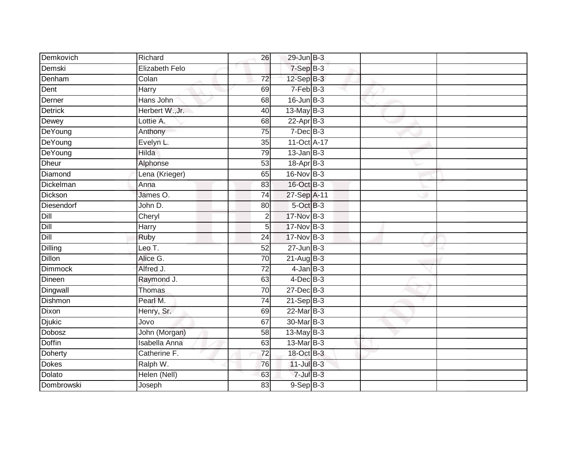| Demkovich      | Richard               | 26              | $29$ -Jun $B-3$ |  |  |
|----------------|-----------------------|-----------------|-----------------|--|--|
| Demski         | <b>Elizabeth Felo</b> |                 | 7-Sep B-3       |  |  |
| Denham         | Colan                 | $\overline{72}$ | $12-Sep$ B-3    |  |  |
| Dent           | Harry                 | 69              | 7-Feb B-3       |  |  |
| Derner         | Hans John             | 68              | $16$ -Jun $B-3$ |  |  |
| <b>Detrick</b> | Herbert W., Jr.       | 40              | 13-May B-3      |  |  |
| Dewey          | Lottie A.             | 68              | $22-Apr$ B-3    |  |  |
| DeYoung        | Anthony               | 75              | $7-Dec$ B-3     |  |  |
| DeYoung        | Evelyn L.             | 35              | 11-Oct A-17     |  |  |
| DeYoung        | Hilda                 | 79              | $13$ -Jan B-3   |  |  |
| <b>Dheur</b>   | Alphonse              | 53              | $18-Apr$ B-3    |  |  |
| Diamond        | Lena (Krieger)        | 65              | 16-Nov B-3      |  |  |
| Dickelman      | Anna                  | 83              | $16$ -Oct B-3   |  |  |
| Dickson        | James O.              | 74              | 27-Sep A-11     |  |  |
| Diesendorf     | John D.               | 80              | 5-Oct B-3       |  |  |
| Dill           | Cheryl                | $\overline{2}$  | 17-Nov B-3      |  |  |
| Dill           | Harry                 | 5               | 17-Nov B-3      |  |  |
| Dill           | Ruby                  | 24              | 17-Nov B-3      |  |  |
| Dilling        | Leo T.                | 52              | $27$ -Jun $B-3$ |  |  |
| <b>Dillon</b>  | Alice G.              | $\overline{70}$ | $21$ -Aug $B-3$ |  |  |
| <b>Dimmock</b> | Alfred J.             | $\overline{72}$ | $4$ -Jan $B-3$  |  |  |
| Dineen         | Raymond J.            | 63              | $4$ -Dec $B-3$  |  |  |
| Dingwall       | Thomas                | 70              | 27-Dec B-3      |  |  |
| Dishmon        | Pearl M.              | 74              | $21-Sep$ B-3    |  |  |
| Dixon          | Henry, Sr.            | 69              | 22-Mar B-3      |  |  |
| <b>Djukic</b>  | Jovo                  | 67              | 30-Mar B-3      |  |  |
| <b>Dobosz</b>  | John (Morgan)         | 58              | 13-May B-3      |  |  |
| <b>Doffin</b>  | <b>Isabella Anna</b>  | 63              | 13-Mar B-3      |  |  |
| Doherty        | Catherine F.          | 72              | 18-Oct B-3      |  |  |
| <b>Dokes</b>   | Ralph W.              | 76              | $11$ -Jul $B-3$ |  |  |
| Dolato         | Helen (Nell)          | 63              | $7$ -Jul $B-3$  |  |  |
| Dombrowski     | Joseph                | $\overline{83}$ | $9-$ Sep $B-3$  |  |  |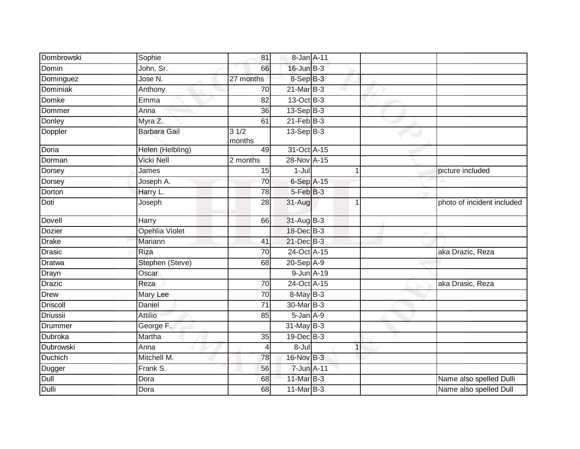| Dombrowski      | Sophie                | 81             | 8-Jan A-11       |                |                            |
|-----------------|-----------------------|----------------|------------------|----------------|----------------------------|
| Domin           | John, Sr.             | 66             | $16$ -Jun $B-3$  |                |                            |
| Dominguez       | Jose N.               | 27 months      | 8-Sep B-3        |                |                            |
| Dominiak        | Anthony               | 70             | $21$ -Mar $B-3$  |                |                            |
| <b>Domke</b>    | Emma                  | 82             | $13-Oct$ B-3     |                |                            |
| Dommer          | Anna                  | 36             | $13-Sep$ B-3     |                |                            |
| Donley          | Myra Z.               | 61             | $21$ -Feb $B-3$  |                |                            |
| Doppler         | <b>Barbara Gail</b>   | 31/2<br>months | $13-Sep$ B-3     |                |                            |
| Doria           | Helen (Helbling)      | 49             | 31-Oct A-15      |                |                            |
| Dorman          | <b>Vicki Nell</b>     | 2 months       | 28-Nov A-15      |                |                            |
| Dorsey          | James                 | 15             | $1-Jul$          | 1              | picture included           |
| Dorsey          | Joseph A.             | 70             | 6-Sep A-15       |                |                            |
| Dorton          | Harry L.              | 78             | 5-Feb B-3        |                |                            |
| Doti            | Joseph                | 28             | 31-Aug           | $\overline{1}$ | photo of incident included |
| Dovell          | Harry                 | 66             | 31-Aug B-3       |                |                            |
| <b>Dozier</b>   | <b>Opehlia Violet</b> |                | 18-Dec B-3       |                |                            |
| <b>Drake</b>    | Mariann               | 41             | $21$ -Dec $B-3$  |                |                            |
| <b>Drasic</b>   | Riza                  | 70             | 24-Oct A-15      |                | aka Drazic, Reza           |
| <b>Dratwa</b>   | Stephen (Steve)       | 68             | 20-Sep A-9       |                |                            |
| Drayn           | Oscar                 |                | 9-Jun A-19       |                |                            |
| <b>Drazic</b>   | Reza                  | 70             | $24$ -Oct A-15   |                | aka Drasic, Reza           |
| <b>Drew</b>     | Mary Lee              | 70             | $8$ -May $B-3$   |                |                            |
| <b>Driscoll</b> | Daniel                | 71             | 30-Mar B-3       |                |                            |
| Driussii        | <b>Attilio</b>        | 85             | 5-Jan A-9        |                |                            |
| Drummer         | George F.             |                | $31$ -May B-3    |                |                            |
| Dubroka         | Martha                | 35             | $19$ -Dec $B$ -3 |                |                            |
| Dubrowski       | Anna                  | 4              | 8-Jul            |                |                            |
| Duchich         | Mitchell M.           | 78             | 16-Nov B-3       |                |                            |
| Dugger          | Frank S.              | 56             | 7-Jun A-11       |                |                            |
| Dull            | Dora                  | 68             | 11-Mar B-3       |                | Name also spelled Dulli    |
| Dulli           | Dora                  | 68             | $11-MarB-3$      |                | Name also spelled Dull     |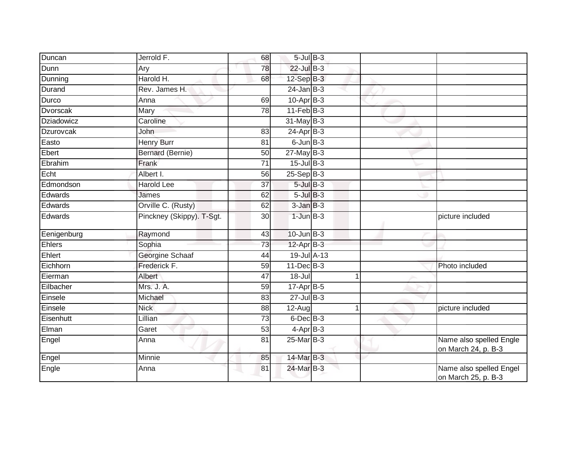| Duncan            | Jerrold F.                | 68              | $5$ -Jul $B$ -3   |   |                |                                                |
|-------------------|---------------------------|-----------------|-------------------|---|----------------|------------------------------------------------|
| Dunn              | Ary                       | 78              | $22$ -Jul B-3     |   |                |                                                |
| Dunning           | Harold H.                 | 68              | $12-Sep$ $B-3$    |   |                |                                                |
| Durand            | Rev. James H.             |                 | $24$ -Jan B-3     |   |                |                                                |
| Durco             | Anna                      | 69              | $10-Apr$ B-3      |   |                |                                                |
| Dvorscak          | Mary                      | 78              | $11$ -Feb $ B-3 $ |   |                |                                                |
| <b>Dziadowicz</b> | Caroline                  |                 | $31$ -May B-3     |   |                |                                                |
| Dzurovcak         | John                      | 83              | $24$ -Apr $B-3$   |   |                |                                                |
| Easto             | <b>Henry Burr</b>         | 81              | $6$ -Jun $B$ -3   |   |                |                                                |
| Ebert             | <b>Bernard (Bernie)</b>   | $\overline{50}$ | $27$ -May B-3     |   |                |                                                |
| Ebrahim           | Frank                     | 71              | $15$ -Jul B-3     |   |                |                                                |
| Echt              | Albert I.                 | 56              | $25-Sep$ $B-3$    |   |                |                                                |
| Edmondson         | <b>Harold Lee</b>         | 37              | $5$ -Jul $B-3$    |   |                |                                                |
| Edwards           | James                     | 62              | $5$ -Jul $B$ -3   |   |                |                                                |
| Edwards           | Orville C. (Rusty)        | 62              | $3$ -Jan $B-3$    |   |                |                                                |
| Edwards           | Pinckney (Skippy). T-Sgt. | 30              | $1$ -Jun $B-3$    |   |                | picture included                               |
| Eenigenburg       | Raymond                   | 43              | $10$ -Jun $B-3$   |   |                |                                                |
| <b>Ehlers</b>     | Sophia                    | $\overline{73}$ | $12-Apr$ B-3      |   |                |                                                |
| Ehlert            | Georgine Schaaf           | 44              | 19-Jul A-13       |   |                |                                                |
| Eichhorn          | Frederick F.              | $\overline{59}$ | $11$ -Dec $B-3$   |   |                | Photo included                                 |
| Eierman           | Albert                    | 47              | 18-Jul            |   | $\overline{1}$ |                                                |
| Eilbacher         | Mrs. J. A.                | 59              | 17-Apr B-5        |   |                |                                                |
| Einsele           | Michael                   | 83              | $27 -$ Jul B-3    |   |                |                                                |
| Einsele           | <b>Nick</b>               | 88              | $12-Auq$          | 1 |                | picture included                               |
| Eisenhutt         | Lillian                   | $\overline{73}$ | $6$ -Dec $B$ -3   |   |                |                                                |
| Elman             | Garet                     | 53              | $4$ -Apr $B-3$    |   |                |                                                |
| Engel             | Anna                      | 81              | $25$ -Mar $B-3$   |   |                | Name also spelled Engle<br>on March 24, p. B-3 |
| Engel             | Minnie                    | 85              | 14-Mar B-3        |   |                |                                                |
| Engle             | Anna                      | 81              | 24-Mar B-3        |   |                | Name also spelled Engel<br>on March 25, p. B-3 |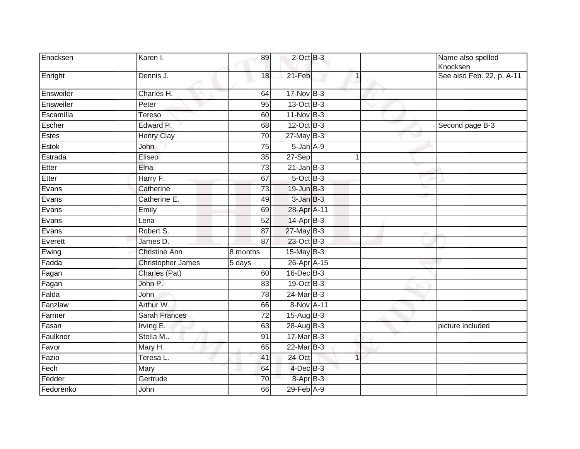| Enocksen     | Karen I.             | 89                  | $2$ -Oct $B-3$  |                | Name also spelled<br>Knocksen |
|--------------|----------------------|---------------------|-----------------|----------------|-------------------------------|
| Enright      | Dennis J.            | 18                  | 21-Feb          | $\overline{1}$ | See also Feb. 22, p. A-11     |
| Ensweiler    | Charles H.           | 64                  | 17-Nov B-3      |                |                               |
| Ensweiler    | Peter                | 95                  | 13-Oct B-3      |                |                               |
| Escamilla    | Tereso               | 60                  | $11-Nov$ B-3    |                |                               |
| Escher       | Edward P.            | 68                  | 12-Oct B-3      |                | Second page B-3               |
| Estes        | <b>Henry Clay</b>    | 70                  | $27$ -May $B-3$ |                |                               |
| <b>Estok</b> | John                 | $\overline{75}$     | $5 - Jan A - 9$ |                |                               |
| Estrada      | Eliseo               | 35                  | 27-Sep          | 1              |                               |
| Etter        | Elna                 | $\overline{73}$     | $21$ -Jan B-3   |                |                               |
| Etter        | Harry F.             | 67                  | 5-Oct B-3       |                |                               |
| Evans        | Catherine            | 73                  | $19$ -Jun $B-3$ |                |                               |
| Evans        | Catherine E.         | 49                  | $3$ -Jan $B-3$  |                |                               |
| Evans        | Emily                | 69                  | 28-Apr A-11     |                |                               |
| Evans        | Lena                 | $\overline{52}$     | $14$ -Apr $B-3$ |                |                               |
| Evans        | Robert S.            | 87                  | $27$ -May $B-3$ |                |                               |
| Everett      | James D.             | 87                  | 23-Oct B-3      |                |                               |
| Ewing        | <b>Christine Ann</b> | 8 months            | $15$ -May B-3   |                |                               |
| Fadda        | Christopher James    | $\overline{5}$ days | 26-Apr A-15     |                |                               |
| Fagan        | Charles (Pat)        | 60                  | 16-Dec B-3      |                |                               |
| Fagan        | John P.              | 83                  | 19-Oct B-3      |                |                               |
| Falda        | John                 | 78                  | 24-Mar B-3      |                |                               |
| Fanzlaw      | Arthur W.            | 66                  | 8-Nov A-11      |                |                               |
| Farmer       | <b>Sarah Frances</b> | 72                  | 15-Aug B-3      |                |                               |
| Fasan        | Irving E.            | 63                  | 28-Aug B-3      |                | picture included              |
| Faulkner     | Stella M             | 91                  | 17-Mar B-3      |                |                               |
| Favor        | Mary H.              | 65                  | $22$ -Mar $B-3$ |                |                               |
| Fazio        | Teresa L.            | 41                  | 24-Oct          | $\mathbf{1}$   |                               |
| Fech         | Mary                 | 64                  | $4$ -Dec $B-3$  |                |                               |
| Fedder       | Gertrude             | 70                  | $8 - AprB - 3$  |                |                               |
| Fedorenko    | John                 | 66                  | $29$ -Feb $A-9$ |                |                               |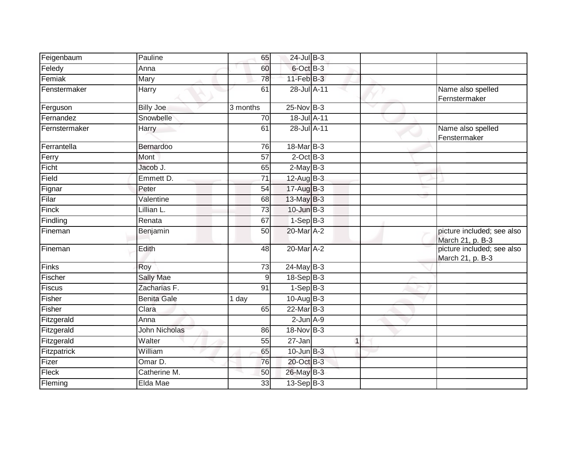| Feigenbaum    | Pauline              | 65             | $24$ -Jul $B-3$    |     |   |                                                |
|---------------|----------------------|----------------|--------------------|-----|---|------------------------------------------------|
| Feledy        | Anna                 | 60             | 6-Oct B-3          |     |   |                                                |
| Femiak        | Mary                 | 78             | $11$ -Feb $B-3$    |     |   |                                                |
| Fenstermaker  | Harry                | 61             | 28-Jul A-11        | - 1 |   | Name also spelled<br>Fernstermaker             |
| Ferguson      | <b>Billy Joe</b>     | 3 months       | $25-Nov$ B-3       |     |   |                                                |
| Fernandez     | Snowbelle            | 70             | 18-Jul A-11        |     |   |                                                |
| Fernstermaker | Harry                | 61             | 28-Jul A-11        |     |   | Name also spelled<br>Fenstermaker              |
| Ferrantella   | Bernardoo            | 76             | 18-Mar B-3         |     |   |                                                |
| Ferry         | Mont                 | 57             | $2$ -Oct $B-3$     |     |   |                                                |
| Ficht         | Jacob J.             | 65             | $2-MayB-3$         |     |   |                                                |
| Field         | Emmett D.            | 71             | 12-Aug B-3         |     |   |                                                |
| Fignar        | Peter                | 54             | $17-AugB-3$        |     |   |                                                |
| Filar         | Valentine            | 68             | 13-May B-3         |     |   |                                                |
| Finck         | Lillian L.           | 73             | 10-Jun B-3         |     |   |                                                |
| Findling      | Renata               | 67             | $1-SepB-3$         |     |   |                                                |
| Fineman       | Benjamin             | 50             | 20-Mar A-2         |     |   | picture included; see also<br>March 21, p. B-3 |
| Fineman       | Edith                | 48             | 20-Mar A-2         |     |   | picture included; see also<br>March 21, p. B-3 |
| Finks         | Roy                  | 73             | 24-May B-3         |     |   |                                                |
| Fischer       | <b>Sally Mae</b>     | $\overline{9}$ | 18-Sep B-3         |     |   |                                                |
| Fiscus        | Zacharias F.         | 91             | $1-Sep$ B-3        |     |   |                                                |
| Fisher        | <b>Benita Gale</b>   | 1 day          | 10-Aug B-3         |     |   |                                                |
| Fisher        | Clara                | 65             | 22-Mar B-3         |     |   |                                                |
| Fitzgerald    | Anna                 |                | $2$ -Jun $A-9$     |     |   |                                                |
| Fitzgerald    | <b>John Nicholas</b> | 86             | 18-Nov B-3         |     |   |                                                |
| Fitzgerald    | Walter               | 55             | 27-Jan             |     | 1 |                                                |
| Fitzpatrick   | William              | 65             | $10$ -Jun $B-3$    |     |   |                                                |
| Fizer         | Omar D.              | 76             | 20-Oct B-3         |     |   |                                                |
| Fleck         | Catherine M.         | 50             | 26-May B-3         |     |   |                                                |
| Fleming       | Elda Mae             | 33             | $13-\text{Sep}B-3$ |     |   |                                                |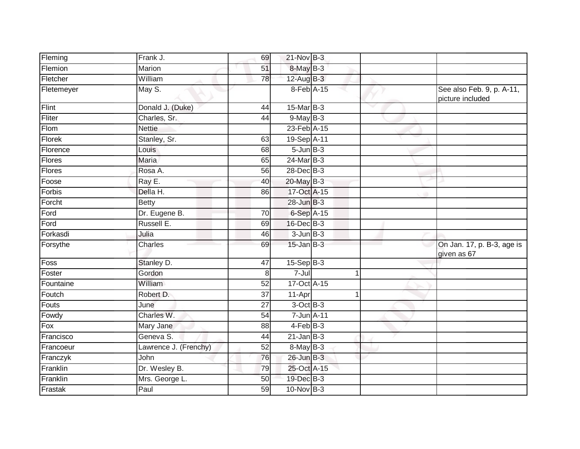| Fleming       | Frank J.              | 69              | 21-Nov B-3      |                |   |                                               |
|---------------|-----------------------|-----------------|-----------------|----------------|---|-----------------------------------------------|
| Flemion       | Marion                | 51              | 8-May B-3       |                |   |                                               |
| Fletcher      | William               | 78              | $12$ -Aug B-3   |                |   |                                               |
| Fletemeyer    | May S.                |                 | 8-Feb A-15      |                |   | See also Feb. 9, p. A-11,<br>picture included |
| Flint         | Donald J. (Duke)      | 44              | 15-Mar B-3      |                | ▽ |                                               |
| Fliter        | Charles, Sr.          | 44              | $9$ -May $B-3$  |                |   |                                               |
| Flom          | <b>Nettie</b>         |                 | 23-Feb A-15     |                |   |                                               |
| <b>Florek</b> | Stanley, Sr.          | 63              | 19-Sep A-11     |                |   |                                               |
| Florence      | Louis <sup>®</sup>    | 68              | $5 - Jun$ $B-3$ |                |   |                                               |
| Flores        | Maria                 | 65              | $24$ -Mar $B-3$ |                |   |                                               |
| Flores        | Rosa A.               | 56              | 28-Dec B-3      |                |   |                                               |
| Foose         | Ray E.                | 40              | 20-May B-3      |                |   |                                               |
| Forbis        | Della H.              | 86              | 17-Oct A-15     |                |   |                                               |
| Forcht        | <b>Betty</b>          |                 | 28-Jun B-3      |                |   |                                               |
| Ford          | Dr. Eugene B.         | $\overline{70}$ | 6-Sep A-15      |                |   |                                               |
| Ford          | Russell E.            | 69              | $16$ -Dec $B-3$ |                |   |                                               |
| Forkasdi      | Julia                 | 46              | $3 - Jun$ $B-3$ |                |   |                                               |
| Forsythe      | Charles               | 69              | $15$ -Jan B-3   |                |   | On Jan. 17, p. B-3, age is<br>given as 67     |
| Foss          | Stanley D.            | 47              | $15-Sep$ B-3    |                |   |                                               |
| Foster        | Gordon                | 8               | $7 -$ Jul       | $\mathbf{1}$   |   |                                               |
| Fountaine     | William               | 52              | 17-Oct A-15     |                |   |                                               |
| Foutch        | Robert D.             | 37              | 11-Apr          | $\overline{1}$ |   |                                               |
| Fouts         | June                  | 27              | 3-Oct B-3       |                |   |                                               |
| Fowdy         | Charles W.            | 54              | 7-Jun A-11      |                |   |                                               |
| Fox           | Mary Jane             | $\overline{88}$ | $4$ -Feb $B-3$  |                |   |                                               |
| Francisco     | Geneva S.             | 44              | $21$ -Jan B-3   |                |   |                                               |
| Francoeur     | Lawrence J. (Frenchy) | 52              | $8$ -May $B$ -3 |                |   |                                               |
| Franczyk      | John                  | 76              | 26-Jun B-3      |                |   |                                               |
| Franklin      | Dr. Wesley B.         | 79              | 25-Oct A-15     |                |   |                                               |
| Franklin      | Mrs. George L.        | 50              | 19-Dec B-3      |                |   |                                               |
| Frastak       | Paul                  | 59              | $10$ -Nov B-3   |                |   |                                               |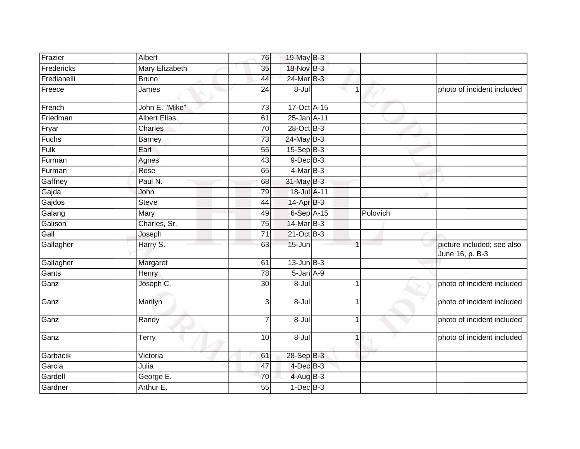| Frazier     | Albert                | 76              | 19-May B-3      |                |          |                                               |
|-------------|-----------------------|-----------------|-----------------|----------------|----------|-----------------------------------------------|
| Fredericks  | <b>Mary Elizabeth</b> | 35              | 18-Nov B-3      |                |          |                                               |
| Fredianelli | <b>Bruno</b>          | 44              | 24-Mar B-3      |                |          |                                               |
| Freece      | James                 | 24              | 8-Jul           |                |          | photo of incident included                    |
| French      | John E. "Mike"        | 73              | 17-Oct A-15     |                |          |                                               |
| Friedman    | <b>Albert Elias</b>   | 61              | 25-Jan A-11     |                |          |                                               |
| Fryar       | Charles               | 70              | 28-Oct B-3      |                |          |                                               |
| Fuchs       | <b>Barney</b>         | $\overline{73}$ | $24$ -May B-3   |                |          |                                               |
| Fulk        | Earl                  | 55              | $15-Sep$ B-3    |                |          |                                               |
| Furman      | Agnes                 | 43              | $9$ -Dec $B$ -3 |                |          |                                               |
| Furman      | Rose                  | 65              | $4$ -Mar B-3    |                |          |                                               |
| Gaffney     | Paul N.               | 68              | $31$ -May B-3   |                |          |                                               |
| Gajda       | John                  | 79              | 18-Jul A-11     |                |          |                                               |
| Gajdos      | <b>Steve</b>          | 44              | 14-Apr B-3      |                |          |                                               |
| Galang      | Mary                  | 49              | 6-Sep A-15      |                | Polovich |                                               |
| Galison     | Charles, Sr.          | 75              | 14-Mar B-3      |                |          |                                               |
| Gall        | Joseph                | 71              | 21-Oct B-3      |                |          |                                               |
| Gallagher   | Harry S.              | 63              | 15-Jun          |                |          | picture included; see also<br>June 16, p. B-3 |
| Gallagher   | Margaret              | 61              | $13$ -Jun $B-3$ |                |          |                                               |
| Gants       | <b>Henry</b>          | $\overline{78}$ | $5 - Jan A - 9$ |                |          |                                               |
| Ganz        | Joseph C.             | 30              | 8-Jul           | -1             |          | photo of incident included                    |
| Ganz        | Marilyn               | 3               | 8-Jul           | 1              |          | photo of incident included                    |
| Ganz        | Randy                 | $\overline{7}$  | 8-Jul           | $\overline{1}$ |          | photo of incident included                    |
| Ganz        | Terry                 | 10              | $8 -$ Jul       | $\mathbf 1$    |          | photo of incident included                    |
| Garbacik    | Victoria              | 61              | 28-Sep B-3      |                |          |                                               |
| Garcia      | Julia                 | 47              | 4-Dec B-3       |                |          |                                               |
| Gardell     | George E.             | 70              | $4$ -Aug B-3    |                |          |                                               |
| Gardner     | Arthur E.             | 55              | $1-Dec$ B-3     |                |          |                                               |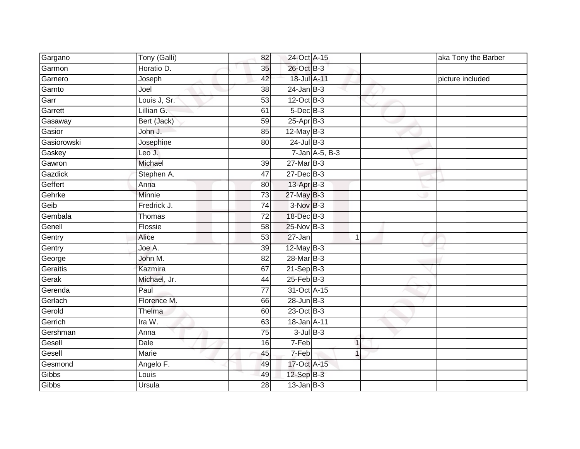| Gargano     | Tony (Galli) | 82              | 24-Oct A-15       |                | aka Tony the Barber |
|-------------|--------------|-----------------|-------------------|----------------|---------------------|
| Garmon      | Horatio D.   | 35              | 26-Oct B-3        |                |                     |
| Garnero     | Joseph       | 42              | 18-Jul A-11       |                | picture included    |
| Garnto      | Joel         | 38              | $24$ -Jan $B-3$   |                |                     |
| Garr        | Louis J, Sr. | 53              | $12$ -Oct B-3     |                |                     |
| Garrett     | Lillian G.   | 61              | $5$ -Dec $B$ -3   |                |                     |
| Gasaway     | Bert (Jack)  | 59              | $25 - Apr$ B-3    |                |                     |
| Gasior      | John J.      | 85              | $12$ -May B-3     |                |                     |
| Gasiorowski | Josephine    | 80              | $24$ -Jul $B-3$   |                |                     |
| Gaskey      | Leo J.       |                 |                   | 7-Jan A-5, B-3 |                     |
| Gawron      | Michael      | 39              | $27$ -Mar $B-3$   |                |                     |
| Gazdick     | Stephen A.   | $\overline{47}$ | $27 - Dec$ B-3    |                |                     |
| Geffert     | Anna         | 80              | $13$ -Apr $B-3$   |                |                     |
| Gehrke      | Minnie       | 73              | 27-May B-3        |                |                     |
| Geib        | Fredrick J.  | 74              | $3-NovB-3$        |                |                     |
| Gembala     | Thomas       | 72              | 18-Dec B-3        |                |                     |
| Genell      | Flossie      | 58              | 25-Nov B-3        |                |                     |
| Gentry      | Alice        | 53              | 27-Jan            | 1              |                     |
| Gentry      | Joe A.       | 39              | 12-May B-3        |                |                     |
| George      | John M.      | 82              | 28-Mar B-3        |                |                     |
| Geraitis    | Kazmira      | 67              | $21-SepB-3$       |                |                     |
| Gerak       | Michael, Jr. | 44              | $25$ -Feb $ B-3 $ |                |                     |
| Gerenda     | Paul         | 77              | 31-Oct A-15       |                |                     |
| Gerlach     | Florence M.  | 66              | $28$ -Jun $B-3$   |                |                     |
| Gerold      | Thelma       | 60              | 23-Oct B-3        |                |                     |
| Gerrich     | Ira W.       | 63              | 18-Jan A-11       |                |                     |
| Gershman    | Anna         | 75              | $3$ -Jul $B-3$    |                |                     |
| Gesell      | Dale         | 16              | 7-Feb             | $\mathbf{1}$   |                     |
| Gesell      | <b>Marie</b> | 45              | 7-Feb             | 1              |                     |
| Gesmond     | Angelo F.    | 49              | 17-Oct A-15       |                |                     |
| Gibbs       | Louis        | 49              | 12-Sep B-3        |                |                     |
| Gibbs       | Ursula       | 28              | $13$ -Jan $B-3$   |                |                     |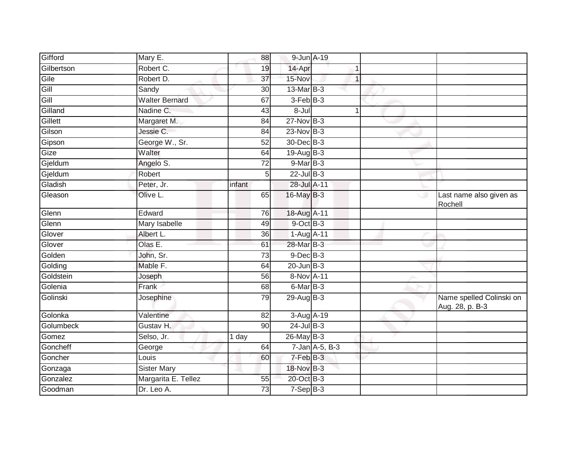| Gifford    | $\overline{\mathsf{M}}$ ary E. | 88              | 9-Jun A-19      |                         |                                             |
|------------|--------------------------------|-----------------|-----------------|-------------------------|---------------------------------------------|
| Gilbertson | Robert C.                      | 19              | 14-Apr          |                         |                                             |
| Gile       | Robert D.                      | $\overline{37}$ | 15-Nov          | 1                       |                                             |
| Gill       | Sandy                          | 30              | $13$ -Mar $B-3$ |                         |                                             |
| Gill       | <b>Walter Bernard</b>          | 67              | $3-FebB-3$      |                         |                                             |
| Gilland    | Nadine C.                      | 43              | 8-Jul           | $\mathbf 1$             |                                             |
| Gillett    | Margaret M.                    | 84              | $27 - Nov$ B-3  |                         |                                             |
| Gilson     | Jessie C.                      | 84              | 23-Nov B-3      |                         |                                             |
| Gipson     | George W., Sr.                 | 52              | 30-Dec B-3      |                         |                                             |
| Gize       | Walter                         | 64              | 19-Aug B-3      |                         |                                             |
| Gjeldum    | Angelo S.                      | $\overline{72}$ | $9$ -Mar B-3    |                         |                                             |
| Gjeldum    | Robert                         | 5               | $22$ -Jul B-3   |                         |                                             |
| Gladish    | Peter, Jr.                     | infant          | 28-Jul A-11     |                         |                                             |
| Gleason    | Olive L.                       | 65              | 16-May B-3      |                         | Last name also given as<br>Rochell          |
| Glenn      | Edward                         | 76              | 18-Aug A-11     |                         |                                             |
| Glenn      | Mary Isabelle                  | 49              | 9-Oct B-3       |                         |                                             |
| Glover     | Albert L.                      | 36              | 1-Aug A-11      |                         |                                             |
| Glover     | Olas E.                        | 61              | 28-Mar B-3      |                         |                                             |
| Golden     | John, Sr.                      | 73              | $9$ -Dec $B$ -3 |                         |                                             |
| Golding    | Mable F.                       | 64              | $20$ -Jun $B-3$ |                         |                                             |
| Goldstein  | Joseph                         | 56              | 8-Nov A-11      |                         |                                             |
| Golenia    | Frank                          | 68              | 6-Mar B-3       |                         |                                             |
| Golinski   | Josephine                      | 79              | 29-Aug B-3      |                         | Name spelled Colinski on<br>Aug. 28, p. B-3 |
| Golonka    | Valentine                      | 82              | 3-Aug A-19      |                         |                                             |
| Golumbeck  | Gustav H.                      | 90              | $24$ -Jul B-3   |                         |                                             |
| Gomez      | Selso, Jr.                     | 1 day           | 26-May B-3      |                         |                                             |
| Goncheff   | George                         | 64              |                 | $7$ -Jan $A$ -5, $B$ -3 |                                             |
| Goncher    | Louis                          | 60              | 7-Feb B-3       |                         |                                             |
| Gonzaga    | <b>Sister Mary</b>             |                 | 18-Nov B-3      |                         |                                             |
| Gonzalez   | Margarita E. Tellez            | 55              | 20-Oct B-3      |                         |                                             |
| Goodman    | Dr. Leo A.                     | 73              | $7-Sep$ B-3     |                         |                                             |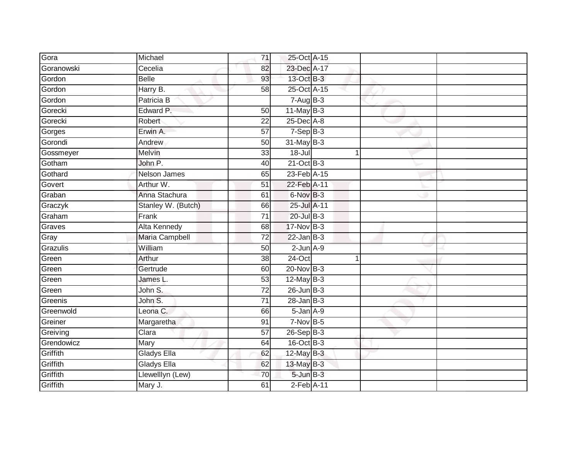| Gora       | Michael             | 71              | 25-Oct A-15                |  |  |
|------------|---------------------|-----------------|----------------------------|--|--|
| Goranowski | Cecelia             | 82              | 23-Dec A-17                |  |  |
| Gordon     | <b>Belle</b>        | 93              | 13-Oct B-3                 |  |  |
| Gordon     | Harry B.            | 58              | 25-Oct A-15                |  |  |
| Gordon     | Patricia B          |                 | $7-AugB-3$                 |  |  |
| Gorecki    | Edward P.           | 50              | 11-May B-3                 |  |  |
| Gorecki    | Robert              | 22              | 25-Dec A-8                 |  |  |
| Gorges     | Erwin A.            | 57              | $7-Sep$ B-3                |  |  |
| Gorondi    | Andrew              | 50              | $31$ -May B-3              |  |  |
| Gossmeyer  | Melvin              | 33              | $18 -$ Jul                 |  |  |
| Gotham     | John P.             | 40              | $21$ -Oct B-3              |  |  |
| Gothard    | Nelson James        | 65              | 23-Feb A-15                |  |  |
| Govert     | Arthur W.           | 51              | 22-Feb A-11                |  |  |
| Graban     | Anna Stachura       | 61              | 6-Nov B-3                  |  |  |
| Graczyk    | Stanley W. (Butch)  | 66              | 25-Jul A-11                |  |  |
| Graham     | Frank               | $\overline{71}$ | $20$ -Jul $B-3$            |  |  |
| Graves     | <b>Alta Kennedy</b> | $\overline{68}$ | 17-Nov B-3                 |  |  |
| Gray       | Maria Campbell      | 72              | $22$ -Jan B-3              |  |  |
| Grazulis   | William             | 50              | $2$ -Jun $A-9$             |  |  |
| Green      | Arthur              | $\overline{38}$ | $24$ -Oct                  |  |  |
| Green      | Gertrude            | 60              | 20-Nov B-3                 |  |  |
| Green      | James L.            | 53              | 12-May B-3                 |  |  |
| Green      | John S.             | 72              | $26$ -Jun $B-3$            |  |  |
| Greenis    | John S.             | $\overline{71}$ | $28$ -Jan B-3              |  |  |
| Greenwold  | Leona C.            | 66              | 5-Jan A-9                  |  |  |
| Greiner    | Margaretha          | 91              | $7-Nov$ B-5                |  |  |
| Greiving   | Clara               | $\overline{57}$ | $26-SepB-3$                |  |  |
| Grendowicz | Mary                | 64              | 16-Oct B-3                 |  |  |
| Griffith   | <b>Gladys Ella</b>  | 62              | 12-May B-3                 |  |  |
| Griffith   | <b>Gladys Ella</b>  | 62              | 13-May B-3                 |  |  |
| Griffith   | Llewelllyn (Lew)    | 70              | $5 - Jun$ $B - 3$          |  |  |
| Griffith   | Mary J.             | 61              | $2$ -Feb $\overline{A-11}$ |  |  |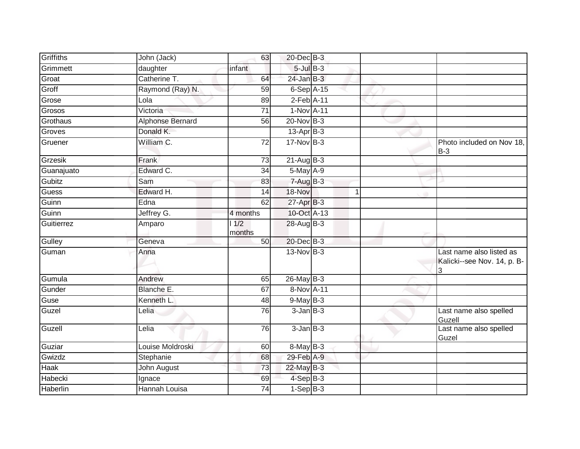| Griffiths  | John (Jack)      | 63              | 20-Dec B-3      |   |                                                              |
|------------|------------------|-----------------|-----------------|---|--------------------------------------------------------------|
| Grimmett   | daughter         | infant          | $5$ -Jul $B$ -3 |   |                                                              |
| Groat      | Catherine T.     | 64              | $24$ -Jan B-3   |   |                                                              |
| Groff      | Raymond (Ray) N. | 59              | $6-Sep$ A-15    |   |                                                              |
| Grose      | Lola             | 89              | $2-Feb$ A-11    |   |                                                              |
| Grosos     | Victoria         | $\overline{71}$ | 1-Nov A-11      |   |                                                              |
| Grothaus   | Alphonse Bernard | 56              | 20-Nov B-3      |   |                                                              |
| Groves     | Donald K.        |                 | $13-Apr$ B-3    |   |                                                              |
| Gruener    | William C.       | $\overline{72}$ | 17-Nov B-3      |   | Photo included on Nov 18,<br>$B-3$                           |
| Grzesik    | Frank            | 73              | $21-Aug$ B-3    |   |                                                              |
| Guanajuato | Edward C.        | 34              | 5-May A-9       |   |                                                              |
| Gubitz     | Sam              | 83              | $7 - Aug$ B-3   |   |                                                              |
| Guess      | Edward H.        | 14              | 18-Nov          | 1 |                                                              |
| Guinn      | Edna             | 62              | $27$ -Apr $B-3$ |   |                                                              |
| Guinn      | Jeffrey G.       | 4 months        | 10-Oct A-13     |   |                                                              |
| Guitierrez | Amparo           | 1/2<br>months   | 28-Aug B-3      |   |                                                              |
| Gulley     | Geneva           | 50              | 20-Dec B-3      |   |                                                              |
| Guman      | Anna             |                 | $13-Nov$ B-3    |   | Last name also listed as<br>Kalicki--see Nov. 14, p. B-<br>3 |
| Gumula     | Andrew           | 65              | 26-May B-3      |   |                                                              |
| Gunder     | Blanche E.       | 67              | 8-Nov A-11      |   |                                                              |
| Guse       | Kenneth L.       | 48              | $9-MayB-3$      |   |                                                              |
| Guzel      | Lelia            | 76              | $3$ -Jan $B$ -3 |   | Last name also spelled<br>Guzell                             |
| Guzell     | Lelia            | 76              | $3$ -Jan $B-3$  |   | Last name also spelled<br>Guzel                              |
| Guziar     | Louise Moldroski | 60              | 8-May B-3       |   |                                                              |
| Gwizdz     | Stephanie        | 68              | 29-Feb A-9      |   |                                                              |
| Haak       | John August      | 73              | 22-May B-3      |   |                                                              |
| Habecki    | Ignace           | 69              | 4-Sep B-3       |   |                                                              |
| Haberlin   | Hannah Louisa    | 74              | $1-Sep$ $B-3$   |   |                                                              |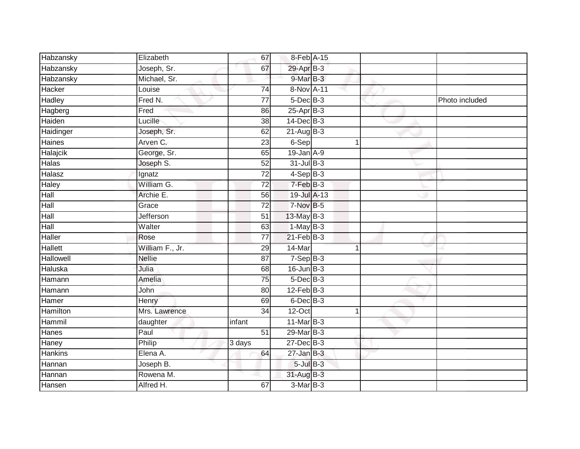| Habzansky        | Elizabeth       | 67              | 8-Feb A-15       |   |                |
|------------------|-----------------|-----------------|------------------|---|----------------|
| <b>Habzansky</b> | Joseph, Sr.     | 67              | 29-Apr B-3       |   |                |
| Habzansky        | Michael, Sr.    |                 | 9-Mar B-3        |   |                |
| Hacker           | Louise          | 74              | 8-Nov A-11       |   |                |
| Hadley           | Fred N.         | $\overline{77}$ | $5$ -Dec $B$ -3  |   | Photo included |
| Hagberg          | Fred            | 86              | 25-Apr B-3       |   |                |
| Haiden           | Lucille         | 38              | $14$ -Dec $B-3$  |   |                |
| Haidinger        | Joseph, Sr.     | 62              | $21-AugB-3$      |   |                |
| Haines           | Arven C.        | 23              | $6-Sep$          |   |                |
| Halajcik         | George, Sr.     | 65              | 19-Jan A-9       |   |                |
| Halas            | Joseph S.       | 52              | 31-Jul B-3       |   |                |
| Halasz           | Ignatz          | $\overline{72}$ | $4-Sep$ B-3      |   |                |
| <b>Haley</b>     | William G.      | $\overline{72}$ | 7-Feb B-3        |   |                |
| Hall             | Archie E.       | 56              | 19-Jul A-13      |   |                |
| Hall             | Grace           | $\overline{72}$ | 7-Nov B-5        |   |                |
| Hall             | Jefferson       | $\overline{51}$ | 13-May B-3       |   |                |
| <b>Hall</b>      | Walter          | 63              | $1-MayB-3$       |   |                |
| <b>Haller</b>    | Rose            | $\overline{77}$ | $21$ -Feb $B-3$  |   |                |
| <b>Hallett</b>   | William F., Jr. | 29              | 14-Mar           | 4 |                |
| Hallowell        | <b>Nellie</b>   | $\overline{87}$ | $7-SepB-3$       |   |                |
| Haluska          | Julia           | 68              | $16$ -Jun $B-3$  |   |                |
| Hamann           | Amelia          | 75              | $5$ -Dec $B$ -3  |   |                |
| Hamann           | John            | 80              | $12$ -Feb $B-3$  |   |                |
| Hamer            | Henry           | 69              | $6$ -Dec $B$ -3  |   |                |
| Hamilton         | Mrs. Lawrence   | 34              | $12$ -Oct        | 1 |                |
| Hammil           | daughter        | infant          | $11$ -Mar $B-3$  |   |                |
| <b>Hanes</b>     | Paul            | $\overline{51}$ | $29$ -Mar $B-3$  |   |                |
| Haney            | Philip          | 3 days          | $27$ -Dec $B-3$  |   |                |
| <b>Hankins</b>   | Elena A.        | 64              | $27 - Jan$ $B-3$ |   |                |
| Hannan           | Joseph B.       |                 | $5$ -Jul $B$ -3  |   |                |
| Hannan           | Rowena M.       |                 | 31-Aug B-3       |   |                |
| Hansen           | Alfred H.       | 67              | $3-MarB-3$       |   |                |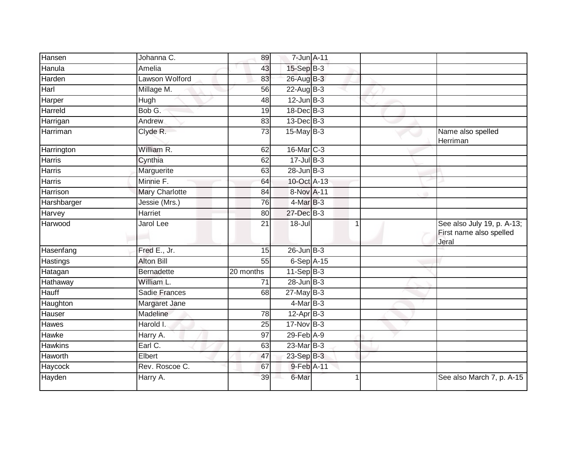| Hansen         | Johanna C.            | 89        | 7-Jun A-11       |  |                                                                |
|----------------|-----------------------|-----------|------------------|--|----------------------------------------------------------------|
| Hanula         | Amelia                | 43        | 15-Sep B-3       |  |                                                                |
| Harden         | Lawson Wolford        | 83        | 26-Aug B-3       |  |                                                                |
| Harl           | Millage M.            | 56        | $22$ -Aug B-3    |  |                                                                |
| Harper         | Hugh                  | 48        | $12$ -Jun $B-3$  |  |                                                                |
| Harreld        | Bob G.                | 19        | 18-Dec B-3       |  |                                                                |
| Harrigan       | Andrew                | 83        | $13$ -Dec $B-3$  |  |                                                                |
| Harriman       | Clyde R.              | 73        | 15-May B-3       |  | Name also spelled<br>Herriman                                  |
| Harrington     | William R.            | 62        | 16-Mar C-3       |  |                                                                |
| <b>Harris</b>  | Cynthia               | 62        | $17$ -Jul B-3    |  |                                                                |
| <b>Harris</b>  | Marguerite            | 63        | $28 - Jun$ $B-3$ |  |                                                                |
| Harris         | Minnie F.             | 64        | 10-Oct A-13      |  |                                                                |
| Harrison       | <b>Mary Charlotte</b> | 84        | 8-Nov A-11       |  |                                                                |
| Harshbarger    | Jessie (Mrs.)         | 76        | $4$ -Mar $B-3$   |  |                                                                |
| Harvey         | Harriet               | 80        | 27-Dec B-3       |  |                                                                |
| Harwood        | Jarol Lee             | 21        | $18 -$ Jul       |  | See also July 19, p. A-13;<br>First name also spelled<br>Jeral |
| Hasenfang      | Fred E., Jr.          | 15        | $26$ -Jun $B-3$  |  |                                                                |
| Hastings       | <b>Alton Bill</b>     | 55        | $6-Sep$ A-15     |  |                                                                |
| Hatagan        | <b>Bernadette</b>     | 20 months | $11-Sep$ $B-3$   |  |                                                                |
| Hathaway       | William L.            | 71        | $28$ -Jun $B-3$  |  |                                                                |
| <b>Hauff</b>   | <b>Sadie Frances</b>  | 68        | $27$ -May B-3    |  |                                                                |
| Haughton       | Margaret Jane         |           | $4$ -Mar B-3     |  |                                                                |
| Hauser         | Madeline              | 78        | $12-Apr$ B-3     |  |                                                                |
| Hawes          | Harold I.             | 25        | 17-Nov B-3       |  |                                                                |
| Hawke          | Harry A.              | 97        | $29$ -Feb $A-9$  |  |                                                                |
| <b>Hawkins</b> | Earl C.               | 63        | 23-Mar B-3       |  |                                                                |
| Haworth        | Elbert                | 47        | $23-SepB-3$      |  |                                                                |
| Haycock        | Rev. Roscoe C.        | 67        | 9-Feb A-11       |  |                                                                |
| Hayden         | Harry A.              | 39        | 6-Mar            |  | See also March 7, p. A-15                                      |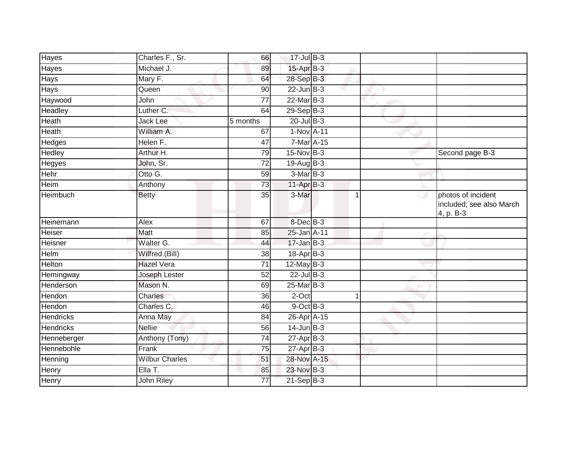| Charles F., Sr.       | 66              |  |                                                                                                                                                                                                                                                                                                                                                                                                                                                                                      |                                                             |
|-----------------------|-----------------|--|--------------------------------------------------------------------------------------------------------------------------------------------------------------------------------------------------------------------------------------------------------------------------------------------------------------------------------------------------------------------------------------------------------------------------------------------------------------------------------------|-------------------------------------------------------------|
| Michael J.            | 89              |  |                                                                                                                                                                                                                                                                                                                                                                                                                                                                                      |                                                             |
| Mary F.               | 64              |  |                                                                                                                                                                                                                                                                                                                                                                                                                                                                                      |                                                             |
| Queen                 | 90              |  |                                                                                                                                                                                                                                                                                                                                                                                                                                                                                      |                                                             |
| John                  | $\overline{77}$ |  |                                                                                                                                                                                                                                                                                                                                                                                                                                                                                      |                                                             |
| Luther C.             | 64              |  |                                                                                                                                                                                                                                                                                                                                                                                                                                                                                      |                                                             |
| Jack Lee              | 5 months        |  |                                                                                                                                                                                                                                                                                                                                                                                                                                                                                      |                                                             |
| William A.            | 67              |  |                                                                                                                                                                                                                                                                                                                                                                                                                                                                                      |                                                             |
| Helen F.              | 47              |  |                                                                                                                                                                                                                                                                                                                                                                                                                                                                                      |                                                             |
| Arthur H.             | 79              |  |                                                                                                                                                                                                                                                                                                                                                                                                                                                                                      | Second page B-3                                             |
| John, Sr.             | 72              |  |                                                                                                                                                                                                                                                                                                                                                                                                                                                                                      |                                                             |
| Otto G.               | 59              |  |                                                                                                                                                                                                                                                                                                                                                                                                                                                                                      |                                                             |
| Anthony               | 73              |  |                                                                                                                                                                                                                                                                                                                                                                                                                                                                                      |                                                             |
| <b>Betty</b>          | 35              |  |                                                                                                                                                                                                                                                                                                                                                                                                                                                                                      | photos of incident<br>included; see also March<br>4, p. B-3 |
| Alex                  | 67              |  |                                                                                                                                                                                                                                                                                                                                                                                                                                                                                      |                                                             |
| Matt                  | 85              |  |                                                                                                                                                                                                                                                                                                                                                                                                                                                                                      |                                                             |
| Walter G.             | 44              |  |                                                                                                                                                                                                                                                                                                                                                                                                                                                                                      |                                                             |
| Wilfred (Bill)        | 38              |  |                                                                                                                                                                                                                                                                                                                                                                                                                                                                                      |                                                             |
| <b>Hazel Vera</b>     | 71              |  |                                                                                                                                                                                                                                                                                                                                                                                                                                                                                      |                                                             |
| Joseph Lester         | 52              |  |                                                                                                                                                                                                                                                                                                                                                                                                                                                                                      |                                                             |
| Mason N.              | 69              |  |                                                                                                                                                                                                                                                                                                                                                                                                                                                                                      |                                                             |
| Charles               | 36              |  |                                                                                                                                                                                                                                                                                                                                                                                                                                                                                      |                                                             |
| Charles C.            | 46              |  |                                                                                                                                                                                                                                                                                                                                                                                                                                                                                      |                                                             |
| Anna May              | 84              |  |                                                                                                                                                                                                                                                                                                                                                                                                                                                                                      |                                                             |
| <b>Nellie</b>         | 56              |  |                                                                                                                                                                                                                                                                                                                                                                                                                                                                                      |                                                             |
| Anthony (Tony)        | 74              |  |                                                                                                                                                                                                                                                                                                                                                                                                                                                                                      |                                                             |
| Frank                 | 75              |  |                                                                                                                                                                                                                                                                                                                                                                                                                                                                                      |                                                             |
| <b>Wilbur Charles</b> | 51              |  |                                                                                                                                                                                                                                                                                                                                                                                                                                                                                      |                                                             |
| Ella T.               | 85              |  |                                                                                                                                                                                                                                                                                                                                                                                                                                                                                      |                                                             |
| John Riley            | 77              |  |                                                                                                                                                                                                                                                                                                                                                                                                                                                                                      |                                                             |
|                       |                 |  | 17-Jul B-3<br>15-Apr B-3<br>28-Sep B-3<br>$22$ -Jun $B-3$<br>22-Mar B-3<br>$29-Sep$ $B-3$<br>$20$ -Jul B-3<br>1-Nov A-11<br>7-Mar A-15<br>15-Nov B-3<br>$19$ -AugB-3<br>$3-Mar$ B-3<br>$11-Apr$ B-3<br>3-Mar<br>8-Dec B-3<br>25-Jan A-11<br>$17 - Jan$ $B-3$<br>18-Apr B-3<br>$12$ -May B-3<br>$22$ -Jul B-3<br>25-Mar B-3<br>2-Oct<br>$9$ -Oct $B$ -3<br>26-Apr <sup>A-15</sup><br>$14$ -Jun B-3<br>$27$ -Apr $B-3$<br>$27$ -Apr $B-3$<br>28-Nov A-15<br>23-Nov B-3<br>$21-Sep$ B-3 | 1<br>1                                                      |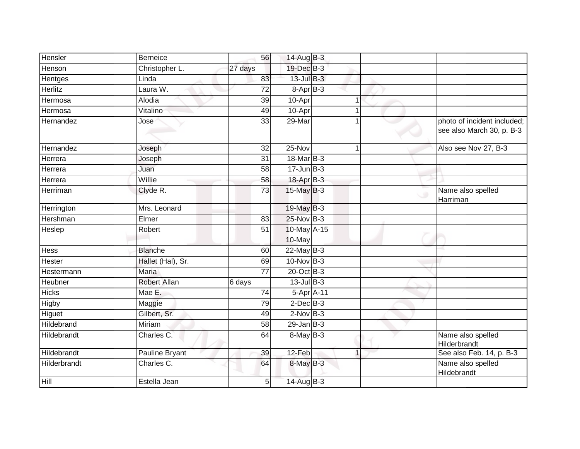| Hensler      | Berneice              | 56              | 14-Aug $B-3$          |                                                          |
|--------------|-----------------------|-----------------|-----------------------|----------------------------------------------------------|
| Henson       | Christopher L.        | 27 days         | 19-Dec B-3            |                                                          |
| Hentges      | Linda                 | 83              | 13-Jul B-3            |                                                          |
| Herlitz      | Laura W.              | 72              | 8-Apr B-3             |                                                          |
| Hermosa      | Alodia                | $\overline{39}$ | 10-Apr                |                                                          |
| Hermosa      | Vitalino              | 49              | 10-Apr                |                                                          |
| Hernandez    | Jose                  | 33              | 29-Mar                | photo of incident included;<br>see also March 30, p. B-3 |
| Hernandez    | Joseph                | 32              | 25-Nov                | Also see Nov 27, B-3                                     |
| Herrera      | Joseph                | 31              | 18-Mar B-3            |                                                          |
| Herrera      | Juan                  | 58              | $17 - Jun$ B-3        |                                                          |
| Herrera      | Willie                | 58              | 18-Apr B-3            |                                                          |
| Herriman     | Clyde R.              | 73              | $15$ -May B-3         | Name also spelled<br>Harriman                            |
| Herrington   | Mrs. Leonard          |                 | 19-May B-3            |                                                          |
| Hershman     | Elmer                 | 83              | 25-Nov B-3            |                                                          |
| Heslep       | Robert                | 51              | 10-May A-15<br>10-May |                                                          |
| Hess         | <b>Blanche</b>        | 60              | $22$ -May B-3         |                                                          |
| Hester       | Hallet (Hal), Sr.     | 69              | 10-Nov B-3            |                                                          |
| Hestermann   | <b>Maria</b>          | $\overline{77}$ | 20-Oct B-3            |                                                          |
| Heubner      | <b>Robert Allan</b>   | 6 days          | $13$ -Jul $B-3$       |                                                          |
| <b>Hicks</b> | Mae E.                | $\overline{74}$ | 5-Apr A-11            |                                                          |
| Higby        | Maggie                | 79              | $2$ -Dec $B-3$        |                                                          |
| Higuet       | Gilbert, Sr.          | 49              | $2$ -Nov $B-3$        |                                                          |
| Hildebrand   | Miriam                | 58              | $29$ -Jan B-3         |                                                          |
| Hildebrandt  | Charles C.            | 64              | $8$ -May $B-3$        | Name also spelled<br>Hilderbrandt                        |
| Hildebrandt  | <b>Pauline Bryant</b> | 39              | 12-Feb                | See also Feb. 14, p. B-3                                 |
| Hilderbrandt | Charles C.            | 64              | 8-May B-3             | Name also spelled<br>Hildebrandt                         |
| Hill         | Estella Jean          | 5 <sub>l</sub>  | 14-Aug B-3            |                                                          |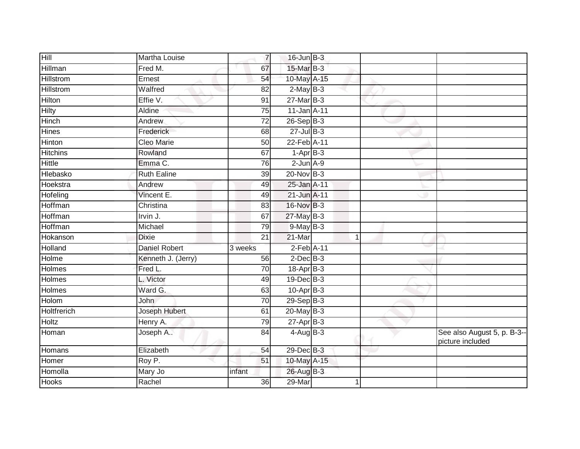| Hill             | Martha Louise        | $\overline{7}$  | $16$ -Jun $B-3$    |   |                                                 |
|------------------|----------------------|-----------------|--------------------|---|-------------------------------------------------|
| Hillman          | Fred M.              | 67              | 15-Mar B-3         |   |                                                 |
| <b>Hillstrom</b> | Ernest               | 54              | 10-May A-15        |   |                                                 |
| <b>Hillstrom</b> | Walfred              | 82              | $2$ -May $B-3$     |   |                                                 |
| <b>Hilton</b>    | Effie V.             | $\overline{91}$ | $27$ -Mar $B-3$    |   |                                                 |
| Hilty            | Aldine               | 75              | 11-Jan A-11        |   |                                                 |
| Hinch            | Andrew               | 72              | 26-Sep B-3         |   |                                                 |
| Hines            | Frederick            | 68              | $27 -$ Jul $B - 3$ |   |                                                 |
| Hinton           | Cleo Marie           | 50              | 22-Feb A-11        |   |                                                 |
| <b>Hitchins</b>  | Rowland              | 67              | $1-AprB-3$         |   |                                                 |
| <b>Hittle</b>    | Emma C.              | 76              | $2$ -Jun $A-9$     |   |                                                 |
| Hlebasko         | <b>Ruth Ealine</b>   | 39              | 20-Nov B-3         |   |                                                 |
| Hoekstra         | Andrew               | 49              | 25-Jan A-11        |   |                                                 |
| Hofeling         | Vincent E.           | 49              | 21-Jun A-11        |   |                                                 |
| Hoffman          | Christina            | 83              | 16-Nov B-3         |   |                                                 |
| Hoffman          | Irvin J.             | 67              | 27-May B-3         |   |                                                 |
| <b>Hoffman</b>   | Michael              | 79              | $9$ -May $B-3$     |   |                                                 |
| Hokanson         | <b>Dixie</b>         | 21              | 21-Mar             | 1 |                                                 |
| Holland          | <b>Daniel Robert</b> | 3 weeks         | $2$ -Feb $A-11$    |   |                                                 |
| Holme            | Kenneth J. (Jerry)   | 56              | $2$ -Dec $B-3$     |   |                                                 |
| Holmes           | Fred L.              | 70              | 18-Apr B-3         |   |                                                 |
| Holmes           | L. Victor            | 49              | 19-Dec B-3         |   |                                                 |
| Holmes           | Ward G.              | 63              | $10-Apr$ B-3       |   |                                                 |
| Holom            | John                 | 70              | $29-Sep$ $B-3$     |   |                                                 |
| Holtfrerich      | Joseph Hubert        | 61              | $20$ -May $B-3$    |   |                                                 |
| <b>Holtz</b>     | Henry A.             | 79              | $27$ -Apr $B-3$    |   |                                                 |
| Homan            | Joseph A             | 84              | $4$ -Aug B-3       |   | See also August 5, p. B-3--<br>picture included |
| Homans           | Elizabeth            | 54              | 29-Dec B-3         |   |                                                 |
| Homer            | Roy P.               | 51              | 10-May A-15        |   |                                                 |
| Homolla          | Mary Jo              | infant          | 26-Aug B-3         |   |                                                 |
| Hooks            | Rachel               | 36              | 29-Mar             |   |                                                 |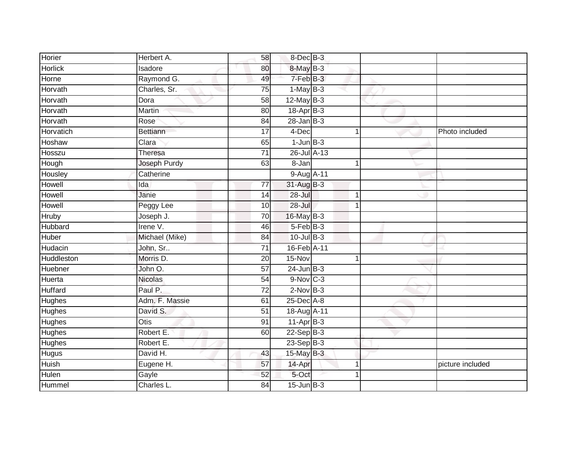| Horier         | Herbert A.      | 58              | 8-Dec B-3       |             |                  |
|----------------|-----------------|-----------------|-----------------|-------------|------------------|
| <b>Horlick</b> | Isadore         | 80              | 8-May B-3       |             |                  |
| Horne          | Raymond G.      | 49              | 7-Feb B-3       |             |                  |
| Horvath        | Charles, Sr.    | 75              | $1-May$ B-3     |             |                  |
| Horvath        | Dora            | $\overline{58}$ | $12$ -May B-3   |             |                  |
| Horvath        | Martin          | 80              | 18-Apr B-3      |             |                  |
| Horvath        | Rose            | 84              | $28$ -Jan B-3   |             |                  |
| Horvatich      | <b>Bettiann</b> | $\overline{17}$ | 4-Dec           | 1           | Photo included   |
| Hoshaw         | Clara           | 65              | $1$ -Jun $B-3$  |             |                  |
| Hosszu         | Theresa         | $\overline{71}$ | 26-Jul A-13     |             |                  |
| Hough          | Joseph Purdy    | 63              | 8-Jan           | 1           |                  |
| Housley        | Catherine       |                 | 9-Aug A-11      |             |                  |
| Howell         | Ida             | 77              | 31-Aug B-3      |             |                  |
| Howell         | Janie           | 14              | $28 -$ Jul      | 1           |                  |
| Howell         | Peggy Lee       | 10              | $28 -$ Jul      | $\mathbf 1$ |                  |
| Hruby          | Joseph J.       | 70              | 16-May B-3      |             |                  |
| Hubbard        | Irene V.        | 46              | $5 - Feb$ $B-3$ |             |                  |
| Huber          | Michael (Mike)  | 84              | $10$ -Jul $B-3$ |             |                  |
| Hudacin        | John, Sr        | $\overline{71}$ | 16-Feb A-11     |             |                  |
| Huddleston     | Morris D.       | $\overline{20}$ | 15-Nov          | 1           |                  |
| Huebner        | John O.         | $\overline{57}$ | $24$ -Jun $B-3$ |             |                  |
| Huerta         | <b>Nicolas</b>  | 54              | $9-Nov$ C-3     |             |                  |
| Huffard        | Paul P.         | 72              | $2$ -Nov $B-3$  |             |                  |
| Hughes         | Adm. F. Massie  | 61              | 25-Dec A-8      |             |                  |
| Hughes         | David S.        | 51              | 18-Aug A-11     |             |                  |
| Hughes         | <b>Otis</b>     | 91              | $11$ -Apr $B-3$ |             |                  |
| <b>Hughes</b>  | Robert E.       | 60              | $22-Sep$ B-3    |             |                  |
| Hughes         | Robert E.       |                 | 23-Sep B-3      |             |                  |
| <b>Hugus</b>   | David H.        | 43              | 15-May B-3      |             |                  |
| Huish          | Eugene H.       | 57              | 14-Apr          | $\mathbf 1$ | picture included |
| Hulen          | Gayle           | $\overline{52}$ | 5-Oct           |             |                  |
| Hummel         | Charles L.      | $\overline{84}$ | $15$ -Jun $B-3$ |             |                  |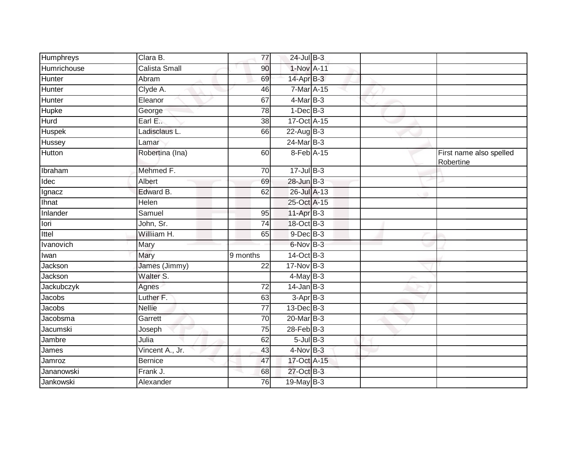| Humphreys     | Clara B.        | 77              | 24-Jul B-3      |  |                                      |
|---------------|-----------------|-----------------|-----------------|--|--------------------------------------|
| Humrichouse   | Calista Small   | 90              | 1-Nov A-11      |  |                                      |
| Hunter        | Abram           | 69              | $14$ -Apr $B-3$ |  |                                      |
| Hunter        | Clyde A.        | 46              | 7-Mar A-15      |  |                                      |
| Hunter        | Eleanor         | 67              | 4-Mar B-3       |  |                                      |
| Hupke         | George          | 78              | $1-Dec$ B-3     |  |                                      |
| Hurd          | Earl E          | 38              | 17-Oct A-15     |  |                                      |
| <b>Huspek</b> | Ladisclaus L.   | 66              | $22$ -Aug B-3   |  |                                      |
| Hussey        | Lamar           |                 | 24-Mar B-3      |  |                                      |
| Hutton        | Robertina (Ina) | 60              | 8-Feb A-15      |  | First name also spelled<br>Robertine |
| Ibraham       | Mehmed F.       | 70              | $17 -$ Jul B-3  |  |                                      |
| Idec          | Albert          | 69              | $28$ -Jun $B-3$ |  |                                      |
| Ignacz        | Edward B.       | 62              | 26-Jul A-13     |  |                                      |
| <b>Ihnat</b>  | Helen           |                 | 25-Oct A-15     |  |                                      |
| Inlander      | Samuel          | 95              | 11-Apr B-3      |  |                                      |
| lori          | John, Sr.       | $\overline{74}$ | 18-Oct B-3      |  |                                      |
| Ittel         | Williiam H.     | 65              | $9$ -Dec $B$ -3 |  |                                      |
| Ivanovich     | Mary            |                 | $6-NovB-3$      |  |                                      |
| Iwan          | Mary            | 9 months        | $14-Oct$ B-3    |  |                                      |
| Jackson       | James (Jimmy)   | 22              | 17-Nov B-3      |  |                                      |
| Jackson       | Walter S.       |                 | $4$ -May $B-3$  |  |                                      |
| Jackubczyk    | Agnes           | 72              | $14$ -Jan $B-3$ |  |                                      |
| Jacobs        | Luther F.       | 63              | $3-AprB-3$      |  |                                      |
| Jacobs        | <b>Nellie</b>   | 77              | $13$ -Dec $B-3$ |  |                                      |
| Jacobsma      | Garrett         | $\overline{70}$ | $20$ -Mar $B-3$ |  |                                      |
| Jacumski      | Joseph          | 75              | $28$ -Feb $B-3$ |  |                                      |
| Jambre        | Julia           | 62              | $5$ -Jul $B-3$  |  |                                      |
| James         | Vincent A., Jr. | 43              | $4$ -Nov B-3    |  |                                      |
| Jamroz        | <b>Bernice</b>  | 47              | 17-Oct A-15     |  |                                      |
| Jananowski    | Frank J.        | 68              | 27-Oct B-3      |  |                                      |
| Jankowski     | Alexander       | 76              | 19-May B-3      |  |                                      |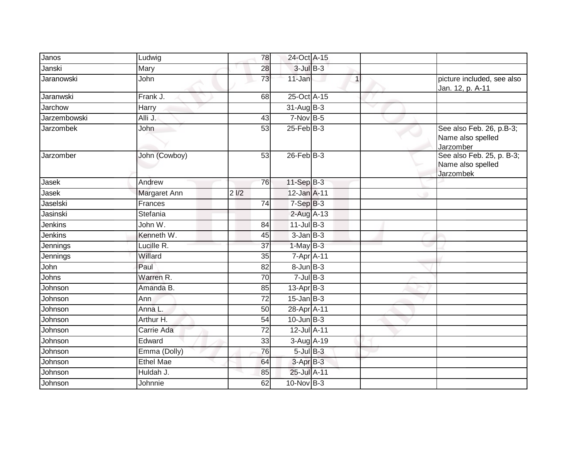| Janos               | Ludwig           | 78               | 24-Oct A-15      |              |                                                             |
|---------------------|------------------|------------------|------------------|--------------|-------------------------------------------------------------|
| Janski              | Mary             | 28               | $3$ -Jul $B-3$   |              |                                                             |
| <b>Jaranowski</b>   | John             | 73               | 11-Jan           | $\mathbf{1}$ | picture included, see also<br>Jan. 12, p. A-11              |
| Jaranwski           | Frank J.         | 68               | 25-Oct A-15      |              |                                                             |
| Jarchow             | Harry            |                  | $31-AugB-3$      |              |                                                             |
| <b>Jarzembowski</b> | Alli J.          | 43               | $7-Nov$ B-5      |              |                                                             |
| Jarzombek           | John             | 53               | $25$ -Feb $B$ -3 |              | See also Feb. 26, p.B-3;<br>Name also spelled<br>Jarzomber  |
| Jarzomber           | John (Cowboy)    | 53               | $26$ -Feb $B-3$  |              | See also Feb. 25, p. B-3;<br>Name also spelled<br>Jarzombek |
| Jasek               | Andrew           | 76               | $11-Sep$ B-3     |              |                                                             |
| Jasek               | Margaret Ann     | 2 <sub>1/2</sub> | 12-Jan A-11      |              |                                                             |
| Jaselski            | Frances          | 74               | $7-SepB-3$       |              |                                                             |
| Jasinski            | Stefania         |                  | 2-Aug A-13       |              |                                                             |
| Jenkins             | John W.          | 84               | $11$ -Jul B-3    |              |                                                             |
| Jenkins             | Kenneth W.       | 45               | $3$ -Jan $B-3$   |              |                                                             |
| Jennings            | Lucille R.       | 37               | $1$ -May $B-3$   |              |                                                             |
| Jennings            | Willard          | 35               | 7-Apr A-11       |              |                                                             |
| John                | Paul             | 82               | $8 - Jun$ $B-3$  |              |                                                             |
| Johns               | Warren R.        | 70               | $7$ -Jul $B-3$   |              |                                                             |
| Johnson             | Amanda B.        | 85               | $13$ -Apr $B-3$  |              |                                                             |
| Johnson             | Ann              | $\overline{72}$  | $15$ -Jan B-3    |              |                                                             |
| Johnson             | Anna L.          | 50               | 28-Apr A-11      |              |                                                             |
| Johnson             | Arthur H.        | 54               | $10$ -Jun $B-3$  |              |                                                             |
| Johnson             | Carrie Ada       | 72               | 12-Jul A-11      |              |                                                             |
| Johnson             | Edward           | 33               | $3-Aug$ $A-19$   |              |                                                             |
| Johnson             | Emma (Dolly)     | 76               | $5$ -Jul $B-3$   |              |                                                             |
| Johnson             | <b>Ethel Mae</b> | 64               | $3$ -Apr $B-3$   |              |                                                             |
| Johnson             | Huldah J.        | 85               | 25-Jul A-11      |              |                                                             |
| Johnson             | Johnnie          | 62               | $10$ -Nov $B-3$  |              |                                                             |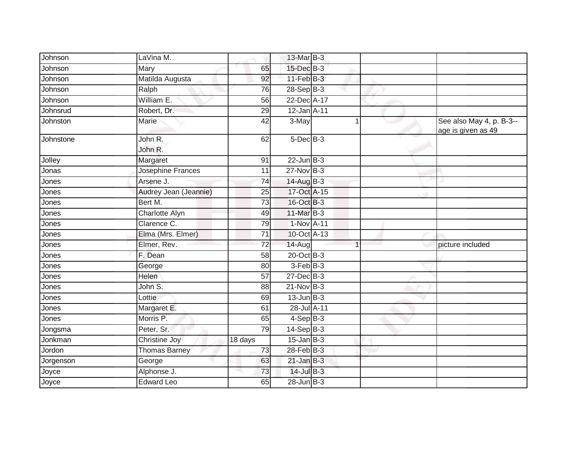| Johnson   | LaVina M.             |                 | 13-Mar B-3      |                         |                                                |
|-----------|-----------------------|-----------------|-----------------|-------------------------|------------------------------------------------|
| Johnson   | Mary                  | 65              | 15-Dec B-3      |                         |                                                |
| Johnson   | Matilda Augusta       | 92              | $11-FebB-3$     |                         |                                                |
| Johnson   | Ralph                 | 76              | $28-Sep$ B-3    |                         |                                                |
| Johnson   | William E.            | $\overline{56}$ | 22-Dec A-17     |                         |                                                |
| Johnsrud  | Robert, Dr.           | 29              | 12-Jan A-11     |                         |                                                |
| Johnston  | <b>Marie</b>          | 42              | 3-May           |                         | See also May 4, p. B-3--<br>age is given as 49 |
| Johnstone | John R.<br>John R.    | 62              | $5$ -Dec $B$ -3 |                         |                                                |
| Jolley    | Margaret              | 91              | $22$ -Jun $B-3$ |                         |                                                |
| Jonas     | Josephine Frances     | 11              | 27-Nov B-3      |                         |                                                |
| Jones     | Arsene J.             | 74              | 14-Aug B-3      |                         |                                                |
| Jones     | Audrey Jean (Jeannie) | 25              | 17-Oct A-15     |                         |                                                |
| Jones     | Bert M.               | 73              | 16-Oct B-3      |                         |                                                |
| Jones     | <b>Charlotte Alyn</b> | 49              | 11-Mar B-3      |                         |                                                |
| Jones     | Clarence C.           | 79              | 1-Nov A-11      |                         |                                                |
| Jones     | Elma (Mrs. Elmer)     | 71              | 10-Oct A-13     |                         |                                                |
| Jones     | Elmer, Rev.           | 72              | 14-Aug          | $\overline{\mathbf{A}}$ | picture included                               |
| Jones     | F. Dean               | 58              | 20-Oct B-3      |                         |                                                |
| Jones     | George                | 80              | $3-FebB-3$      |                         |                                                |
| Jones     | Helen                 | 57              | 27-Dec B-3      |                         |                                                |
| Jones     | John S.               | 88              | $21$ -Nov B-3   |                         |                                                |
| Jones     | Lottie                | 69              | $13$ -Jun $B-3$ |                         |                                                |
| Jones     | Margaret E.           | 61              | 28-Jul A-11     |                         |                                                |
| Jones     | Morris P.             | 65              | $4-SepB-3$      |                         |                                                |
| Jongsma   | Peter, Sr.            | 79              | $14-Sep$ B-3    |                         |                                                |
| Jonkman   | Christine Joy         | 18 days         | $15$ -Jan B-3   |                         |                                                |
| Jordon    | Thomas Barney         | 73              | 28-Feb B-3      |                         |                                                |
| Jorgenson | George                | 63              | $21$ -Jan B-3   |                         |                                                |
| Joyce     | Alphonse J.           | 73              | $14$ -Jul B-3   |                         |                                                |
| Joyce     | <b>Edward Leo</b>     | 65              | $28$ -Jun $B-3$ |                         |                                                |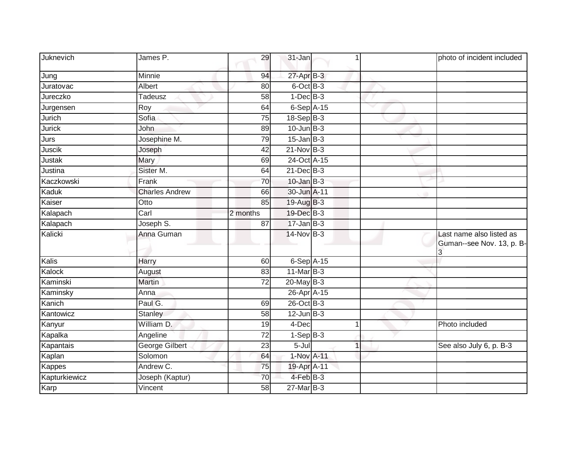| Juknevich     | James P.              | 29              | 31-Jan          |              | photo of incident included                            |
|---------------|-----------------------|-----------------|-----------------|--------------|-------------------------------------------------------|
| Jung          | Minnie                | 94              | 27-Apr B-3      |              |                                                       |
| Juratovac     | Albert                | 80              | $6$ -Oct $B-3$  |              |                                                       |
| Jureczko      | <b>Tadeusz</b>        | 58              | $1-Dec$ B-3     |              |                                                       |
| Jurgensen     | Roy                   | 64              | $6-Sep$ A-15    | $\checkmark$ |                                                       |
| Jurich        | Sofia                 | 75              | $18-Sep$ B-3    |              |                                                       |
| <b>Jurick</b> | John                  | 89              | $10$ -Jun $B-3$ |              |                                                       |
| Jurs          | Josephine M.          | 79              | $15$ -Jan B-3   |              |                                                       |
| Juscik        | Joseph                | 42              | $21$ -Nov $B-3$ |              |                                                       |
| Justak        | Mary                  | 69              | 24-Oct A-15     |              |                                                       |
| Justina       | Sister M.             | 64              | $21$ -Dec $B-3$ |              |                                                       |
| Kaczkowski    | Frank                 | 70              | $10$ -Jan B-3   |              |                                                       |
| Kaduk         | <b>Charles Andrew</b> | 66              | 30-Jun A-11     |              |                                                       |
| Kaiser        | Otto                  | 85              | 19-Aug B-3      |              |                                                       |
| Kalapach      | Carl                  | 2 months        | 19-Dec B-3      |              |                                                       |
| Kalapach      | Joseph S.             | 87              | $17 - Jan$ B-3  |              |                                                       |
| Kalicki       | Anna Guman            |                 | $14$ -Nov B-3   |              | Last name also listed as<br>Guman--see Nov. 13, p. B- |
| Kalis         | Harry                 | 60              | $6-Sep$ $A-15$  |              |                                                       |
| Kalock        | August                | 83              | 11-Mar B-3      |              |                                                       |
| Kaminski      | Martin                | 72              | $20$ -May B-3   |              |                                                       |
| Kaminsky      | Anna                  |                 | 26-Apr A-15     |              |                                                       |
| Kanich        | Paul G.               | 69              | 26-Oct B-3      |              |                                                       |
| Kantowicz     | <b>Stanley</b>        | 58              | $12$ -Jun $B-3$ |              |                                                       |
| Kanyur        | William D.            | 19              | 4-Dec           |              | Photo included                                        |
| Kapalka       | Angeline              | 72              | $1-SepB-3$      |              |                                                       |
| Kapantais     | George Gilbert        | $\overline{23}$ | $5 -$ Jul       |              | See also July 6, p. B-3                               |
| Kaplan        | Solomon               | 64              | 1-Nov A-11      |              |                                                       |
| Kappes        | Andrew C.             | 75              | 19-Apr A-11     |              |                                                       |
| Kapturkiewicz | Joseph (Kaptur)       | 70              | 4-Feb B-3       |              |                                                       |
| Karp          | Vincent               | 58              | 27-Mar B-3      |              |                                                       |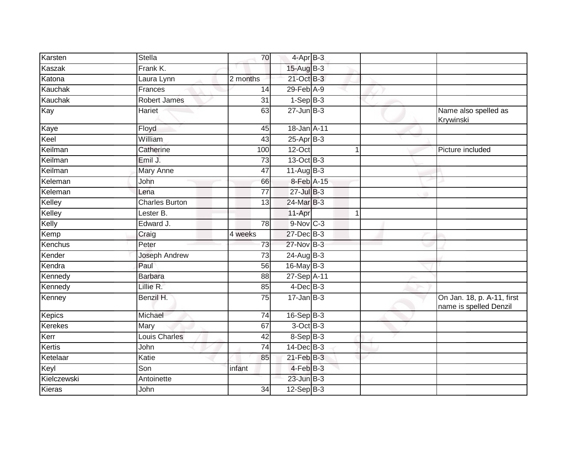| Karsten        | Stella                  | 70              | $4$ -Apr $B-3$   |   |                                                      |
|----------------|-------------------------|-----------------|------------------|---|------------------------------------------------------|
| Kaszak         | Frank K.                |                 | 15-Aug B-3       |   |                                                      |
| Katona         | Laura Lynn              | 2 months        | 21-Oct B-3       |   |                                                      |
| Kauchak        | Frances                 | 14              | 29-Feb A-9       |   |                                                      |
| Kauchak        | <b>Robert James</b>     | 31              | $1-SepB-3$       |   |                                                      |
| Kay            | Hariet                  | 63              | $27 - Jun$ B-3   |   | Name also spelled as<br>Krywinski                    |
| Kaye           | Floyd                   | 45              | 18-Jan A-11      |   |                                                      |
| Keel           | William                 | 43              | $25$ -Apr $B-3$  |   |                                                      |
| Keilman        | Catherine               | 100             | 12-Oct           |   | Picture included                                     |
| Keilman        | Emil J.                 | 73              | 13-Oct B-3       |   |                                                      |
| Keilman        | <b>Mary Anne</b>        | 47              | $11-Aug$ B-3     |   |                                                      |
| Keleman        | John                    | 66              | 8-Feb A-15       |   |                                                      |
| Keleman        | Lena                    | $\overline{77}$ | $27 -$ Jul B-3   |   |                                                      |
| Kelley         | <b>Charles Burton</b>   | 13              | 24-Mar B-3       |   |                                                      |
| Kelley         | Lester $\overline{B}$ . |                 | 11-Apr           | 1 |                                                      |
| Kelly          | Edward J.               | 78              | 9-Nov C-3        |   |                                                      |
| Kemp           | Craig                   | 4 weeks         | 27-Dec B-3       |   |                                                      |
| Kenchus        | Peter                   | 73              | 27-Nov B-3       |   |                                                      |
| Kender         | Joseph Andrew           | 73              | 24-Aug B-3       |   |                                                      |
| Kendra         | Paul                    | 56              | 16-May B-3       |   |                                                      |
| Kennedy        | <b>Barbara</b>          | 88              | 27-Sep A-11      |   |                                                      |
| Kennedy        | Lillie R.               | 85              | $4$ -Dec $B$ -3  |   |                                                      |
| Kenney         | Benzil H.               | 75              | $17 - Jan$ $B-3$ |   | On Jan. 18, p. A-11, first<br>name is spelled Denzil |
| Kepics         | Michael                 | 74              | $16-Sep$ B-3     |   |                                                      |
| <b>Kerekes</b> | Mary                    | 67              | $3$ -Oct $B-3$   |   |                                                      |
| Kerr           | Louis Charles           | 42              | $8-Sep$ B-3      |   |                                                      |
| Kertis         | John                    | 74              | $14$ -Dec $B-3$  |   |                                                      |
| Ketelaar       | Katie                   | 85              | $21$ -Feb $B-3$  |   |                                                      |
| Keyl           | Son                     | infant          | $4$ -Feb $B-3$   |   |                                                      |
| Kielczewski    | Antoinette              |                 | $23$ -Jun $B-3$  |   |                                                      |
| Kieras         | John                    | 34              | $12-Sep$ B-3     |   |                                                      |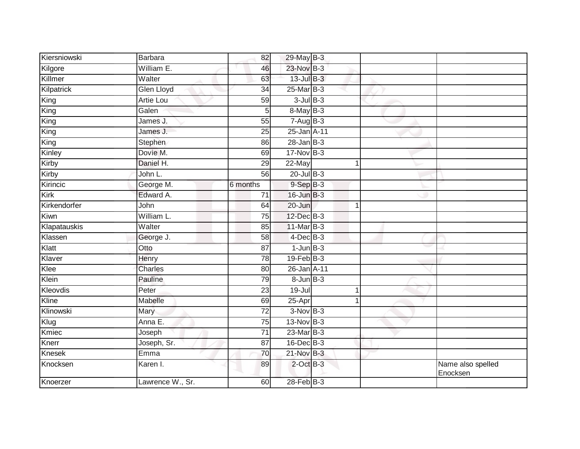| Kiersniowski | Barbara           | 82              | 29-May B-3        |    |                               |
|--------------|-------------------|-----------------|-------------------|----|-------------------------------|
| Kilgore      | William E.        | 46              | 23-Nov B-3        |    |                               |
| Killmer      | Walter            | 63              | 13-Jul B-3        |    |                               |
| Kilpatrick   | <b>Glen Lloyd</b> | $\overline{34}$ | 25-Mar B-3        |    |                               |
| King         | <b>Artie Lou</b>  | $\overline{59}$ | $3$ -Jul $B-3$    |    |                               |
| King         | Galen             | 5               | 8-May B-3         |    |                               |
| King         | James J.          | 55              | $7-AugB-3$        |    |                               |
| King         | James J.          | 25              | 25-Jan A-11       |    |                               |
| King         | Stephen           | 86              | $28 - Jan$ $B-3$  |    |                               |
| Kinley       | Dovie M.          | 69              | $17$ -Nov $B-3$   |    |                               |
| Kirby        | Daniel H.         | 29              | 22-May            | -1 |                               |
| Kirby        | John L.           | 56              | $20$ -Jul $B-3$   |    |                               |
| Kirincic     | George M.         | 6 months        | $9-Sep$ $B-3$     |    |                               |
| Kirk         | Edward A.         | 71              | 16-Jun B-3        |    |                               |
| Kirkendorfer | John              | 64              | 20-Jun            | 1  |                               |
| Kiwn         | William L.        | $\overline{75}$ | 12-Dec B-3        |    |                               |
| Klapatauskis | Walter            | 85              | $11$ -Mar $B-3$   |    |                               |
| Klassen      | George J.         | 58              | $4$ -Dec $B-3$    |    |                               |
| Klatt        | Otto              | 87              | $1$ -Jun $B-3$    |    |                               |
| Klaver       | Henry             | 78              | $19$ -Feb $ B-3 $ |    |                               |
| Klee         | Charles           | 80              | 26-Jan A-11       |    |                               |
| Klein        | Pauline           | 79              | $8 - Jun$ $B - 3$ |    |                               |
| Kleovdis     | Peter             | 23              | $19 -$ Jul        | 1  |                               |
| Kline        | Mabelle           | 69              | 25-Apr            |    |                               |
| Klinowski    | Mary              | 72              | $3-NovB-3$        |    |                               |
| Klug         | Anna E.           | 75              | 13-Nov B-3        |    |                               |
| Kmiec        | Joseph            | $\overline{71}$ | $23$ -Mar $B-3$   |    |                               |
| Knerr        | Joseph, Sr.       | 87              | 16-Dec B-3        |    |                               |
| Knesek       | Emma              | 70              | $21-Nov$ B-3      |    |                               |
| Knocksen     | Karen I.          | 89              | $2$ -Oct $B-3$    |    | Name also spelled<br>Enocksen |
| Knoerzer     | Lawrence W., Sr.  | 60              | 28-Feb B-3        |    |                               |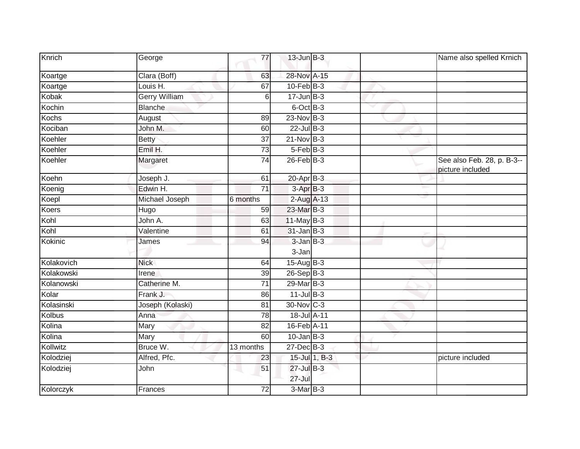| Knrich       | George               | 77              | $13$ -Jun $B-3$          |              | Name also spelled Krnich                       |
|--------------|----------------------|-----------------|--------------------------|--------------|------------------------------------------------|
| Koartge      | Clara (Boff)         | 63              | 28-Nov A-15              |              |                                                |
| Koartge      | Louis H.             | 67              | $10$ -Feb $B-3$          |              |                                                |
| Kobak        | <b>Gerry William</b> | 6               | $17 - Jun$ $B-3$         |              |                                                |
| Kochin       | <b>Blanche</b>       |                 | 6-Oct B-3                | $\checkmark$ |                                                |
| <b>Kochs</b> | August               | 89              | 23-Nov B-3               |              |                                                |
| Kociban      | John M.              | 60              | $22$ -Jul B-3            |              |                                                |
| Koehler      | <b>Betty</b>         | $\overline{37}$ | $21-Nov$ B-3             |              |                                                |
| Koehler      | Emil H.              | 73              | 5-Feb B-3                |              |                                                |
| Koehler      | Margaret             | 74              | $26$ -Feb $B-3$          |              | See also Feb. 28, p. B-3--<br>picture included |
| Koehn        | Joseph J.            | 61              | $20$ -Apr $B-3$          |              |                                                |
| Koenig       | Edwin H.             | $\overline{71}$ | 3-Apr B-3                |              |                                                |
| Koepl        | Michael Joseph       | 6 months        | $2$ -Aug $A-13$          |              |                                                |
| Koers        | Hugo                 | 59              | 23-Mar B-3               |              |                                                |
| Kohl         | John A.              | 63              | $11$ -May B-3            |              |                                                |
| Kohl         | Valentine            | 61              | $31$ -Jan B-3            |              |                                                |
| Kokinic      | James                | 94              | $3 - JanB - 3$           |              |                                                |
|              |                      |                 | 3-Jan                    |              |                                                |
| Kolakovich   | <b>Nick</b>          | 64              | 15-Aug B-3               |              |                                                |
| Kolakowski   | Irene                | 39              | $26-SepB-3$              |              |                                                |
| Kolanowski   | Catherine M.         | 71              | 29-Mar B-3               |              |                                                |
| Kolar        | Frank J.             | 86              | $11$ -Jul B-3            |              |                                                |
| Kolasinski   | Joseph (Kolaski)     | 81              | 30-Nov C-3               |              |                                                |
| Kolbus       | Anna                 | 78              | 18-Jul A-11              |              |                                                |
| Kolina       | Mary                 | 82              | 16-Feb A-11              |              |                                                |
| Kolina       | Mary                 | 60              | $10$ -Jan $B-3$          |              |                                                |
| Kollwitz     | Bruce W.             | 13 months       | 27-Dec B-3               |              |                                                |
| Kolodziej    | Alfred, Pfc.         | 23              | 15-Jul 1, B-3            |              | picture included                               |
| Kolodziej    | John                 | 51              | 27-Jul B-3<br>$27 -$ Jul |              |                                                |
| Kolorczyk    | Frances              | 72              | $3-MarB-3$               |              |                                                |
|              |                      |                 |                          |              |                                                |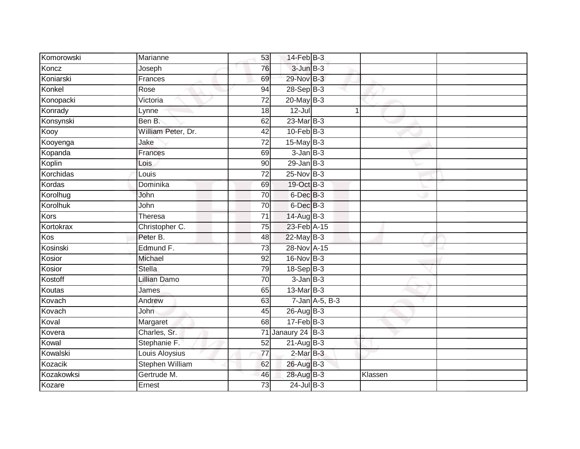| Komorowski      | Marianne            | 53              | $14$ -Feb $B-3$   |                |         |  |
|-----------------|---------------------|-----------------|-------------------|----------------|---------|--|
| Koncz           | Joseph              | 76              | $3$ -Jun $B-3$    |                |         |  |
| Koniarski       | Frances             | 69              | 29-Nov B-3        |                |         |  |
| Konkel          | Rose                | 94              | $28-SepB-3$       |                |         |  |
| Konopacki       | Victoria            | $\overline{72}$ | $20$ -May $B-3$   |                |         |  |
| Konrady         | Lynne               | 18              | $12 -$ Jul        |                | 1       |  |
| Konsynski       | Ben B.              | 62              | $23$ -Mar $B-3$   |                |         |  |
| Kooy            | William Peter, Dr.  | $\overline{42}$ | $10$ -Feb $B-3$   |                |         |  |
| Kooyenga        | Jake                | $\overline{72}$ | $15$ -May B-3     |                |         |  |
| Kopanda         | Frances             | 69              | $3$ -Jan $B-3$    |                |         |  |
| Koplin          | Lois                | 90              | $29$ -Jan B-3     |                |         |  |
| Korchidas       | Louis               | $\overline{72}$ | 25-Nov B-3        |                |         |  |
| Kordas          | Dominika            | 69              | 19-Oct B-3        |                |         |  |
| Korolhug        | John                | 70              | 6-Dec B-3         |                |         |  |
| <b>Korolhuk</b> | John                | $\overline{70}$ | 6-Dec B-3         |                |         |  |
| Kors            | Theresa             | $\overline{71}$ | 14-Aug B-3        |                |         |  |
| Kortokrax       | Christopher C.      | 75              | 23-Feb A-15       |                |         |  |
| Kos             | Peter B.            | 48              | $22$ -May B-3     |                |         |  |
| Kosinski        | Edmund F.           | 73              | 28-Nov A-15       |                |         |  |
| Kosior          | Michael             | $\overline{92}$ | 16-Nov B-3        |                |         |  |
| Kosior          | <b>Stella</b>       | 79              | $18-Sep$ B-3      |                |         |  |
| Kostoff         | <b>Lillian Damo</b> | 70              | $3$ -Jan $B-3$    |                |         |  |
| Koutas          | James               | 65              | $13$ -Mar $B-3$   |                |         |  |
| Kovach          | Andrew              | 63              |                   | 7-Jan A-5, B-3 |         |  |
| Kovach          | John                | 45              | 26-Aug B-3        |                |         |  |
| Koval           | Margaret            | 68              | $17 - Feb$ B-3    |                |         |  |
| Kovera          | Charles, Sr.        |                 | 71 Janaury 24 B-3 |                |         |  |
| Kowal           | Stephanie F.        | 52              | 21-Aug B-3        |                |         |  |
| Kowalski        | Louis Aloysius      | $\overline{77}$ | $2$ -Mar $B-3$    |                |         |  |
| Kozacik         | Stephen William     | 62              | 26-Aug B-3        |                |         |  |
| Kozakowksi      | Gertrude M.         | 46              | 28-Aug B-3        |                | Klassen |  |
| Kozare          | Ernest              | 73              | $24$ -Jul B-3     |                |         |  |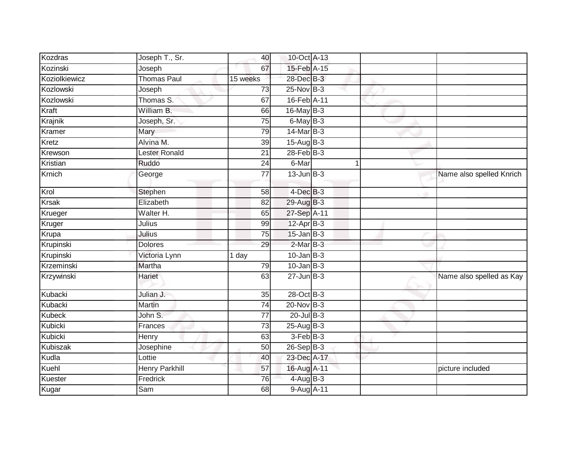| Kozdras       | Joseph T., Sr.       | 40              | 10-Oct A-13       |  |                          |
|---------------|----------------------|-----------------|-------------------|--|--------------------------|
| Kozinski      | Joseph               | 67              | 15-Feb A-15       |  |                          |
| Koziolkiewicz | <b>Thomas Paul</b>   | 15 weeks        | 28-Dec B-3        |  |                          |
| Kozlowski     | Joseph               | 73              | 25-Nov B-3        |  |                          |
| Kozlowski     | Thomas S.            | 67              | 16-Feb A-11       |  |                          |
| Kraft         | William B.           | 66              | 16-May B-3        |  |                          |
| Krajnik       | Joseph, Sr.          | 75              | $6$ -May $B-3$    |  |                          |
| Kramer        | Mary                 | 79              | 14-Mar B-3        |  |                          |
| Kretz         | Alvina M.            | 39              | $15-Aug$ B-3      |  |                          |
| Krewson       | <b>Lester Ronald</b> | 21              | $28$ -Feb $B-3$   |  |                          |
| Kristian      | Ruddo                | 24              | 6-Mar             |  |                          |
| Krnich        | George               | 77              | $13$ -Jun $B-3$   |  | Name also spelled Knrich |
| Krol          | Stephen              | 58              | $4$ -Dec $B-3$    |  |                          |
| <b>Krsak</b>  | Elizabeth            | 82              | $29$ -Aug $B-3$   |  |                          |
| Krueger       | Walter H.            | 65              | 27-Sep A-11       |  |                          |
| Kruger        | Julius               | 99              | 12-Apr B-3        |  |                          |
| Krupa         | Julius               | $\overline{75}$ | $15$ -Jan B-3     |  |                          |
| Krupinski     | <b>Dolores</b>       | 29              | $2$ -Mar $B-3$    |  |                          |
| Krupinski     | Victoria Lynn        | 1 day           | $10$ -Jan $ B-3 $ |  |                          |
| Krzeminski    | Martha               | 79              | $10$ -Jan B-3     |  |                          |
| Krzywinski    | Hariet               | 63              | $27 - Jun$ B-3    |  | Name also spelled as Kay |
| Kubacki       | Julian J.            | 35              | 28-Oct B-3        |  |                          |
| Kubacki       | Martin               | 74              | 20-Nov B-3        |  |                          |
| <b>Kubeck</b> | John S.              | 77              | $20$ -Jul B-3     |  |                          |
| Kubicki       | Frances              | $\overline{73}$ | 25-Aug B-3        |  |                          |
| Kubicki       | Henry                | 63              | 3-Feb B-3         |  |                          |
| Kubiszak      | Josephine            | 50              | $26-Sep$ B-3      |  |                          |
| Kudla         | Lottie               | 40              | 23-Dec A-17       |  |                          |
| Kuehl         | Henry Parkhill       | 57              | 16-Aug A-11       |  | picture included         |
| Kuester       | Fredrick             | 76              | 4-Aug B-3         |  |                          |
| Kugar         | Sam                  | 68              | 9-Aug A-11        |  |                          |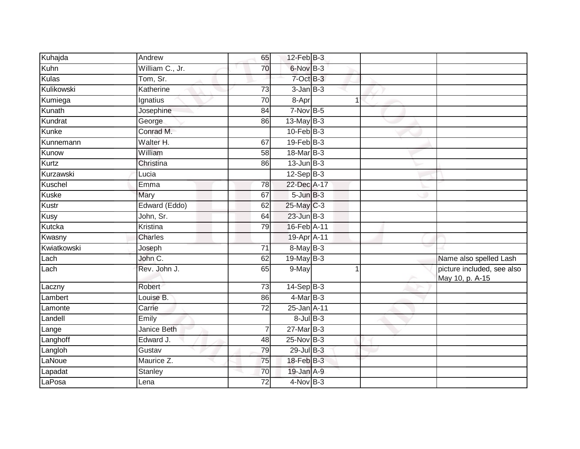| Kuhajda     | Andrew             | 65              | $12$ -Feb $B-3$ |   |                                               |
|-------------|--------------------|-----------------|-----------------|---|-----------------------------------------------|
| Kuhn        | William C., Jr.    | 70              | 6-Nov B-3       |   |                                               |
| Kulas       | Tom, Sr.           |                 | 7-Oct B-3       |   |                                               |
| Kulikowski  | Katherine          | 73              | $3 - Jan$ $B-3$ |   |                                               |
| Kumiega     | Ignatius           | 70              | 8-Apr           | 1 |                                               |
| Kunath      | Josephine          | $\overline{84}$ | $7-Nov$ B-5     |   |                                               |
| Kundrat     | George             | 86              | 13-May B-3      |   |                                               |
| Kunke       | Conrad M.          |                 | $10$ -Feb $B-3$ |   |                                               |
| Kunnemann   | Walter H.          | 67              | 19-Feb B-3      |   |                                               |
| Kunow       | William            | $\overline{58}$ | 18-Mar B-3      |   |                                               |
| Kurtz       | Christina          | 86              | $13$ -Jun $B-3$ |   |                                               |
| Kurzawski   | Lucia              |                 | $12-Sep$ B-3    |   |                                               |
| Kuschel     | Emma               | 78              | 22-Dec A-17     |   |                                               |
| Kuske       | <b>Mary</b>        | 67              | $5 - Jun$ $B-3$ |   |                                               |
| Kustr       | Edward (Eddo)      | 62              | 25-May C-3      |   |                                               |
| Kusy        | John, Sr.          | 64              | $23$ -Jun $B-3$ |   |                                               |
| Kutcka      | Kristina           | 79              | 16-Feb A-11     |   |                                               |
| Kwasny      | Charles            |                 | 19-Apr A-11     |   |                                               |
| Kwiatkowski | Joseph             | $\overline{71}$ | 8-May B-3       |   |                                               |
| Lach        | John C.            | 62              | $19$ -May B-3   |   | Name also spelled Lash                        |
| Lach        | Rev. John J.       | 65              | 9-May           |   | picture included, see also<br>May 10, p. A-15 |
| Laczny      | Robert             | 73              | $14-Sep B-3$    |   |                                               |
| Lambert     | Louise B.          | 86              | $4$ -Mar B-3    |   |                                               |
| Lamonte     | Carrie             | 72              | 25-Jan A-11     |   |                                               |
| Landell     | Emily              |                 | $8$ -Jul $B$ -3 |   |                                               |
| Lange       | <b>Janice Beth</b> | $\overline{7}$  | $27$ -Mar $B-3$ |   |                                               |
| Langhoff    | Edward J.          | 48              | 25-Nov B-3      |   |                                               |
| Langloh     | Gustav             | 79              | $29$ -Jul B-3   |   |                                               |
| LaNoue      | Maurice Z.         | 75              | 18-Feb B-3      |   |                                               |
| Lapadat     | Stanley            | 70              | 19-Jan A-9      |   |                                               |
| LaPosa      | Lena               | 72              | $4$ -Nov B-3    |   |                                               |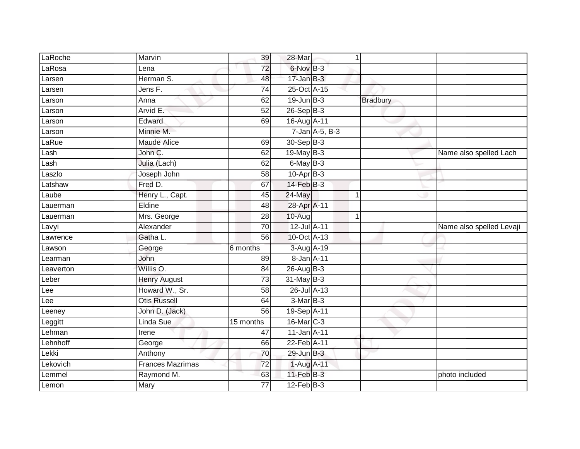| LaRoche   | Marvin                  | 39              | 28-Mar          | 1              |                 |                          |
|-----------|-------------------------|-----------------|-----------------|----------------|-----------------|--------------------------|
| LaRosa    | Lena                    | $\overline{72}$ | 6-Nov B-3       |                |                 |                          |
| Larsen    | Herman S.               | 48              | $17$ -Jan $B-3$ |                |                 |                          |
| Larsen    | Jens F.                 | 74              | 25-Oct A-15     |                |                 |                          |
| Larson    | Anna                    | 62              | $19$ -Jun $B-3$ |                | <b>Bradbury</b> |                          |
| Larson    | Arvid E.                | 52              | $26-Sep$ B-3    |                |                 |                          |
| Larson    | Edward                  | 69              | 16-Aug A-11     |                |                 |                          |
| Larson    | Minnie M.               |                 |                 | 7-Jan A-5, B-3 |                 |                          |
| LaRue     | <b>Maude Alice</b>      | 69              | 30-Sep B-3      |                |                 |                          |
| Lash      | John C.                 | 62              | 19-May B-3      |                |                 | Name also spelled Lach   |
| Lash      | Julia (Lach)            | 62              | 6-May B-3       |                |                 |                          |
| Laszlo    | Joseph John             | 58              | $10-AprB-3$     |                |                 |                          |
| Latshaw   | Fred D.                 | 67              | $14$ -Feb $B-3$ |                |                 |                          |
| Laube     | Henry L., Capt.         | 45              | 24-May          |                |                 |                          |
| Lauerman  | Eldine                  | $\overline{48}$ | 28-Apr A-11     |                |                 |                          |
| Lauerman  | Mrs. George             | 28              | 10-Aug          |                |                 |                          |
| Lavyi     | Alexander               | 70              | 12-Jul A-11     |                |                 | Name also spelled Levaji |
| Lawrence  | Gatha L.                | 56              | 10-Oct A-13     |                |                 |                          |
| Lawson    | George                  | 6 months        | 3-Aug A-19      |                |                 |                          |
| Learman   | John                    | 89              | 8-Jan A-11      |                |                 |                          |
| Leaverton | Willis O.               | 84              | $26$ -Aug $B-3$ |                |                 |                          |
| Leber     | <b>Henry August</b>     | 73              | $31$ -May B-3   |                |                 |                          |
| Lee       | Howard W., Sr.          | 58              | 26-Jul A-13     |                |                 |                          |
| Lee       | <b>Otis Russell</b>     | 64              | 3-Mar B-3       |                |                 |                          |
| Leeney    | John D. (Jack)          | 56              | 19-Sep A-11     |                |                 |                          |
| Leggitt   | Linda Sue               | 15 months       | 16-Mar C-3      |                |                 |                          |
| Lehman    | Irene                   | 47              | 11-Jan A-11     |                |                 |                          |
| Lehnhoff  | George                  | 66              | 22-Feb A-11     |                |                 |                          |
| Lekki     | Anthony                 | 70              | 29-Jun B-3      |                |                 |                          |
| Lekovich  | <b>Frances Mazrimas</b> | 72              | 1-Aug A-11      |                |                 |                          |
| Lemmel    | Raymond M.              | 63              | $11$ -Feb $B-3$ |                |                 | photo included           |
| Lemon     | Mary                    | $\overline{77}$ | $12$ -Feb $B-3$ |                |                 |                          |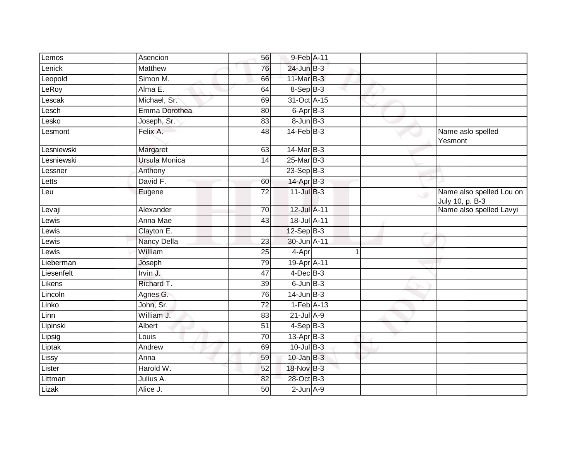| Lemos      | Asencion             | 56              | 9-Feb A-11        |   |        |                                             |
|------------|----------------------|-----------------|-------------------|---|--------|---------------------------------------------|
| Lenick     | Matthew              | 76              | 24-Jun B-3        |   |        |                                             |
| Leopold    | Simon M.             | 66              | 11-Mar B-3        |   |        |                                             |
| LeRoy      | Alma E.              | 64              | $8-Sep B-3$       |   |        |                                             |
| _escak     | Michael, Sr.         | 69              | 31-Oct A-15       |   |        |                                             |
| Lesch      | Emma Dorothea        | 80              | 6-Apr B-3         |   |        |                                             |
| _esko      | Joseph, Sr.          | 83              | $8 - Jun$ $B - 3$ |   |        |                                             |
| Lesmont    | Felix A.             | 48              | $14$ -Feb $B-3$   |   |        | Name aslo spelled<br>Yesmont                |
| Lesniewski | Margaret             | 63              | 14-Mar B-3        |   |        |                                             |
| Lesniewski | <b>Ursula Monica</b> | 14              | 25-Mar B-3        |   |        |                                             |
| Lessner    | Anthony              |                 | 23-Sep B-3        |   |        |                                             |
| Letts      | David F.             | 60              | 14-Apr B-3        |   |        |                                             |
| Leu        | Eugene               | $\overline{72}$ | $11$ -Jul B-3     |   | $\cup$ | Name also spelled Lou on<br>July 10, p. B-3 |
| Levaji     | Alexander            | 70              | 12-Jul A-11       |   |        | Name also spelled Lavyi                     |
| Lewis      | Anna Mae             | $\overline{43}$ | 18-Jul A-11       |   |        |                                             |
| _ewis      | Clayton E.           |                 | $12-Sep$ B-3      |   |        |                                             |
| Lewis      | Nancy Della          | 23              | 30-Jun A-11       |   |        |                                             |
| Lewis      | William              | 25              | 4-Apr             | 1 |        |                                             |
| Lieberman  | Joseph               | 79              | 19-Apr A-11       |   |        |                                             |
| Liesenfelt | Irvin J.             | 47              | $4$ -Dec $B$ -3   |   |        |                                             |
| Likens     | Richard T.           | 39              | $6$ -Jun $B$ -3   |   |        |                                             |
| Lincoln    | Agnes G.             | 76              | $14$ -Jun $B-3$   |   |        |                                             |
| Linko      | John, Sr.            | 72              | $1-Feb$ A-13      |   |        |                                             |
| Linn       | William J.           | 83              | $21$ -Jul A-9     |   |        |                                             |
| Lipinski   | Albert               | 51              | $4-SepB-3$        |   |        |                                             |
| Lipsig     | Louis                | 70              | $13$ -Apr $B-3$   |   |        |                                             |
| Liptak     | Andrew               | 69              | $10$ -Jul B-3     |   |        |                                             |
| Lissy      | Anna                 | 59              | $10$ -Jan $B-3$   |   |        |                                             |
| Lister     | Harold W.            | 52              | 18-Nov B-3        |   |        |                                             |
| Littman    | Julius A.            | 82              | 28-Oct B-3        |   |        |                                             |
| Lizak      | Alice J.             | 50              | $2$ -Jun $A-9$    |   |        |                                             |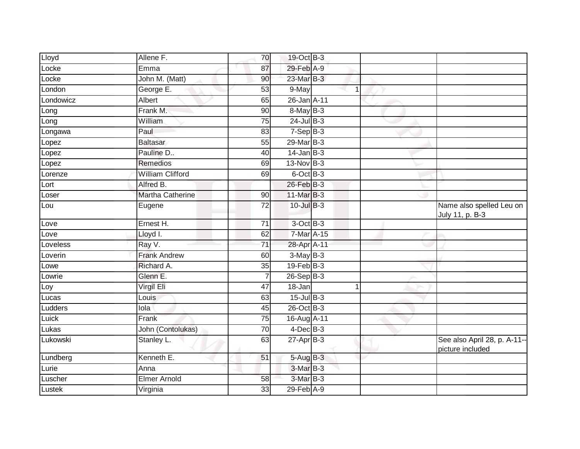| Lloyd     | Allene F.               | 70              | 19-Oct B-3      |                |                                                  |
|-----------|-------------------------|-----------------|-----------------|----------------|--------------------------------------------------|
| Locke     | Emma                    | 87              | 29-Feb A-9      |                |                                                  |
| Locke     | John M. (Matt)          | 90              | 23-Mar B-3      |                |                                                  |
| London    | George E.               | 53              | 9-May           | 1              |                                                  |
| Londowicz | Albert                  | 65              | 26-Jan A-11     |                |                                                  |
| Long      | Frank M.                | 90              | 8-May B-3       |                |                                                  |
| Long      | William                 | 75              | $24$ -Jul $B-3$ |                |                                                  |
| Longawa   | Paul                    | 83              | $7-Sep$ B-3     |                |                                                  |
| Lopez     | <b>Baltasar</b>         | 55              | 29-Mar B-3      |                |                                                  |
| Lopez     | Pauline D               | 40              | $14$ -Jan B-3   |                |                                                  |
| Lopez     | Remedios                | 69              | 13-Nov B-3      |                |                                                  |
| Lorenze   | <b>William Clifford</b> | 69              | 6-Oct B-3       |                |                                                  |
| Lort      | Alfred B.               |                 | 26-Feb B-3      |                |                                                  |
| Loser     | <b>Martha Catherine</b> | 90              | 11-Mar B-3      |                |                                                  |
| Lou       | Eugene                  | $\overline{72}$ | $10$ -Jul $B-3$ |                | Name also spelled Leu on<br>July 11, p. B-3      |
| Love      | Ernest H.               | 71              | 3-Oct B-3       |                |                                                  |
| Love      | Lloyd I.                | 62              | $7-Mar$ $A-15$  |                |                                                  |
| Loveless  | Ray V.                  | 71              | 28-Apr A-11     |                |                                                  |
| Loverin   | <b>Frank Andrew</b>     | 60              | $3-MayB-3$      |                |                                                  |
| Lowe      | Richard A.              | $\overline{35}$ | $19$ -Feb $B-3$ |                |                                                  |
| Lowrie    | Glenn E.                | $\overline{7}$  | $26-Sep$ B-3    |                |                                                  |
| Loy       | Virgil Eli              | 47              | 18-Jan          | $\overline{1}$ |                                                  |
| Lucas     | Louis                   | 63              | $15$ -Jul $B-3$ |                |                                                  |
| Ludders   | lola                    | 45              | 26-Oct B-3      |                |                                                  |
| Luick     | Frank                   | $\overline{75}$ | 16-Aug A-11     |                |                                                  |
| Lukas     | John (Contolukas)       | 70              | $4$ -Dec $B$ -3 |                |                                                  |
| Lukowski  | Stanley L.              | 63              | $27$ -Apr $B-3$ |                | See also April 28, p. A-11--<br>picture included |
| Lundberg  | Kenneth E.              | 51              | 5-Aug B-3       |                |                                                  |
| Lurie     | Anna                    |                 | 3-Mar B-3       |                |                                                  |
| Luscher   | <b>Elmer Arnold</b>     | 58              | 3-Mar B-3       |                |                                                  |
| Lustek    | Virginia                | 33              | 29-Feb A-9      |                |                                                  |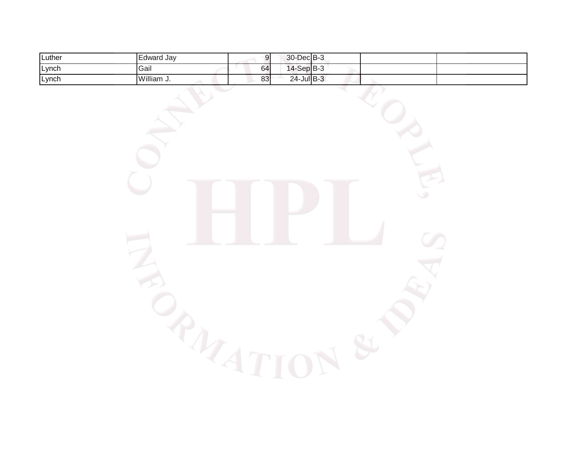| Luther | ∟dward Jav | ונ.<br>וי. | 30-Dec B-3         |  |  |
|--------|------------|------------|--------------------|--|--|
| Lynch  | Gail       | 64         | $-SepB-3$<br>$14-$ |  |  |
| Lynch  | William J. | 83         | $24$ -Jul B-3      |  |  |

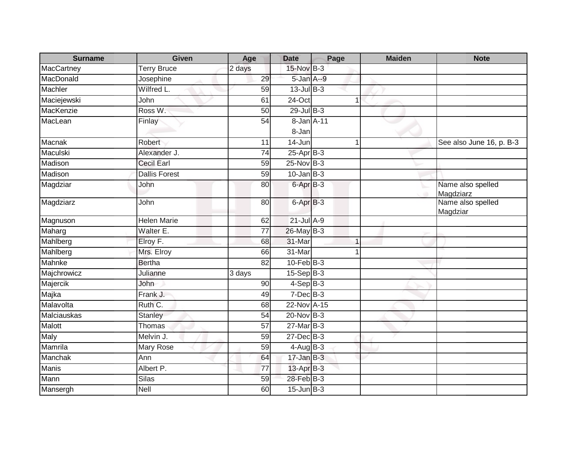| <b>Surname</b> | <b>Given</b>         | Age             | <b>Date</b>          | Page | <b>Maiden</b> | <b>Note</b>                    |
|----------------|----------------------|-----------------|----------------------|------|---------------|--------------------------------|
| MacCartney     | <b>Terry Bruce</b>   | 2 days          | 15-Nov B-3           |      |               |                                |
| MacDonald      | Josephine            | 29              | 5-Jan A--9           |      |               |                                |
| Machler        | Wilfred L.           | 59              | $13$ -Jul B-3        |      |               |                                |
| Maciejewski    | John                 | 61              | $24$ -Oct            |      |               |                                |
| MacKenzie      | Ross W.              | 50              | $29$ -Jul B-3        |      |               |                                |
| MacLean        | Finlay               | 54              | 8-Jan A-11           |      |               |                                |
|                |                      |                 | 8-Jan                |      |               |                                |
| Macnak         | <b>Robert</b>        | 11              | 14-Jun               | 1    |               | See also June 16, p. B-3       |
| Maculski       | Alexander J.         | $\overline{74}$ | $25-AprB-3$          |      |               |                                |
| Madison        | <b>Cecil Earl</b>    | 59              | 25-Nov B-3           |      |               |                                |
| Madison        | <b>Dallis Forest</b> | 59              | $10$ -Jan B-3        |      |               |                                |
| Magdziar       | John                 | 80              | 6-Apr <sub>B-3</sub> |      |               | Name also spelled<br>Magdziarz |
| Magdziarz      | John                 | 80              | 6-Apr B-3            |      |               | Name also spelled<br>Magdziar  |
| Magnuson       | <b>Helen Marie</b>   | 62              | $21$ -Jul A-9        |      |               |                                |
| Maharg         | Walter E.            | 77              | 26-May B-3           |      |               |                                |
| Mahlberg       | Elroy F.             | 68              | 31-Mar               |      |               |                                |
| Mahlberg       | Mrs. Elroy           | 66              | 31-Mar               |      |               |                                |
| Mahnke         | <b>Bertha</b>        | 82              | $10$ -Feb $B-3$      |      |               |                                |
| Majchrowicz    | Julianne             | 3 days          | $15-Sep$ B-3         |      |               |                                |
| Majercik       | John                 | 90              | $4-SepB-3$           |      |               |                                |
| Majka          | Frank J.             | 49              | $7$ -Dec $B$ -3      |      |               |                                |
| Malavolta      | Ruth C.              | 68              | 22-Nov A-15          |      |               |                                |
| Malciauskas    | <b>Stanley</b>       | 54              | 20-Nov B-3           |      |               |                                |
| Malott         | Thomas               | 57              | $27$ -Mar $B-3$      |      |               |                                |
| Maly           | Melvin J.            | 59              | 27-Dec B-3           |      |               |                                |
| Mamrila        | Mary Rose            | 59              | $4-Aug$ $B-3$        |      |               |                                |
| <b>Manchak</b> | Ann                  | 64              | $17 - Jan$ $B-3$     |      |               |                                |
| <b>Manis</b>   | Albert P.            | 77              | 13-Apr B-3           |      |               |                                |
| Mann           | <b>Silas</b>         | 59              | 28-Feb B-3           |      |               |                                |
| Mansergh       | Nell                 | 60              | $15$ -Jun $B-3$      |      |               |                                |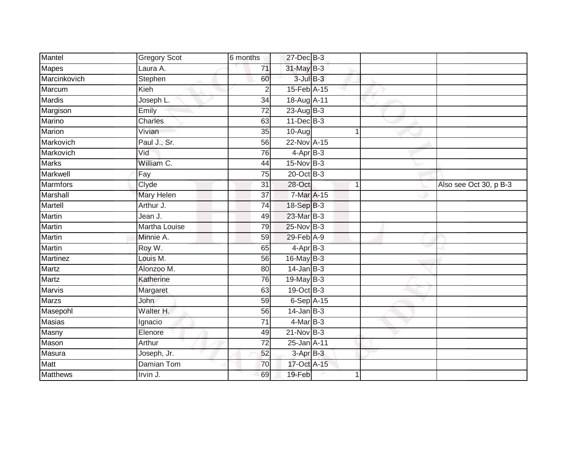| Mantel          | <b>Gregory Scot</b>  | 6 months        | 27-Dec B-3      |                |                        |
|-----------------|----------------------|-----------------|-----------------|----------------|------------------------|
| <b>Mapes</b>    | Laura A.             | 71              | 31-May B-3      |                |                        |
| Marcinkovich    | Stephen              | 60              | $3$ -Jul $B-3$  |                |                        |
| Marcum          | Kieh                 | 2               | 15-Feb A-15     |                |                        |
| <b>Mardis</b>   | Joseph L.            | $\overline{34}$ | 18-Aug A-11     |                |                        |
| Margison        | Emily                | 72              | $23 - Aug$ B-3  |                |                        |
| Marino          | Charles              | 63              | $11$ -Dec $B-3$ |                |                        |
| <b>Marion</b>   | Vivian               | 35              | $10-Aug$        | $\mathbf 1$    |                        |
| Markovich       | Paul J., Sr.         | 56              | 22-Nov A-15     |                |                        |
| Markovich       | Vid                  | 76              | $4-AprB-3$      |                |                        |
| Marks           | William C.           | 44              | 15-Nov B-3      |                |                        |
| Markwell        | Fay                  | $\overline{75}$ | 20-Oct B-3      |                |                        |
| <b>Marmfors</b> | Clyde                | 31              | 28-Oct          | $\overline{1}$ | Also see Oct 30, p B-3 |
| Marshall        | <b>Mary Helen</b>    | 37              | 7-Mar A-15      |                |                        |
| Martell         | Arthur J.            | 74              | 18-Sep B-3      |                |                        |
| <b>Martin</b>   | Jean J.              | 49              | 23-Mar B-3      |                |                        |
| <b>Martin</b>   | <b>Martha Louise</b> | 79              | 25-Nov B-3      |                |                        |
| Martin          | Minnie A.            | 59              | 29-Feb A-9      |                |                        |
| Martin          | Roy W.               | 65              | $4$ -Apr $B-3$  |                |                        |
| <b>Martinez</b> | Louis M.             | 56              | $16$ -May B-3   |                |                        |
| Martz           | Alonzoo M.           | 80              | $14$ -Jan B-3   |                |                        |
| Martz           | Katherine            | $\overline{76}$ | $19$ -May B-3   |                |                        |
| <b>Marvis</b>   | Margaret             | 63              | 19-Oct B-3      |                |                        |
| <b>Marzs</b>    | John                 | 59              | $6-Sep$ A-15    |                |                        |
| Masepohl        | Walter H.            | 56              | $14$ -Jan $B-3$ |                |                        |
| <b>Masias</b>   | Ignacio              | 71              | $4$ -Mar $B-3$  |                |                        |
| Masny           | Elenore              | 49              | $21$ -Nov $B-3$ |                |                        |
| Mason           | Arthur               | 72              | 25-Jan A-11     |                |                        |
| Masura          | Joseph, Jr.          | 52              | $3-AprB-3$      |                |                        |
| Matt            | Damian Tom           | 70              | 17-Oct A-15     |                |                        |
| Matthews        | Irvin J.             | 69              | 19-Feb          |                |                        |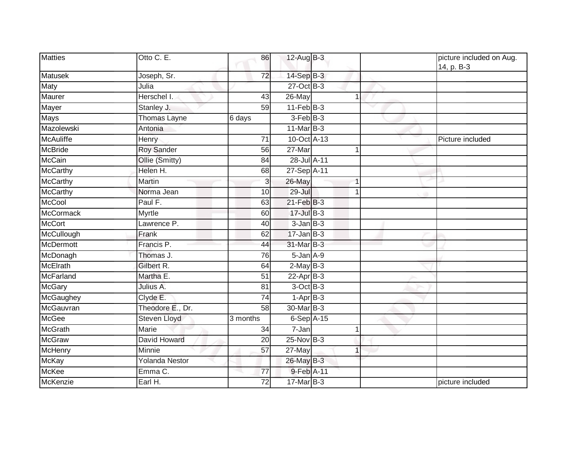| Matties          | Otto C. E.            | 86              | 12-Aug B-3       |              | picture included on Aug.<br>14, p. B-3 |
|------------------|-----------------------|-----------------|------------------|--------------|----------------------------------------|
| <b>Matusek</b>   | Joseph, Sr.           | 72              | $14-SepB-3$      |              |                                        |
| <b>Maty</b>      | Julia                 |                 | $27$ -Oct B-3    |              |                                        |
| Maurer           | Herschel I.           | 43              | 26-May           | 1            |                                        |
| Mayer            | Stanley J.            | 59              | $11-Feb$ B-3     |              |                                        |
| <b>Mays</b>      | Thomas Layne          | 6 days          | $3-Feb$ $B-3$    |              |                                        |
| Mazolewski       | Antonia               |                 | $11$ -Mar $B-3$  |              |                                        |
| <b>McAuliffe</b> | Henry                 | 71              | 10-Oct A-13      |              | Picture included                       |
| <b>McBride</b>   | <b>Roy Sander</b>     | 56              | 27-Mar           | 1            |                                        |
| McCain           | Ollie (Smitty)        | 84              | 28-Jul A-11      |              |                                        |
| <b>McCarthy</b>  | Helen H.              | 68              | 27-Sep A-11      |              |                                        |
| McCarthy         | Martin                | 3               | 26-May           | 1            |                                        |
| <b>McCarthy</b>  | Norma Jean            | 10              | $29 -$ Jul       | $\mathbf{1}$ |                                        |
| <b>McCool</b>    | Paul F.               | 63              | 21-Feb B-3       |              |                                        |
| <b>McCormack</b> | <b>Myrtle</b>         | 60              | 17-Jul B-3       |              |                                        |
| <b>McCort</b>    | Lawrence P.           | 40              | $3$ -Jan $B-3$   |              |                                        |
| McCullough       | Frank                 | 62              | $17 - Jan$ $B-3$ |              |                                        |
| <b>McDermott</b> | Francis P.            | 44              | 31-Mar B-3       |              |                                        |
| McDonagh         | Thomas J.             | 76              | $5$ -Jan $A$ -9  |              |                                        |
| <b>McElrath</b>  | Gilbert R.            | 64              | $2-May$ B-3      |              |                                        |
| McFarland        | Martha E.             | 51              | $22$ -Apr $B-3$  |              |                                        |
| <b>McGary</b>    | Julius A.             | 81              | 3-Oct B-3        |              |                                        |
| McGaughey        | Clyde E.              | $\overline{74}$ | $1-AprB-3$       |              |                                        |
| McGauvran        | Theodore E., Dr.      | 58              | 30-Mar B-3       |              |                                        |
| <b>McGee</b>     | <b>Steven Lloyd</b>   | 3 months        | $6-Sep$ A-15     |              |                                        |
| <b>McGrath</b>   | Marie                 | 34              | 7-Jan            | 1            |                                        |
| <b>McGraw</b>    | David Howard          | $\overline{20}$ | $25$ -Nov $B-3$  |              |                                        |
| McHenry          | Minnie                | 57              | 27-May           | 1            |                                        |
| <b>McKay</b>     | <b>Yolanda Nestor</b> |                 | 26-May B-3       |              |                                        |
| <b>McKee</b>     | Emma C.               | 77              | 9-Feb A-11       |              |                                        |
| McKenzie         | Earl H.               | 72              | 17-Mar B-3       |              | picture included                       |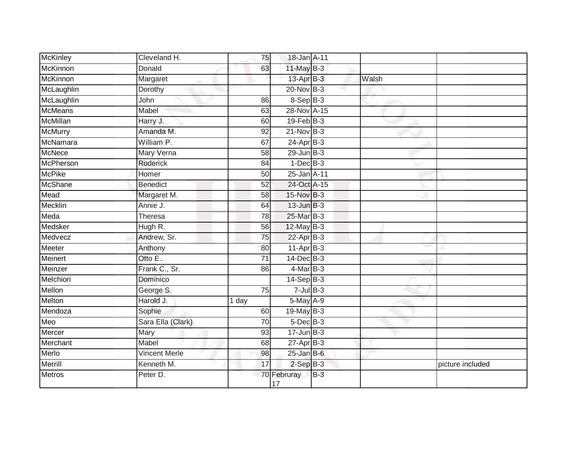| McKinley        | Cleveland H.         | 75              | 18-Jan A-11       |       |       |                  |
|-----------------|----------------------|-----------------|-------------------|-------|-------|------------------|
| McKinnon        | Donald               | 63              | 11-May B-3        |       |       |                  |
| <b>McKinnon</b> | Margaret             |                 | 13-Apr B-3        |       | Walsh |                  |
| McLaughlin      | Dorothy              |                 | $20$ -Nov $B-3$   |       |       |                  |
| McLaughlin      | John                 | 86              | $8-SepB-3$        |       |       |                  |
| <b>McMeans</b>  | Mabel                | 63              | 28-Nov A-15       |       |       |                  |
| <b>McMillan</b> | Harry J.             | 60              | $19$ -Feb $B-3$   |       |       |                  |
| <b>McMurry</b>  | Amanda M.            | 92              | $21-Nov$ B-3      |       |       |                  |
| McNamara        | William P.           | 67              | 24-Apr B-3        |       |       |                  |
| <b>McNece</b>   | Mary Verna           | 58              | $29$ -Jun $B-3$   |       |       |                  |
| McPherson       | Roderick             | 84              | $1-Dec$ B-3       |       |       |                  |
| <b>McPike</b>   | Homer                | 50              | 25-Jan A-11       |       |       |                  |
| <b>McShane</b>  | <b>Benedict</b>      | 52              | 24-Oct A-15       |       |       |                  |
| Mead            | Margaret M.          | 58              | 15-Nov B-3        |       |       |                  |
| Mecklin         | Annie J.             | 64              | $13$ -Jun $B-3$   |       |       |                  |
| Meda            | <b>Theresa</b>       | 78              | 25-Mar B-3        |       |       |                  |
| Medsker         | Hugh R.              | 56              | $12$ -May B-3     |       |       |                  |
| Medvecz         | Andrew, Sr.          | 75              | $22-Apr$ B-3      |       |       |                  |
| Meeter          | Anthony              | 80              | 11-Apr B-3        |       |       |                  |
| <b>Meinert</b>  | Otto E               | $\overline{71}$ | $14$ -Dec $B-3$   |       |       |                  |
| Meinzer         | Frank C., Sr.        | 86              | $4$ -Mar $B-3$    |       |       |                  |
| Melchiori       | Dominico             |                 | $14-SepB-3$       |       |       |                  |
| Mellon          | George S.            | 75              | $7$ -Jul $B-3$    |       |       |                  |
| Melton          | Harold J.            | 1 day           | 5-May A-9         |       |       |                  |
| Mendoza         | Sophie               | 60              | 19-May B-3        |       |       |                  |
| Meo             | Sara Ella (Clark)    | 70              | $5$ -Dec $B$ -3   |       |       |                  |
| Mercer          | Mary                 | 93              | $17 - Jun$ $B-3$  |       |       |                  |
| Merchant        | Mabel                | 68              | $27$ -Apr $B-3$   |       |       |                  |
| Merlo           | <b>Vincent Merle</b> | 98              | $25$ -Jan B-6     |       |       |                  |
| Merrill         | Kenneth M.           | 17              | $2-SepB-3$        |       |       | picture included |
| Metros          | Peter D.             |                 | 70 Februray<br>17 | $B-3$ |       |                  |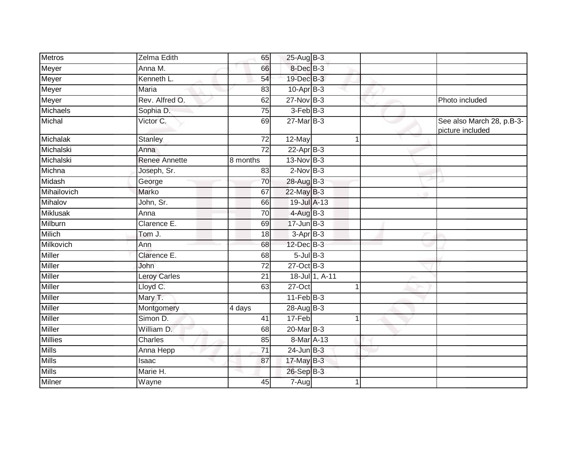| Metros          | Zelma Edith          | 65              | 25-Aug B-3      |                |                |                                               |
|-----------------|----------------------|-----------------|-----------------|----------------|----------------|-----------------------------------------------|
| Meyer           | Anna M.              | 66              | 8-Dec B-3       |                |                |                                               |
| Meyer           | Kenneth L.           | 54              | 19-Dec B-3      |                |                |                                               |
| Meyer           | Maria                | 83              | $10$ -Apr $B-3$ |                |                |                                               |
| Meyer           | Rev. Alfred O.       | 62              | $27$ -Nov $B-3$ |                |                | Photo included                                |
| Michaels        | Sophia D.            | 75              | $3$ -Feb $B-3$  |                |                |                                               |
| Michal          | Victor C.            | 69              | $27$ -Mar $B-3$ |                |                | See also March 28, p.B-3-<br>picture included |
| <b>Michalak</b> | <b>Stanley</b>       | 72              | 12-May          |                | 1              |                                               |
| Michalski       | Anna                 | 72              | $22-AprB-3$     |                |                |                                               |
| Michalski       | <b>Renee Annette</b> | 8 months        | 13-Nov B-3      |                |                |                                               |
| Michna          | Joseph, Sr.          | 83              | $2-Nov$ B-3     |                |                |                                               |
| Midash          | George               | 70              | 28-Aug B-3      |                |                |                                               |
| Mihailovich     | Marko                | 67              | 22-May B-3      |                |                |                                               |
| Mihalov         | John, Sr.            | 66              | 19-Jul A-13     |                |                |                                               |
| Miklusak        | Anna                 | 70              | 4-Aug B-3       |                |                |                                               |
| Milburn         | Clarence E.          | 69              | $17$ -Jun $B-3$ |                |                |                                               |
| Milich          | Tom J.               | 18              | $3-AprB-3$      |                |                |                                               |
| Milkovich       | Ann                  | 68              | 12-Dec B-3      |                |                |                                               |
| Miller          | Clarence E.          | 68              | $5$ -Jul $B-3$  |                |                |                                               |
| <b>Miller</b>   | John                 | $\overline{72}$ | 27-Oct B-3      |                |                |                                               |
| Miller          | <b>Leroy Carles</b>  | 21              |                 | 18-Jul 1, A-11 |                |                                               |
| Miller          | Lloyd C.             | 63              | 27-Oct          |                | 1              |                                               |
| Miller          | Mary T.              |                 | $11-Feb$ B-3    |                |                |                                               |
| Miller          | Montgomery           | 4 days          | 28-Aug B-3      |                |                |                                               |
| Miller          | Simon D.             | 41              | 17-Feb          |                | $\overline{1}$ |                                               |
| <b>Miller</b>   | William D.           | 68              | $20$ -Mar $B-3$ |                |                |                                               |
| Millies         | Charles              | 85              | 8-Mar A-13      |                |                |                                               |
| <b>Mills</b>    | Anna Hepp            | $\overline{71}$ | 24-Jun B-3      |                |                |                                               |
| <b>Mills</b>    | Isaac                | 87              | 17-May B-3      |                |                |                                               |
| <b>Mills</b>    | Marie H.             |                 | 26-Sep B-3      |                |                |                                               |
| Milner          | Wayne                | 45              | 7-Aug           |                |                |                                               |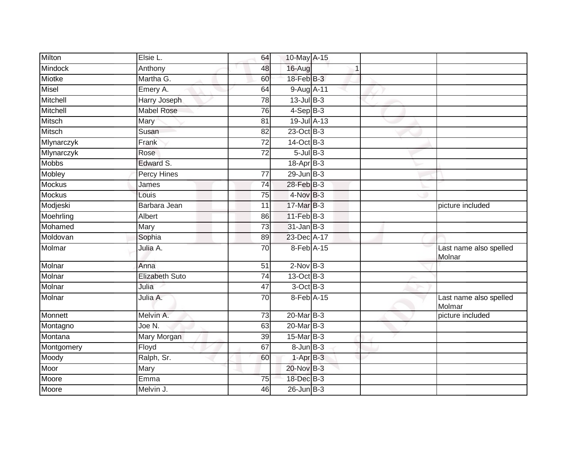| Milton        | Elsie L.              | 64              | 10-May A-15       |  |                                  |
|---------------|-----------------------|-----------------|-------------------|--|----------------------------------|
| Mindock       | Anthony               | 48              | 16-Aug            |  |                                  |
| <b>Miotke</b> | Martha G.             | 60              | 18-Feb B-3        |  |                                  |
| Misel         | Emery A.              | 64              | 9-Aug A-11        |  |                                  |
| Mitchell      | <b>Harry Joseph</b>   | 78              | $13$ -Jul B-3     |  |                                  |
| Mitchell      | <b>Mabel Rose</b>     | 76              | $4-SepB-3$        |  |                                  |
| <b>Mitsch</b> | Mary                  | 81              | 19-Jul A-13       |  |                                  |
| Mitsch        | Susan                 | 82              | 23-Oct B-3        |  |                                  |
| Mlynarczyk    | Frank                 | 72              | 14-Oct B-3        |  |                                  |
| Mlynarczyk    | Rose                  | $\overline{72}$ | $5 -$ Jul $B - 3$ |  |                                  |
| Mobbs         | Edward S.             |                 | $18-Apr$ B-3      |  |                                  |
| Mobley        | Percy Hines           | 77              | $29$ -Jun $B-3$   |  |                                  |
| Mockus        | James                 | $\overline{74}$ | 28-Feb B-3        |  |                                  |
| Mockus        | Louis                 | 75              | 4-Nov B-3         |  |                                  |
| Modjeski      | Barbara Jean          | 11              | 17-Mar B-3        |  | picture included                 |
| Moehrling     | Albert                | 86              | $11$ -Feb $B-3$   |  |                                  |
| Mohamed       | Mary                  | 73              | $31$ -Jan $B-3$   |  |                                  |
| Moldovan      | Sophia                | 89              | 23-Dec A-17       |  |                                  |
| Molmar        | Julia A.              | 70              | 8-Feb A-15        |  | Last name also spelled<br>Molnar |
| Molnar        | Anna                  | 51              | $2$ -Nov $B-3$    |  |                                  |
| Molnar        | <b>Elizabeth Suto</b> | $\overline{74}$ | 13-Oct B-3        |  |                                  |
| Molnar        | Julia                 | 47              | 3-Oct B-3         |  |                                  |
| Molnar        | Julia A.              | 70              | 8-Feb A-15        |  | Last name also spelled<br>Molmar |
| Monnett       | Melvin A.             | 73              | 20-Mar B-3        |  | picture included                 |
| Montagno      | Joe N.                | 63              | $20$ -Mar $B-3$   |  |                                  |
| Montana       | Mary Morgan           | 39              | 15-Mar B-3        |  |                                  |
| Montgomery    | Floyd                 | 67              | $8 - Jun$ $B-3$   |  |                                  |
| Moody         | Ralph, Sr.            | 60              | $1-AprB-3$        |  |                                  |
| Moor          | Mary                  |                 | 20-Nov B-3        |  |                                  |
| Moore         | Emma                  | 75              | 18-Dec B-3        |  |                                  |
| Moore         | Melvin J.             | 46              | $26$ -Jun $B-3$   |  |                                  |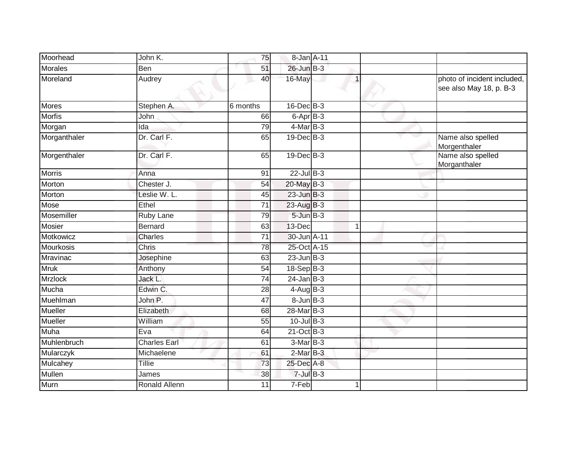| Moorhead       | John K.              | 75              | 8-Jan A-11        |                |                                                        |
|----------------|----------------------|-----------------|-------------------|----------------|--------------------------------------------------------|
| <b>Morales</b> | Ben                  | 51              | 26-Jun B-3        |                |                                                        |
| Moreland       | Audrey               | 40              | 16-May            |                | photo of incident included,<br>see also May 18, p. B-3 |
| <b>Mores</b>   | Stephen A.           | 6 months        | 16-Dec B-3        |                |                                                        |
| <b>Morfis</b>  | John                 | 66              | $6$ -Apr $B$ -3   |                |                                                        |
| Morgan         | Ida                  | 79              | 4-Mar B-3         |                |                                                        |
| Morganthaler   | Dr. Carl F.          | 65              | 19-Dec B-3        |                | Name also spelled<br>Morgenthaler                      |
| Morgenthaler   | Dr. Carl F.          | 65              | $19$ -Dec $B$ -3  |                | Name also spelled<br>Morganthaler                      |
| Morris         | Anna                 | 91              | $22$ -Jul $B-3$   |                |                                                        |
| Morton         | Chester J.           | 54              | 20-May B-3        |                |                                                        |
| Morton         | Leslie W. L.         | 45              | $23$ -Jun $B-3$   |                |                                                        |
| Mose           | Ethel                | $\overline{71}$ | 23-Aug B-3        |                |                                                        |
| Mosemiller     | Ruby Lane            | 79              | $5$ -Jun $B$ -3   |                |                                                        |
| <b>Mosier</b>  | Bernard              | 63              | 13-Dec            | $\overline{ }$ |                                                        |
| Motkowicz      | <b>Charles</b>       | 71              | 30-Jun A-11       |                |                                                        |
| Mourkosis      | Chris                | 78              | 25-Oct A-15       |                |                                                        |
| Mravinac       | Josephine            | 63              | $23$ -Jun $B-3$   |                |                                                        |
| <b>Mruk</b>    | Anthony              | 54              | 18-Sep B-3        |                |                                                        |
| <b>Mrzlock</b> | Jack L.              | $\overline{74}$ | $24$ -Jan B-3     |                |                                                        |
| Mucha          | Edwin C.             | 28              | $4$ -Aug $B - 3$  |                |                                                        |
| Muehlman       | John P.              | 47              | $8 - Jun$ $B - 3$ |                |                                                        |
| Mueller        | Elizabeth            | 68              | 28-Mar B-3        |                |                                                        |
| <b>Mueller</b> | William              | 55              | $10$ -Jul B-3     |                |                                                        |
| Muha           | Eva                  | 64              | $21$ -Oct B-3     |                |                                                        |
| Muhlenbruch    | <b>Charles Earl</b>  | 61              | $3-Mar$ B-3       |                |                                                        |
| Mularczyk      | Michaelene           | 61              | $2-MarB-3$        |                |                                                        |
| Mulcahey       | Tillie               | 73              | 25-Dec A-8        |                |                                                        |
| Mullen         | James                | 38              | $7$ -Jul $B-3$    |                |                                                        |
| Murn           | <b>Ronald Allenn</b> | 11              | 7-Feb             |                |                                                        |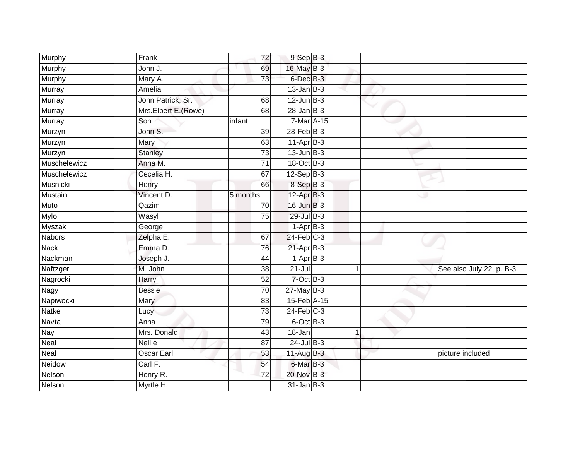| Murphy        | Frank               | 72              | $9-Sep$ B-3      |   |                          |
|---------------|---------------------|-----------------|------------------|---|--------------------------|
| Murphy        | John J.             | 69              | 16-May B-3       |   |                          |
| <b>Murphy</b> | Mary A.             | 73              | 6-Dec B-3        |   |                          |
| Murray        | Amelia              |                 | $13$ -Jan B-3    |   |                          |
| Murray        | John Patrick, Sr.   | 68              | $12$ -Jun $B-3$  |   |                          |
| Murray        | Mrs.Elbert E.(Rowe) | 68              | $28 - Jan$ $B-3$ |   |                          |
| Murray        | Son                 | infant          | 7-Mar A-15       |   |                          |
| Murzyn        | John S.             | 39              | $28$ -Feb $B-3$  |   |                          |
| Murzyn        | Mary                | 63              | $11-Apr$ B-3     |   |                          |
| Murzyn        | <b>Stanley</b>      | $\overline{73}$ | $13$ -Jun $B-3$  |   |                          |
| Muschelewicz  | Anna M.             | 71              | 18-Oct B-3       |   |                          |
| Muschelewicz  | Cecelia H.          | 67              | $12-Sep$ B-3     |   |                          |
| Musnicki      | Henry               | 66              | 8-Sep B-3        |   |                          |
| Mustain       | Vincent D.          | 5 months        | 12-Apr B-3       |   |                          |
| <b>Muto</b>   | Qazim               | 70              | $16$ -Jun $B-3$  |   |                          |
| Mylo          | Wasyl               | 75              | 29-Jul B-3       |   |                          |
| <b>Myszak</b> | George              |                 | $1-AprB-3$       |   |                          |
| <b>Nabors</b> | Zelpha E.           | 67              | $24$ -Feb $C-3$  |   |                          |
| <b>Nack</b>   | Emma D.             | 76              | $21-Apr$ B-3     |   |                          |
| Nackman       | Joseph J.           | 44              | $1-AprB-3$       |   |                          |
| Naftzger      | M. John             | 38              | $21 -$ Jul       | 1 | See also July 22, p. B-3 |
| Nagrocki      | Harry               | 52              | $7$ -Oct $B-3$   |   |                          |
| Nagy          | <b>Bessie</b>       | 70              | $27$ -May B-3    |   |                          |
| Napiwocki     | Mary                | 83              | 15-Feb A-15      |   |                          |
| Natke         | Lucy                | $\overline{73}$ | $24$ -Feb $C-3$  |   |                          |
| Navta         | Anna                | 79              | $6$ -Oct $B$ -3  |   |                          |
| <b>Nay</b>    | Mrs. Donald         | 43              | 18-Jan           | 1 |                          |
| Neal          | Nellie              | 87              | $24$ -Jul B-3    |   |                          |
| Neal          | <b>Oscar Earl</b>   | 53              | $11-Aug$ B-3     |   | picture included         |
| Neidow        | Carl F.             | 54              | 6-Mar B-3        |   |                          |
| Nelson        | Henry R.            | 72              | 20-Nov B-3       |   |                          |
| Nelson        | Myrtle H.           |                 | $31$ -Jan $B-3$  |   |                          |
|               |                     |                 |                  |   |                          |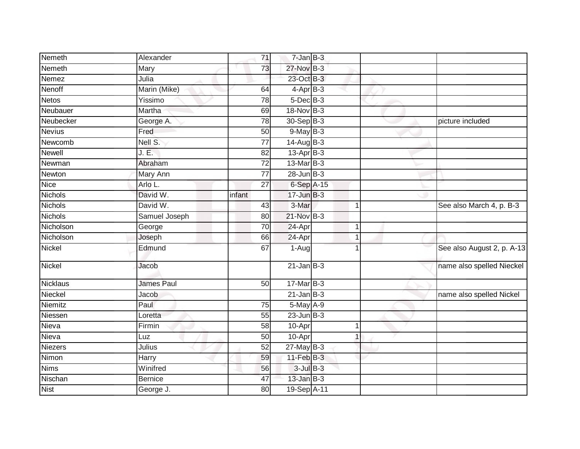| Nemeth          | Alexander         | 71              | $7 - Jan$ $B-3$ |                      |                            |
|-----------------|-------------------|-----------------|-----------------|----------------------|----------------------------|
| Nemeth          | Mary              | 73              | 27-Nov B-3      |                      |                            |
| Nemez           | Julia             |                 | 23-Oct B-3      |                      |                            |
| Nenoff          | Marin (Mike)      | 64              | $4-AprB-3$      |                      |                            |
| <b>Netos</b>    | Yissimo           | 78              | $5$ -Dec $B$ -3 |                      |                            |
| Neubauer        | Martha            | 69              | 18-Nov B-3      |                      |                            |
| Neubecker       | George A.         | 78              | 30-Sep B-3      |                      | picture included           |
| <b>Nevius</b>   | Fred              | 50              | $9$ -May $B-3$  |                      |                            |
| Newcomb         | Nell S.           | $\overline{77}$ | 14-Aug B-3      |                      |                            |
| <b>Newell</b>   | J.E.              | $\overline{82}$ | $13-Apr$ B-3    |                      |                            |
| Newman          | Abraham           | 72              | $13$ -Mar $B-3$ |                      |                            |
| Newton          | Mary Ann          | $\overline{77}$ | $28$ -Jun $B-3$ |                      |                            |
| <b>Nice</b>     | Arlo L.           | 27              | 6-Sep A-15      |                      |                            |
| Nichols         | David W.          | infant          | $17 - Jun$ B-3  |                      |                            |
| <b>Nichols</b>  | David W.          | 43              | 3-Mar           | $\blacktriangleleft$ | See also March 4, p. B-3   |
| Nichols         | Samuel Joseph     | 80              | 21-Nov B-3      |                      |                            |
| Nicholson       | George            | 70              | 24-Apr          | 1                    |                            |
| Nicholson       | Joseph            | 66              | 24-Apr          | -1                   |                            |
| Nickel          | Edmund            | 67              | 1-Augl          |                      | See also August 2, p. A-13 |
| <b>Nickel</b>   | Jacob             |                 | $21$ -Jan B-3   |                      | name also spelled Nieckel  |
| <b>Nicklaus</b> | <b>James Paul</b> | 50              | $17$ -Mar $B-3$ |                      |                            |
| Nieckel         | Jacob             |                 | $21$ -Jan B-3   |                      | name also spelled Nickel   |
| Niemitz         | Paul              | $\overline{75}$ | $5$ -May $A-9$  |                      |                            |
| Niessen         | Loretta           | 55              | $23$ -Jun $B-3$ |                      |                            |
| Nieva           | Firmin            | 58              | 10-Apr          | 1                    |                            |
| Nieva           | Luz               | 50              | 10-Apr          | 1                    |                            |
| Niezers         | Julius            | 52              | $27$ -May B-3   |                      |                            |
| Nimon           | Harry             | 59              | $11$ -Feb $B-3$ |                      |                            |
| <b>Nims</b>     | Winifred          | 56              | $3$ -Jul $B-3$  |                      |                            |
| Nischan         | <b>Bernice</b>    | 47              | $13$ -Jan $B-3$ |                      |                            |
| <b>Nist</b>     | George J.         | 80              | 19-Sep A-11     |                      |                            |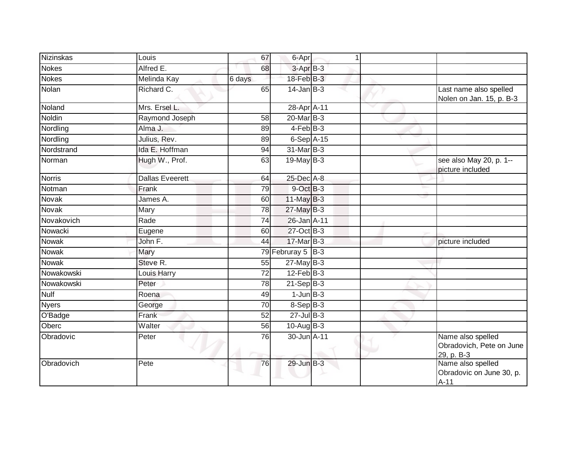| <b>Nizinskas</b> | Louis                  | 67              | 6-Apr                  | 1      |                                                             |
|------------------|------------------------|-----------------|------------------------|--------|-------------------------------------------------------------|
| <b>Nokes</b>     | Alfred E.              | 68              | $3-AprB-3$             |        |                                                             |
| <b>Nokes</b>     | Melinda Kay            | 6 days          | 18-Feb B-3             |        |                                                             |
| Nolan            | Richard C.             | 65              | $14$ -Jan $B-3$        |        | Last name also spelled<br>Nolen on Jan. 15, p. B-3          |
| Noland           | Mrs. Ersel L.          |                 | 28-Apr <sup>A-11</sup> | $\sim$ |                                                             |
| Noldin           | Raymond Joseph         | 58              | $20$ -Mar $B-3$        |        |                                                             |
| Nordling         | Alma J.                | 89              | $4$ -Feb $ B-3 $       |        |                                                             |
| Nordling         | Julius, Rev.           | 89              | $6-Sep$ A-15           |        |                                                             |
| Nordstrand       | Ida E. Hoffman         | 94              | 31-Mar B-3             |        |                                                             |
| Norman           | Hugh W., Prof.         | 63              | 19-May $B-3$           |        | see also May 20, p. 1--<br>picture included                 |
| <b>Norris</b>    | <b>Dallas Eveerett</b> | 64              | 25-Dec A-8             |        |                                                             |
| Notman           | Frank                  | 79              | 9-Oct B-3              |        |                                                             |
| <b>Novak</b>     | James A.               | 60              | $11$ -May B-3          |        |                                                             |
| Novak            | Mary                   | 78              | $27$ -May B-3          |        |                                                             |
| Novakovich       | Rade                   | 74              | 26-Jan A-11            |        |                                                             |
| Nowacki          | Eugene                 | 60              | 27-Oct B-3             |        |                                                             |
| <b>Nowak</b>     | John F.                | 44              | 17-Mar B-3             |        | picture included                                            |
| <b>Nowak</b>     | Mary                   |                 | 79 Februray 5 B-3      |        |                                                             |
| <b>Nowak</b>     | Steve R.               | 55              | $27$ -May B-3          |        |                                                             |
| Nowakowski       | Louis Harry            | 72              | $12$ -Feb $B-3$        |        |                                                             |
| Nowakowski       | Peter                  | 78              | $21-SepB-3$            |        |                                                             |
| <b>Nulf</b>      | Roena                  | 49              | $1$ -Jun $B-3$         |        |                                                             |
| <b>Nyers</b>     | George                 | $\overline{70}$ | 8-Sep B-3              |        |                                                             |
| O'Badge          | Frank                  | 52              | $27$ -Jul B-3          |        |                                                             |
| Oberc            | Walter                 | 56              | $10-Auq$ B-3           |        |                                                             |
| Obradovic        | Peter                  | 76              | 30-Jun A-11            |        | Name also spelled<br>Obradovich, Pete on June<br>29, p. B-3 |
| Obradovich       | Pete                   | 76              | 29-Jun B-3             |        | Name also spelled<br>Obradovic on June 30, p.<br>$A-11$     |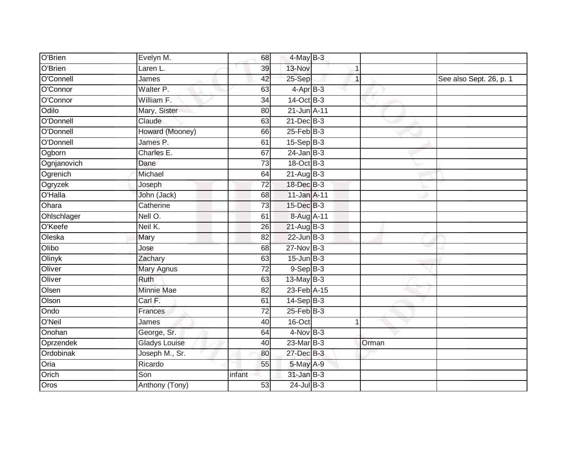| O'Brien     | Evelyn M.            | 68              | 4-May B-3         |              |       |                         |
|-------------|----------------------|-----------------|-------------------|--------------|-------|-------------------------|
| O'Brien     | Laren L.             | 39              | 13-Nov            | 1            |       |                         |
| O'Connell   | James                | 42              | 25-Sep            | $\mathbf{1}$ |       | See also Sept. 26, p. 1 |
| O'Connor    | Walter P.            | 63              | $4$ -Apr $B-3$    |              |       |                         |
| O'Connor    | William F.           | $\overline{34}$ | $14-Oct$ B-3      |              |       |                         |
| Odilo       | Mary, Sister         | 80              | 21-Jun A-11       |              |       |                         |
| O'Donnell   | Claude               | 63              | 21-Dec B-3        |              |       |                         |
| O'Donnell   | Howard (Mooney)      | 66              | $25$ -Feb $B$ -3  |              |       |                         |
| O'Donnell   | James P.             | 61              | $15-Sep$ B-3      |              |       |                         |
| Ogborn      | Charles E.           | 67              | $24$ -Jan B-3     |              |       |                         |
| Ognjanovich | Dane                 | 73              | 18-Oct B-3        |              |       |                         |
| Ogrenich    | Michael              | 64              | $21-Aug$ B-3      |              |       |                         |
| Ogryzek     | Joseph               | 72              | 18-Dec B-3        |              |       |                         |
| O'Halla     | John (Jack)          | 68              | 11-Jan A-11       |              |       |                         |
| Ohara       | Catherine            | $\overline{73}$ | 15-Dec B-3        |              |       |                         |
| Ohlschlager | Nell O.              | 61              | 8-Aug A-11        |              |       |                         |
| O'Keefe     | Neil K.              | 26              | $21$ -Aug B-3     |              |       |                         |
| Oleska      | Mary                 | 82              | $22$ -Jun $B-3$   |              |       |                         |
| Olibo       | Jose                 | 68              | 27-Nov B-3        |              |       |                         |
| Olinyk      | Zachary              | 63              | $15$ -Jun $B-3$   |              |       |                         |
| Oliver      | Mary Agnus           | 72              | $9-Sep$ B-3       |              |       |                         |
| Oliver      | Ruth                 | 63              | $13$ -May B-3     |              |       |                         |
| Olsen       | Minnie Mae           | $\overline{82}$ | 23-Feb A-15       |              |       |                         |
| Olson       | Carl F.              | 61              | 14-Sep B-3        |              |       |                         |
| Ondo        | Frances              | 72              | $25$ -Feb $ B-3 $ |              |       |                         |
| O'Neil      | James                | 40              | 16-Oct            | 1            |       |                         |
| Onohan      | George, Sr.          | 64              | $4$ -Nov B-3      |              |       |                         |
| Oprzendek   | <b>Gladys Louise</b> | 40              | $23$ -Mar $B-3$   |              | Orman |                         |
| Ordobinak   | Joseph M., Sr.       | 80              | 27-Dec B-3        |              |       |                         |
| Oria        | Ricardo              | 55              | 5-May A-9         |              |       |                         |
| Orich       | Son                  | infant          | $31$ -Jan B-3     |              |       |                         |
| Oros        | Anthony (Tony)       | 53              | $24$ -Jul $B-3$   |              |       |                         |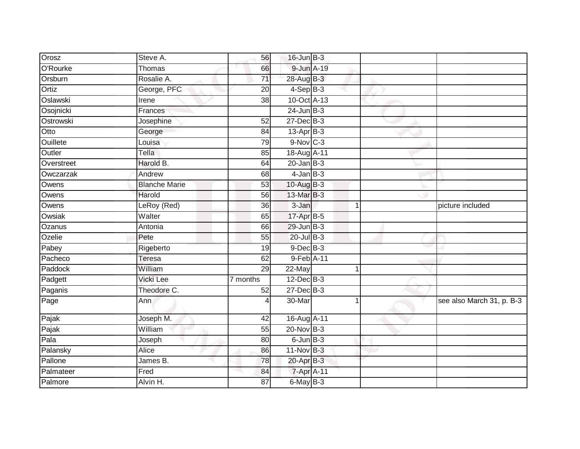| Orosz      | Steve A.             | 56              | $16$ -Jun $B-3$       |    |                           |
|------------|----------------------|-----------------|-----------------------|----|---------------------------|
| O'Rourke   | Thomas               | 66              | 9-Jun A-19            |    |                           |
| Orsburn    | Rosalie A.           | 71              | 28-Aug B-3            |    |                           |
| Ortiz      | George, PFC          | $\overline{20}$ | $4-Sep$ B-3           |    |                           |
| Oslawski   | Irene                | $\overline{38}$ | 10-Oct A-13           |    |                           |
| Osojnicki  | Frances              |                 | $24$ -Jun $B-3$       |    |                           |
| Ostrowski  | Josephine            | 52              | 27-Dec B-3            |    |                           |
| Otto       | George               | 84              | 13-Apr <sub>B-3</sub> |    |                           |
| Ouillete   | Louisa               | 79              | 9-Nov C-3             |    |                           |
| Outler     | Tella                | 85              | 18-Aug A-11           |    |                           |
| Overstreet | Harold B.            | 64              | $20$ -Jan $B-3$       |    |                           |
| Owczarzak  | Andrew               | 68              | $4$ -Jan $B-3$        |    |                           |
| Owens      | <b>Blanche Marie</b> | 53              | 10-Aug B-3            |    |                           |
| Owens      | Harold               | 56              | 13-Mar B-3            |    |                           |
| Owens      | LeRoy (Red)          | $\overline{36}$ | 3-Jan                 | -1 | picture included          |
| Owsiak     | Walter               | 65              | 17-Apr B-5            |    |                           |
| Ozanus     | Antonia              | 66              | $29$ -Jun $B-3$       |    |                           |
| Ozelie     | Pete                 | 55              | $20$ -Jul B-3         |    |                           |
| Pabey      | Rigeberto            | 19              | 9-Dec B-3             |    |                           |
| Pacheco    | Teresa               | 62              | 9-Feb A-11            |    |                           |
| Paddock    | William              | 29              | 22-May                | 1  |                           |
| Padgett    | <b>Vicki Lee</b>     | 7 months        | $12$ -Dec $B-3$       |    |                           |
| Paganis    | Theodore C.          | 52              | $27 - Dec$ B-3        |    |                           |
| Page       | Ann                  |                 | 30-Mar                |    | see also March 31, p. B-3 |
| Pajak      | Joseph M.            | 42              | 16-Aug A-11           |    |                           |
| Pajak      | William              | 55              | 20-Nov B-3            |    |                           |
| Pala       | Joseph               | 80              | $6$ -Jun $B-3$        |    |                           |
| Palansky   | Alice                | 86              | 11-Nov B-3            |    |                           |
| Pallone    | James B.             | 78              | 20-Apr B-3            |    |                           |
| Palmateer  | Fred                 | 84              | 7-Apr A-11            |    |                           |
| Palmore    | Alvin H.             | 87              | 6-May B-3             |    |                           |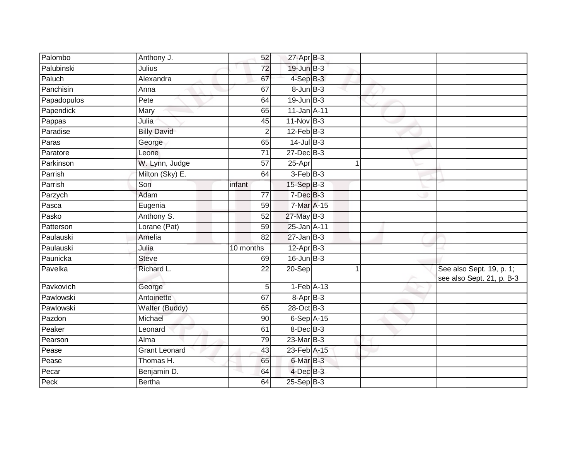| Palombo     | Anthony J.           | 52              | $27$ -Apr $B-3$ |   |                                                       |
|-------------|----------------------|-----------------|-----------------|---|-------------------------------------------------------|
| Palubinski  | Julius               | $\overline{72}$ | 19-Jun B-3      |   |                                                       |
| Paluch      | Alexandra            | 67              | 4-Sep B-3       |   |                                                       |
| Panchisin   | Anna                 | 67              | $8$ -Jun $B$ -3 |   |                                                       |
| Papadopulos | Pete                 | 64              | $19$ -Jun $B-3$ |   |                                                       |
| Papendick   | Mary                 | 65              | 11-Jan A-11     |   |                                                       |
| Pappas      | Julia                | 45              | $11-Nov$ B-3    |   |                                                       |
| Paradise    | <b>Billy David</b>   | $\overline{2}$  | $12$ -Feb $B-3$ |   |                                                       |
| Paras       | George               | 65              | $14$ -Jul B-3   |   |                                                       |
| Paratore    | Leone                | $\overline{71}$ | $27 - Dec$ B-3  |   |                                                       |
| Parkinson   | W. Lynn, Judge       | 57              | 25-Apr          | 1 |                                                       |
| Parrish     | Milton (Sky) E.      | 64              | $3-FebB-3$      |   |                                                       |
| Parrish     | Son                  | infant          | 15-Sep B-3      |   |                                                       |
| Parzych     | Adam                 | 77              | $7$ -Dec $B-3$  |   |                                                       |
| Pasca       | Eugenia              | 59              | 7-Mar A-15      |   |                                                       |
| Pasko       | Anthony S.           | 52              | 27-May B-3      |   |                                                       |
| Patterson   | Lorane (Pat)         | 59              | 25-Jan A-11     |   |                                                       |
| Paulauski   | Amelia               | 82              | $27$ -Jan B-3   |   |                                                       |
| Paulauski   | Julia                | 10 months       | $12-Apr$ B-3    |   |                                                       |
| Paunicka    | <b>Steve</b>         | 69              | $16$ -Jun $B-3$ |   |                                                       |
| Pavelka     | Richard L.           | 22              | 20-Sep          |   | See also Sept. 19, p. 1;<br>see also Sept. 21, p. B-3 |
| Pavkovich   | George               | 5               | $1-Feb$ A-13    |   |                                                       |
| Pawlowski   | Antoinette           | 67              | 8-Apr B-3       |   |                                                       |
| Pawlowski   | Walter (Buddy)       | 65              | 28-Oct B-3      |   |                                                       |
| Pazdon      | Michael              | 90              | $6-Sep$ A-15    |   |                                                       |
| Peaker      | Leonard              | 61              | 8-Dec B-3       |   |                                                       |
| Pearson     | Alma                 | 79              | $23$ -Mar $B-3$ |   |                                                       |
| Pease       | <b>Grant Leonard</b> | 43              | 23-Feb A-15     |   |                                                       |
| Pease       | Thomas H.            | 65              | 6-Mar B-3       |   |                                                       |
| Pecar       | Benjamin D.          | 64              | $4$ -Dec $B-3$  |   |                                                       |
| Peck        | <b>Bertha</b>        | 64              | 25-Sep B-3      |   |                                                       |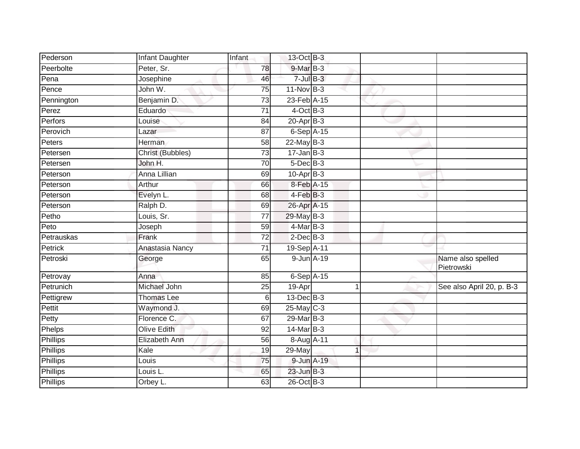| Pederson   | Infant Daughter    | Infant          | 13-Oct B-3            |   |                                 |
|------------|--------------------|-----------------|-----------------------|---|---------------------------------|
| Peerbolte  | Peter, Sr.         | 78              | 9-Mar <sub>B</sub> -3 |   |                                 |
| Pena       | Josephine          | 46              | $7$ -Jul $B-3$        |   |                                 |
| Pence      | John W.            | 75              | $11-Nov$ B-3          |   |                                 |
| Pennington | Benjamin D.        | $\overline{73}$ | 23-Feb A-15           |   |                                 |
| Perez      | Eduardo            | $\overline{71}$ | $4$ -Oct B-3          |   |                                 |
| Perfors    | Louise             | 84              | $20$ -Apr $B-3$       |   |                                 |
| Perovich   | Lazar              | 87              | $6-Sep$ A-15          |   |                                 |
| Peters     | Herman             | 58              | $22$ -May B-3         |   |                                 |
| Petersen   | Christ (Bubbles)   | $\overline{73}$ | $17 - Jan$ $B-3$      |   |                                 |
| Petersen   | John H.            | $\overline{70}$ | $5$ -Dec $B$ -3       |   |                                 |
| Peterson   | Anna Lillian       | 69              | $10$ -Apr $B-3$       |   |                                 |
| Peterson   | Arthur             | 66              | 8-Feb A-15            |   |                                 |
| Peterson   | Evelyn L.          | 68              | $4-FebB-3$            |   |                                 |
| Peterson   | Ralph D.           | 69              | 26-Apr A-15           |   |                                 |
| Petho      | Louis, Sr.         | 77              | 29-May B-3            |   |                                 |
| Peto       | Joseph             | 59              | $4$ -Mar $B-3$        |   |                                 |
| Petrauskas | Frank              | 72              | $2$ -Dec $B-3$        |   |                                 |
| Petrick    | Anastasia Nancy    | 71              | 19-Sep A-11           |   |                                 |
| Petroski   | George             | 65              | 9-Jun A-19            |   | Name also spelled<br>Pietrowski |
| Petrovay   | Anna               | 85              | $6-Sep$ A-15          |   |                                 |
| Petrunich  | Michael John       | 25              | 19-Apr                | 1 | See also April 20, p. B-3       |
| Pettigrew  | <b>Thomas Lee</b>  | 6               | $13$ -Dec $B-3$       |   |                                 |
| Pettit     | Waymond J.         | 69              | 25-May C-3            |   |                                 |
| Petty      | Florence C.        | 67              | 29-Mar B-3            |   |                                 |
| Phelps     | <b>Olive Edith</b> | 92              | 14-Mar B-3            |   |                                 |
| Phillips   | Elizabeth Ann      | 56              | 8-Aug A-11            |   |                                 |
| Phillips   | Kale               | 19              | 29-May                | 1 |                                 |
| Phillips   | Louis              | 75              | 9-Jun A-19            |   |                                 |
| Phillips   | Louis L.           | 65              | $23$ -Jun $B-3$       |   |                                 |
| Phillips   | Orbey L.           | 63              | 26-Oct B-3            |   |                                 |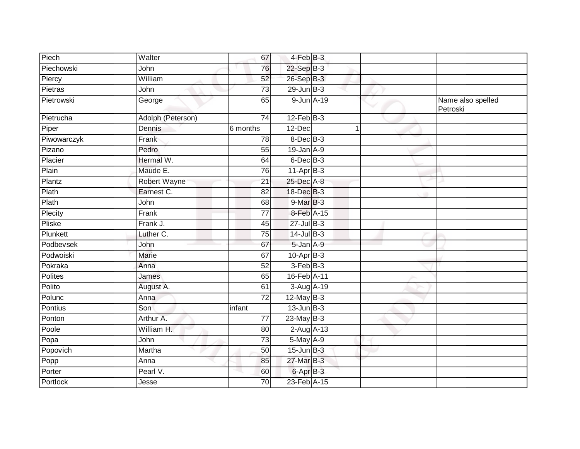| Piech       | Walter            | 67              | 4-Feb B-3       |   |                               |
|-------------|-------------------|-----------------|-----------------|---|-------------------------------|
| Piechowski  | John              | 76              | 22-Sep B-3      |   |                               |
| Piercy      | William           | 52              | 26-Sep B-3      |   |                               |
| Pietras     | John              | 73              | $29$ -Jun $B-3$ |   |                               |
| Pietrowski  | George            | 65              | 9-Jun A-19      |   | Name also spelled<br>Petroski |
| Pietrucha   | Adolph (Peterson) | 74              | $12$ -Feb $B-3$ |   |                               |
| Piper       | Dennis            | 6 months        | 12-Dec          | 1 |                               |
| Piwowarczyk | Frank             | 78              | $8$ -Dec $B$ -3 |   |                               |
| Pizano      | Pedro             | 55              | $19$ -Jan $A-9$ |   |                               |
| Placier     | Hermal W.         | 64              | $6$ -Dec $B$ -3 |   |                               |
| Plain       | Maude E.          | 76              | $11-Apr$ B-3    |   |                               |
| Plantz      | Robert Wayne      | $\overline{21}$ | 25-Dec A-8      |   |                               |
| Plath       | Earnest C.        | $\overline{82}$ | 18-Dec B-3      |   |                               |
| Plath       | John              | 68              | $9$ -Mar $B-3$  |   |                               |
| Plecity     | Frank             | $\overline{77}$ | 8-Feb A-15      |   |                               |
| Pliske      | Frank J.          | 45              | $27$ -Jul B-3   |   |                               |
| Plunkett    | Luther C.         | 75              | $14$ -Jul $B-3$ |   |                               |
| Podbevsek   | John              | 67              | $5 - Jan A - 9$ |   |                               |
| Podwoiski   | <b>Marie</b>      | 67              | $10$ -Apr $B-3$ |   |                               |
| Pokraka     | Anna              | 52              | $3-FebB-3$      |   |                               |
| Polites     | James             | 65              | 16-Feb A-11     |   |                               |
| Polito      | August A.         | 61              | 3-Aug A-19      |   |                               |
| Polunc      | Anna              | $\overline{72}$ | $12$ -May B-3   |   |                               |
| Pontius     | Son               | infant          | $13$ -Jun $B-3$ |   |                               |
| Ponton      | Arthur A.         | $\overline{77}$ | $23$ -May B-3   |   |                               |
| Poole       | William H.        | 80              | $2$ -Aug $A-13$ |   |                               |
| Popa        | John              | $\overline{73}$ | 5-May A-9       |   |                               |
| Popovich    | Martha            | 50              | $15$ -Jun $B-3$ |   |                               |
| Popp        | Anna              | 85              | 27-Mar B-3      |   |                               |
| Porter      | Pearl V.          | 60              | 6-Apr B-3       |   |                               |
| Portlock    | Jesse             | 70              | 23-Feb A-15     |   |                               |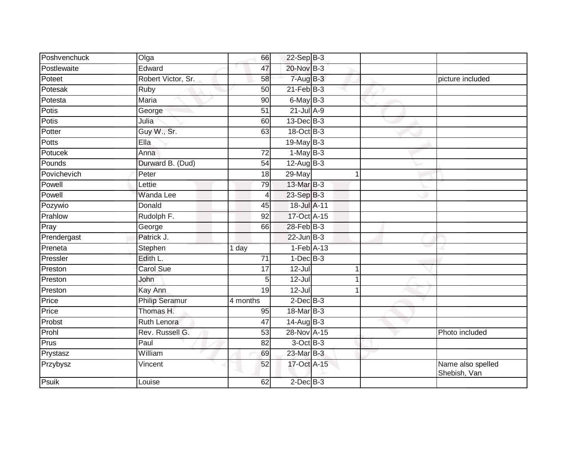| Poshvenchuck | Olga                  | 66              | 22-Sep B-3      |  |                                   |
|--------------|-----------------------|-----------------|-----------------|--|-----------------------------------|
| Postlewaite  | Edward                | 47              | 20-Nov B-3      |  |                                   |
| Poteet       | Robert Victor, Sr.    | 58              | 7-Aug B-3       |  | picture included                  |
| Potesak      | Ruby                  | 50              | $21$ -Feb $B-3$ |  |                                   |
| Potesta      | Maria                 | 90              | 6-May B-3       |  |                                   |
| Potis        | George                | 51              | $21$ -Jul $A-9$ |  |                                   |
| Potis        | Julia                 | 60              | 13-Dec B-3      |  |                                   |
| Potter       | Guy W., Sr.           | 63              | 18-Oct B-3      |  |                                   |
| Potts        | Ella                  |                 | 19-May B-3      |  |                                   |
| Potucek      | Anna                  | 72              | $1-MayB-3$      |  |                                   |
| Pounds       | Durward B. (Dud)      | 54              | $12$ -Aug B-3   |  |                                   |
| Povichevich  | Peter                 | 18              | 29-May          |  |                                   |
| Powell       | Lettie                | 79              | 13-Mar B-3      |  |                                   |
| Powell       | <b>Wanda Lee</b>      | 4               | 23-Sep B-3      |  |                                   |
| Pozywio      | Donald                | 45              | 18-Jul A-11     |  |                                   |
| Prahlow      | Rudolph F.            | $\overline{92}$ | 17-Oct A-15     |  |                                   |
| Pray         | George                | 66              | $28$ -Feb $B-3$ |  |                                   |
| Prendergast  | Patrick J.            |                 | $22$ -Jun $B-3$ |  |                                   |
| Preneta      | Stephen               | 1 day           | $1-Feb$ A-13    |  |                                   |
| Pressler     | Edith L.              | 71              | $1$ -Dec $B-3$  |  |                                   |
| Preston      | <b>Carol Sue</b>      | 17              | $12 -$ Jul      |  |                                   |
| Preston      | John                  | 5               | $12 -$ Jul      |  |                                   |
| Preston      | Kay Ann               | 19              | $12 -$ Jul      |  |                                   |
| Price        | <b>Philip Seramur</b> | 4 months        | $2$ -Dec $B-3$  |  |                                   |
| Price        | Thomas H.             | 95              | 18-Mar B-3      |  |                                   |
| Probst       | <b>Ruth Lenora</b>    | $\overline{47}$ | $14$ -Aug B-3   |  |                                   |
| Prohl        | Rev. Russell G.       | 53              | 28-Nov A-15     |  | Photo included                    |
| Prus         | Paul                  | 82              | $3$ -Oct $B-3$  |  |                                   |
| Prystasz     | William               | 69              | 23-Mar B-3      |  |                                   |
| Przybysz     | Vincent               | 52              | 17-Oct A-15     |  | Name also spelled<br>Shebish, Van |
| Psuik        | Louise                | 62              | $2$ -Dec $B-3$  |  |                                   |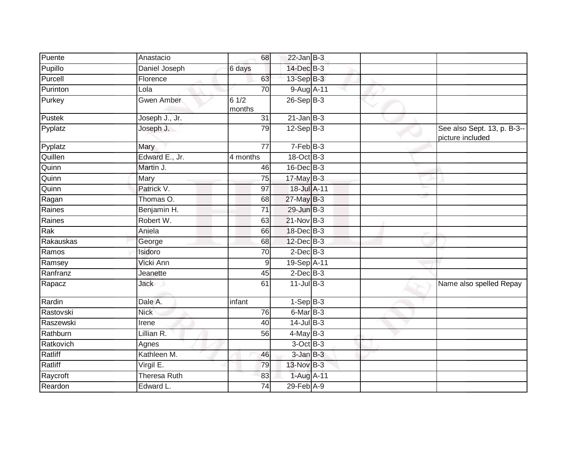| Puente    | Anastacio           | 68              | $22$ -Jan B-3   |  |                                                 |
|-----------|---------------------|-----------------|-----------------|--|-------------------------------------------------|
| Pupillo   | Daniel Joseph       | 6 days          | 14-Dec B-3      |  |                                                 |
| Purcell   | Florence            | 63              | 13-Sep B-3      |  |                                                 |
| Purinton  | Lola                | 70              | $9-AugA-11$     |  |                                                 |
| Purkey    | <b>Gwen Amber</b>   | 61/2<br>months  | $26-Sep$ B-3    |  |                                                 |
| Pustek    | Joseph J., Jr.      | 31              | $21$ -Jan B-3   |  |                                                 |
| Pyplatz   | Joseph J.           | 79              | $12-Sep$ B-3    |  | See also Sept. 13, p. B-3--<br>picture included |
| Pyplatz   | Mary                | $\overline{77}$ | $7-FebB-3$      |  |                                                 |
| Quillen   | Edward E., Jr.      | 4 months        | 18-Oct B-3      |  |                                                 |
| Quinn     | Martin J.           | 46              | 16-Dec B-3      |  |                                                 |
| Quinn     | Mary                | $\overline{75}$ | 17-May B-3      |  |                                                 |
| Quinn     | Patrick V.          | $\overline{97}$ | 18-Jul A-11     |  |                                                 |
| Ragan     | Thomas O.           | 68              | 27-May B-3      |  |                                                 |
| Raines    | Benjamin H.         | 71              | $29$ -Jun $B-3$ |  |                                                 |
| Raines    | Robert W.           | 63              | 21-Nov B-3      |  |                                                 |
| Rak       | Aniela              | 66              | 18-Dec B-3      |  |                                                 |
| Rakauskas | George              | 68              | $12$ -Dec $B-3$ |  |                                                 |
| Ramos     | Isidoro             | 70              | $2$ -Dec $B-3$  |  |                                                 |
| Ramsey    | Vicki Ann           | 9               | 19-Sep A-11     |  |                                                 |
| Ranfranz  | Jeanette            | 45              | $2$ -Dec $B-3$  |  |                                                 |
| Rapacz    | Jack                | 61              | $11$ -Jul B-3   |  | Name also spelled Repay                         |
| Rardin    | Dale A.             | infant          | $1-SepB-3$      |  |                                                 |
| Rastovski | <b>Nick</b>         | 76              | 6-Mar B-3       |  |                                                 |
| Raszewski | Irene               | 40              | $14$ -Jul $B-3$ |  |                                                 |
| Rathburn  | Lillian R.          | 56              | $4$ -May B-3    |  |                                                 |
| Ratkovich | Agnes               |                 | $3$ -Oct $B-3$  |  |                                                 |
| Ratliff   | Kathleen M.         | 46              | $3$ -Jan $B-3$  |  |                                                 |
| Ratliff   | Virgil E.           | 79              | 13-Nov B-3      |  |                                                 |
| Raycroft  | <b>Theresa Ruth</b> | 83              | 1-Aug A-11      |  |                                                 |
| Reardon   | Edward L.           | $\overline{74}$ | $29$ -Feb $A-9$ |  |                                                 |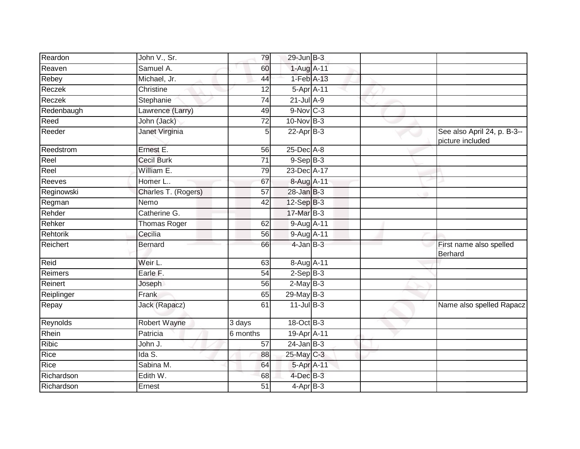| Reardon      | John V., Sr.        | 79              | $29$ -Jun $B-3$  |  |                                                 |
|--------------|---------------------|-----------------|------------------|--|-------------------------------------------------|
| Reaven       | Samuel A.           | 60              | 1-Aug A-11       |  |                                                 |
| Rebey        | Michael, Jr.        | 44              | $1-Feb$ $A-13$   |  |                                                 |
| Reczek       | Christine           | 12              | 5-Apr A-11       |  |                                                 |
| Reczek       | Stephanie           | 74              | $21$ -Jul A-9    |  |                                                 |
| Redenbaugh   | Lawrence (Larry)    | 49              | $9-Nov$ $C-3$    |  |                                                 |
| Reed         | John (Jack)         | $\overline{72}$ | 10-Nov B-3       |  |                                                 |
| Reeder       | Janet Virginia      | 5               | $22-Apr$ B-3     |  | See also April 24, p. B-3--<br>picture included |
| Reedstrom    | Ernest E.           | 56              | $25$ -Dec $A$ -8 |  |                                                 |
| Reel         | <b>Cecil Burk</b>   | 71              | $9-$ Sep $B-3$   |  |                                                 |
| Reel         | William E.          | 79              | 23-Dec A-17      |  |                                                 |
| Reeves       | Homer L             | 67              | 8-Aug A-11       |  |                                                 |
| Reginowski   | Charles T. (Rogers) | $\overline{57}$ | $28$ -Jan $B-3$  |  |                                                 |
| Regman       | Nemo                | 42              | $12-Sep$ B-3     |  |                                                 |
| Rehder       | Catherine G.        |                 | 17-Mar B-3       |  |                                                 |
| Rehker       | <b>Thomas Roger</b> | 62              | 9-Aug A-11       |  |                                                 |
| Rehtorik     | Cecilia             | 56              | 9-Aug A-11       |  |                                                 |
| Reichert     | <b>Bernard</b>      | 66              | $4$ -Jan $B-3$   |  | First name also spelled<br>Berhard              |
| Reid         | Weir L.             | 63              | 8-Aug A-11       |  |                                                 |
| Reimers      | Earle F.            | $\overline{54}$ | $2-Sep$ B-3      |  |                                                 |
| Reinert      | Joseph              | 56              | $2-MayB-3$       |  |                                                 |
| Reiplinger   | Frank               | 65              | $29$ -May B-3    |  |                                                 |
| Repay        | Jack (Rapacz)       | 61              | $11$ -Jul B-3    |  | Name also spelled Rapacz                        |
| Reynolds     | <b>Robert Wayne</b> | 3 days          | 18-Oct B-3       |  |                                                 |
| Rhein        | Patricia            | 6 months        | 19-Apr A-11      |  |                                                 |
| <b>Ribic</b> | John J.             | 57              | $24$ -Jan B-3    |  |                                                 |
| Rice         | Ida S.              | 88              | 25-May C-3       |  |                                                 |
| Rice         | Sabina M.           | 64              | 5-Apr A-11       |  |                                                 |
| Richardson   | Edith W.            | 68              | $4$ -Dec $B-3$   |  |                                                 |
| Richardson   | Ernest              | $\overline{51}$ | $4-AprB-3$       |  |                                                 |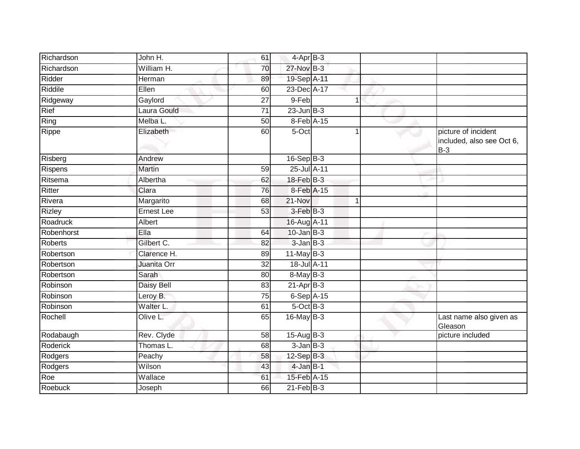| Richardson      | John H.           | 61              | $4$ -Apr $B-3$  |   |                                                           |
|-----------------|-------------------|-----------------|-----------------|---|-----------------------------------------------------------|
| Richardson      | William H.        | 70              | 27-Nov B-3      |   |                                                           |
| Ridder          | Herman            | 89              | 19-Sep A-11     |   |                                                           |
| Riddile         | Ellen             | 60              | 23-Dec A-17     |   |                                                           |
| Ridgeway        | Gaylord           | 27              | 9-Feb           | 1 |                                                           |
| Rief            | Laura Gould       | $\overline{71}$ | $23$ -Jun $B-3$ |   |                                                           |
| Ring            | Melba L.          | 50              | 8-Feb A-15      |   |                                                           |
| Rippe           | Elizabeth         | 60              | 5-Oct           |   | picture of incident<br>included, also see Oct 6,<br>$B-3$ |
| Risberg         | Andrew            |                 | $16-Sep$ B-3    |   |                                                           |
| Rispens         | Martin            | 59              | 25-Jul A-11     |   |                                                           |
| Ritsema         | Albertha          | 62              | 18-Feb B-3      |   |                                                           |
| Ritter          | Clara             | 76              | 8-Feb A-15      |   |                                                           |
| Rivera          | Margarito         | 68              | 21-Nov          | 1 |                                                           |
| <b>Rizley</b>   | <b>Ernest Lee</b> | 53              | 3-Feb B-3       |   |                                                           |
| Roadruck        | Albert            |                 | 16-Aug A-11     |   |                                                           |
| Robenhorst      | Ella              | 64              | $10$ -Jan $B-3$ |   |                                                           |
| <b>Roberts</b>  | Gilbert C.        | 82              | $3$ -Jan $B-3$  |   |                                                           |
| Robertson       | Clarence H.       | 89              | 11-May $B-3$    |   |                                                           |
| Robertson       | Juanita Orr       | 32              | 18-Jul A-11     |   |                                                           |
| Robertson       | Sarah             | 80              | 8-May B-3       |   |                                                           |
| Robinson        | <b>Daisy Bell</b> | 83              | $21-AprB-3$     |   |                                                           |
| Robinson        | Leroy B.          | 75              | $6-Sep$ A-15    |   |                                                           |
| Robinson        | Walter L.         | 61              | $5$ -Oct $B$ -3 |   |                                                           |
| Rochell         | Olive L.          | 65              | $16$ -May $B-3$ |   | Last name also given as<br>Gleason                        |
| Rodabaugh       | Rev. Clyde        | 58              | $15-Aug$ B-3    |   | picture included                                          |
| <b>Roderick</b> | Thomas L.         | 68              | $3$ -Jan $B-3$  |   |                                                           |
| Rodgers         | Peachy            | 58              | $12$ -Sep $B-3$ |   |                                                           |
| Rodgers         | Wilson            | 43              | $4$ -Jan $B-1$  |   |                                                           |
| Roe             | Wallace           | 61              | 15-Feb A-15     |   |                                                           |
| Roebuck         | Joseph            | 66              | $21$ -Feb $B-3$ |   |                                                           |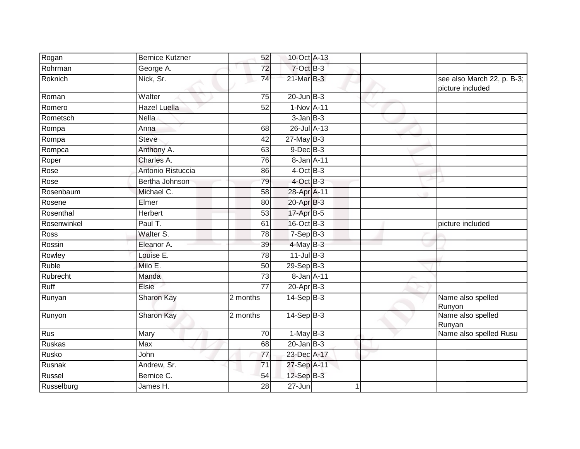| Rogan         | <b>Bernice Kutzner</b>       | 52              | 10-Oct A-13            |  |                                                |
|---------------|------------------------------|-----------------|------------------------|--|------------------------------------------------|
| Rohrman       | George A.                    | 72              | 7-Oct B-3              |  |                                                |
| Roknich       | Nick, Sr.                    | $\overline{74}$ | $21$ -Mar $B-3$        |  | see also March 22, p. B-3;<br>picture included |
| Roman         | Walter                       | 75              | $20$ -Jun $B-3$        |  |                                                |
| Romero        | Hazel Luella                 | 52              | 1-Nov A-11             |  |                                                |
| Rometsch      | $\overline{\mathsf{N}}$ ella |                 | $3$ -Jan $B-3$         |  |                                                |
| Rompa         | Anna                         | 68              | 26-Jul A-13            |  |                                                |
| Rompa         | Steve                        | $\overline{42}$ | $27$ -May B-3          |  |                                                |
| Rompca        | Anthony A.                   | 63              | $9$ -Dec $B$ -3        |  |                                                |
| Roper         | Charles A.                   | 76              | 8-Jan A-11             |  |                                                |
| Rose          | Antonio Ristuccia            | 86              | $4$ -Oct B-3           |  |                                                |
| Rose          | Bertha Johnson               | 79              | $4$ -Oct B-3           |  |                                                |
| Rosenbaum     | Michael C.                   | 58              | 28-Apr A-11            |  |                                                |
| Rosene        | Elmer                        | 80              | 20-Apr B-3             |  |                                                |
| Rosenthal     | Herbert                      | $\overline{53}$ | 17-Apr B-5             |  |                                                |
| Rosenwinkel   | Paul T.                      | 61              | 16-Oct B-3             |  | picture included                               |
| Ross          | Walter S.                    | 78              | $7-SepB-3$             |  |                                                |
| Rossin        | Eleanor A.                   | 39              | $4$ -May B-3           |  |                                                |
| Rowley        | Louise E.                    | 78              | $11$ -Jul B-3          |  |                                                |
| Ruble         | Milo E.                      | 50              | $29-Sep$ $B-3$         |  |                                                |
| Rubrecht      | Manda                        | 73              | 8-Jan A-11             |  |                                                |
| Ruff          | Elsie                        | $\overline{77}$ | 20-Apr B-3             |  |                                                |
| Runyan        | Sharon Kay                   | 2 months        | $14 - \text{Sep}B - 3$ |  | Name also spelled<br>Runyon                    |
| Runyon        | Sharon Kay                   | 2 months        | $14-Sep$ B-3           |  | Name also spelled<br>Runyan                    |
| Rus           | Mary                         | 70              | $1-MayB-3$             |  | Name also spelled Rusu                         |
| <b>Ruskas</b> | Max                          | 68              | $20$ -Jan $B-3$        |  |                                                |
| Rusko         | John                         | 77              | 23-Dec A-17            |  |                                                |
| Rusnak        | Andrew, Sr.                  | 71              | 27-Sep A-11            |  |                                                |
| Russel        | Bernice C.                   | 54              | 12-Sep B-3             |  |                                                |
| Russelburg    | James H.                     | $\overline{28}$ | $27 - Jun$             |  |                                                |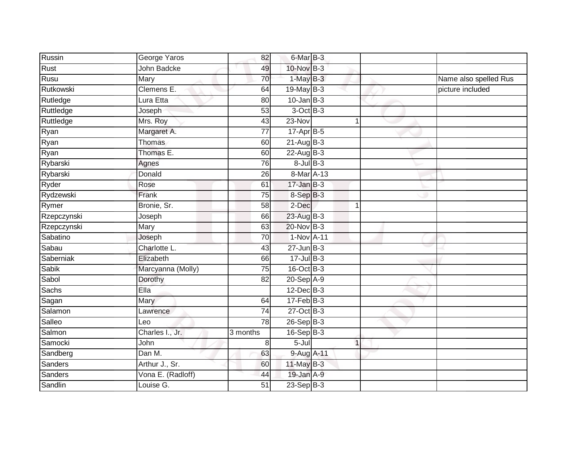| Russin         | George Yaros       | 82              | 6-Mar B-3        |             |                       |
|----------------|--------------------|-----------------|------------------|-------------|-----------------------|
| <b>Rust</b>    | <b>John Badcke</b> | 49              | 10-Nov B-3       |             |                       |
| Rusu           | Mary               | 70              | $1-May$ B-3      |             | Name also spelled Rus |
| Rutkowski      | Clemens E.         | 64              | 19-May $B-3$     |             | picture included      |
| Rutledge       | Lura Etta          | 80              | $10$ -Jan B-3    |             |                       |
| Ruttledge      | Joseph             | 53              | $3$ -Oct $B-3$   |             |                       |
| Ruttledge      | Mrs. Roy           | 43              | 23-Nov           |             |                       |
| Ryan           | Margaret A.        | 77              | $17-AprB-5$      |             |                       |
| Ryan           | <b>Thomas</b>      | 60              | $21-Aug$ B-3     |             |                       |
| Ryan           | Thomas E.          | 60              | $22 - Aug$ $B-3$ |             |                       |
| Rybarski       | Agnes              | 76              | $8$ -Jul $B$ -3  |             |                       |
| Rybarski       | Donald             | 26              | 8-Mar A-13       |             |                       |
| Ryder          | Rose               | 61              | $17 - Jan$ $B-3$ |             |                       |
| Rydzewski      | Frank              | 75              | 8-Sep B-3        |             |                       |
| Rymer          | Bronie, Sr.        | 58              | 2-Dec            | $\mathbf 1$ |                       |
| Rzepczynski    | Joseph             | 66              | 23-Aug B-3       |             |                       |
| Rzepczynski    | Mary               | 63              | 20-Nov B-3       |             |                       |
| Sabatino       | Joseph             | 70              | 1-Nov A-11       |             |                       |
| Sabau          | Charlotte L.       | 43              | $27$ -Jun $B-3$  |             |                       |
| Saberniak      | Elizabeth          | 66              | $17 -$ Jul B-3   |             |                       |
| Sabik          | Marcyanna (Molly)  | $\overline{75}$ | $16$ -Oct B-3    |             |                       |
| Sabol          | Dorothy            | 82              | $20-SepA-9$      |             |                       |
| Sachs          | Ella               |                 | $12$ -Dec $B-3$  |             |                       |
| Sagan          | <b>Mary</b>        | 64              | $17 - Feb$ B-3   |             |                       |
| Salamon        | Lawrence           | 74              | $27-Oct$ B-3     |             |                       |
| Salleo         | Leo                | 78              | 26-Sep B-3       |             |                       |
| Salmon         | Charles I., Jr.    | 3 months        | $16-Sep$ B-3     |             |                       |
| Samocki        | John               | 8               | 5-Jul            | $\mathbf 1$ |                       |
| Sandberg       | Dan M.             | 63              | 9-Aug A-11       |             |                       |
| Sanders        | Arthur J., Sr.     | 60              | $11$ -May B-3    |             |                       |
| <b>Sanders</b> | Vona E. (Radloff)  | 44              | 19-Jan A-9       |             |                       |
| Sandlin        | Louise G.          | $\overline{51}$ | $23-Sep$ B-3     |             |                       |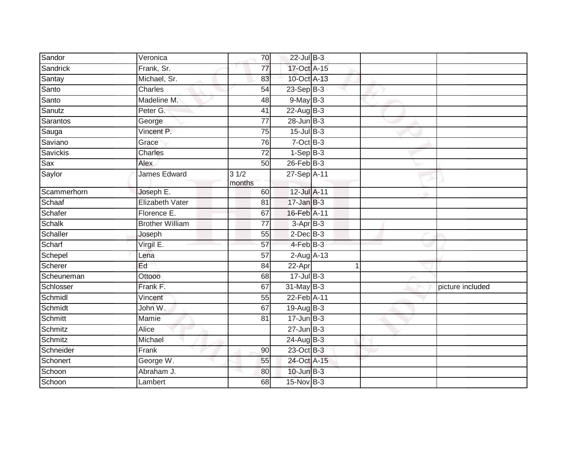| Sandor        | Veronica               | 70              | $22$ -Jul B-3      |             |                  |
|---------------|------------------------|-----------------|--------------------|-------------|------------------|
| Sandrick      | Frank, Sr.             | $\overline{77}$ | 17-Oct A-15        |             |                  |
| Santay        | Michael, Sr.           | 83              | 10-Oct A-13        |             |                  |
| Santo         | Charles                | 54              | $23-Sep$ B-3       |             |                  |
| Santo         | Madeline M.            | $\overline{48}$ | $9$ -May $B-3$     |             |                  |
| Sanutz        | Peter G.               | 41              | $22$ -Aug B-3      |             |                  |
| Sarantos      | George                 | 77              | $28$ -Jun $B-3$    |             |                  |
| Sauga         | Vincent P.             | 75              | $15$ -Jul $B-3$    |             |                  |
| Saviano       | Grace                  | 76              | $7$ -Oct $B-3$     |             |                  |
| Savickis      | Charles                | $\overline{72}$ | $1-Sep$ B-3        |             |                  |
| Sax           | Alex                   | 50              | $26$ -Feb $B-3$    |             |                  |
| Saylor        | James Edward           | 31/2<br>months  | 27-Sep A-11        |             |                  |
| Scammerhorn   | Joseph E.              | 60              | 12-Jul A-11        |             |                  |
| Schaaf        | Elizabeth Vater        | 81              | $17 - Jan$ $B-3$   |             |                  |
| Schafer       | Florence E.            | 67              | 16-Feb A-11        |             |                  |
| <b>Schalk</b> | <b>Brother William</b> | $\overline{77}$ | $3-AprB-3$         |             |                  |
| Schaller      | Joseph                 | 55              | $2$ -Dec $B-3$     |             |                  |
| Scharf        | Virgil E.              | $\overline{57}$ | 4-Feb B-3          |             |                  |
| Schepel       | Lena                   | 57              | $2$ -Aug $A-13$    |             |                  |
| Scherer       | Ed                     | 84              | 22-Apr             | $\mathbf 1$ |                  |
| Scheuneman    | Ottooo                 | 68              | $17 -$ Jul $B - 3$ |             |                  |
| Schlosser     | Frank F.               | 67              | 31-May B-3         |             | picture included |
| Schmidl       | Vincent                | 55              | 22-Feb A-11        |             |                  |
| Schmidt       | John W.                | 67              | 19-Aug B-3         |             |                  |
| Schmitt       | Mamie                  | 81              | $17 - Jun$ B-3     |             |                  |
| Schmitz       | Alice                  |                 | $27 - Jun$ $B-3$   |             |                  |
| Schmitz       | Michael                |                 | $24$ -Aug B-3      |             |                  |
| Schneider     | Frank                  | 90              | 23-Oct B-3         |             |                  |
| Schonert      | George W.              | 55              | 24-Oct A-15        |             |                  |
| Schoon        | Abraham J.             | 80              | $10$ -Jun $B-3$    |             |                  |
| Schoon        | Lambert                | 68              | 15-Nov B-3         |             |                  |
|               |                        |                 |                    |             |                  |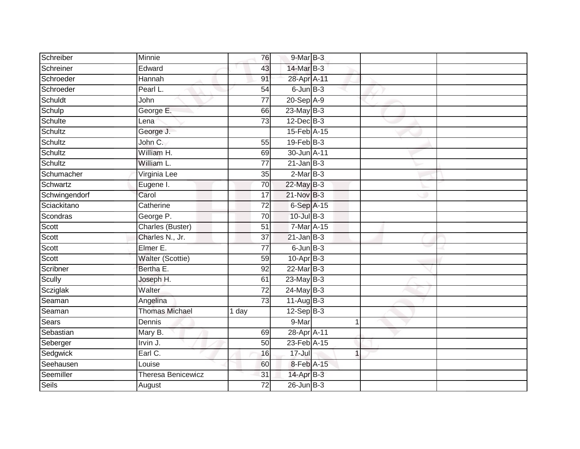| Schreiber     | Minnie                  | 76              | 9-Mar B-3          |   |  |
|---------------|-------------------------|-----------------|--------------------|---|--|
|               |                         |                 |                    |   |  |
| Schreiner     | Edward                  | 43              | 14-Mar B-3         |   |  |
| Schroeder     | Hannah                  | 91              | 28-Apr A-11        |   |  |
| Schroeder     | Pearl L.                | 54              | $6$ -Jun $B$ -3    |   |  |
| Schuldt       | John                    | $\overline{77}$ | 20-Sep A-9         |   |  |
| Schulp        | George E.               | 66              | $23$ -May $B-3$    |   |  |
| Schulte       | Lena                    | 73              | $12$ -Dec $B-3$    |   |  |
| Schultz       | George J.               |                 | 15-Feb A-15        |   |  |
| Schultz       | John C.                 | 55              | $19$ -Feb $B-3$    |   |  |
| Schultz       | William H.              | 69              | 30-Jun A-11        |   |  |
| Schultz       | William L.              | 77              | $21$ -Jan B-3      |   |  |
| Schumacher    | Virginia Lee            | 35              | $2-MarB-3$         |   |  |
| Schwartz      | Eugene I.               | 70              | $22$ -May B-3      |   |  |
| Schwingendorf | Carol                   | 17              | 21-Nov B-3         |   |  |
| Sciackitano   | Catherine               | $\overline{72}$ | 6-Sep A-15         |   |  |
| Scondras      | George P.               | 70              | $10 -$ Jul $B - 3$ |   |  |
| Scott         | Charles (Buster)        | 51              | $7-Mar$ A-15       |   |  |
| Scott         | Charles N., Jr.         | 37              | $21$ -Jan B-3      |   |  |
| Scott         | Elmer E.                | $\overline{77}$ | $6$ -Jun $B-3$     |   |  |
| Scott         | <b>Walter (Scottie)</b> | 59              | $10-Apr$ B-3       |   |  |
| Scribner      | Bertha E.               | 92              | $22$ -Mar $B-3$    |   |  |
| Scully        | Joseph H.               | 61              | 23-May B-3         |   |  |
| Scziglak      | Walter                  | 72              | $24$ -May B-3      |   |  |
| Seaman        | Angelina                | $\overline{73}$ | $11-Aug$ B-3       |   |  |
| Seaman        | <b>Thomas Michael</b>   | 1 day           | $12-Sep$ B-3       |   |  |
| Sears         | Dennis                  |                 | 9-Mar              | 1 |  |
| Sebastian     | Mary B.                 | 69              | 28-Apr A-11        |   |  |
| Seberger      | Irvin J.                | 50              | 23-Feb A-15        |   |  |
| Sedgwick      | Earl C.                 | 16              | $17 -$ Jul         | 1 |  |
| Seehausen     | Louise                  | 60              | 8-Feb A-15         |   |  |
| Seemiller     | Theresa Benicewicz      | 31              | 14-Apr B-3         |   |  |
| <b>Seils</b>  | August                  | $\overline{72}$ | $26$ -Jun $B-3$    |   |  |
|               |                         |                 |                    |   |  |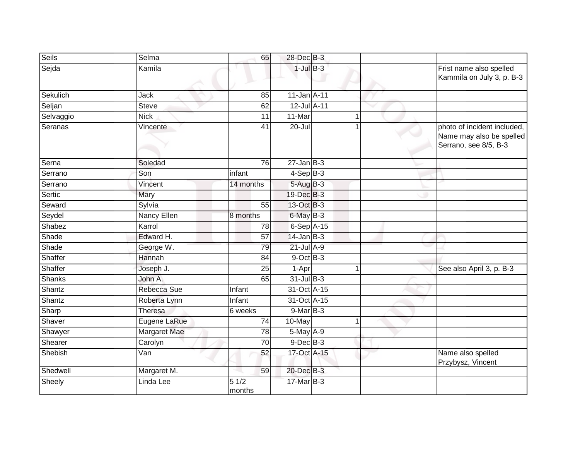| Seils     | Selma                     | 65              | 28-Dec B-3        |                |                                                                                  |
|-----------|---------------------------|-----------------|-------------------|----------------|----------------------------------------------------------------------------------|
| Sejda     | Kamila                    |                 | $1$ -Jul $B-3$    |                | Frist name also spelled<br>Kammila on July 3, p. B-3                             |
| Sekulich  | Jack                      | 85              | $11$ -Jan $A$ -11 |                |                                                                                  |
| Seljan    | <b>Steve</b>              | 62              | 12-Jul A-11       |                |                                                                                  |
| Selvaggio | <b>Nick</b>               | 11              | 11-Mar            |                |                                                                                  |
| Seranas   | Vincente                  | 41              | 20-Jul            |                | photo of incident included,<br>Name may also be spelled<br>Serrano, see 8/5, B-3 |
| Serna     | Soledad                   | 76              | $27 - JanB-3$     |                |                                                                                  |
| Serrano   | Son                       | infant          | $4-Sep B-3$       |                |                                                                                  |
| Serrano   | Vincent                   | 14 months       | 5-Aug B-3         |                |                                                                                  |
| Sertic    | Mary                      |                 | 19-Dec B-3        |                |                                                                                  |
| Seward    | Sylvia                    | $\overline{55}$ | 13-Oct B-3        |                |                                                                                  |
| Seydel    | Nancy Ellen               | 8 months        | $6$ -May $B-3$    |                |                                                                                  |
| Shabez    | Karrol                    | 78              | 6-Sep A-15        |                |                                                                                  |
| Shade     | Edward H.                 | 57              | $14$ -Jan B-3     |                |                                                                                  |
| Shade     | George W.                 | 79              | $21$ -Jul $A-9$   |                |                                                                                  |
| Shaffer   | Hannah                    | 84              | 9-Oct B-3         |                |                                                                                  |
| Shaffer   | Joseph J.                 | 25              | 1-Apr             | 1              | See also April 3, p. B-3                                                         |
| Shanks    | John A.                   | 65              | $31$ -Jul B-3     |                |                                                                                  |
| Shantz    | Rebecca Sue               | Infant          | 31-Oct A-15       |                |                                                                                  |
| Shantz    | Roberta Lynn              | Infant          | 31-Oct A-15       |                |                                                                                  |
| Sharp     | <b>Theresa</b>            | 6 weeks         | $9$ -Mar $B-3$    |                |                                                                                  |
| Shaver    | Eugene LaRue              | 74              | 10-May            | $\overline{1}$ |                                                                                  |
| Shawyer   | Margaret Mae              | 78              | $5$ -May $A-9$    |                |                                                                                  |
| Shearer   | Carolyn                   | 70              | $9$ -Dec $B$ -3   |                |                                                                                  |
| Shebish   | $\overline{\mathsf{Van}}$ | 52              | 17-Oct A-15       |                | Name also spelled<br>Przybysz, Vincent                                           |
| Shedwell  | Margaret M.               | 59              | 20-Dec B-3        |                |                                                                                  |
| Sheely    | Linda Lee                 | 51/2<br>months  | $17$ -Mar $B-3$   |                |                                                                                  |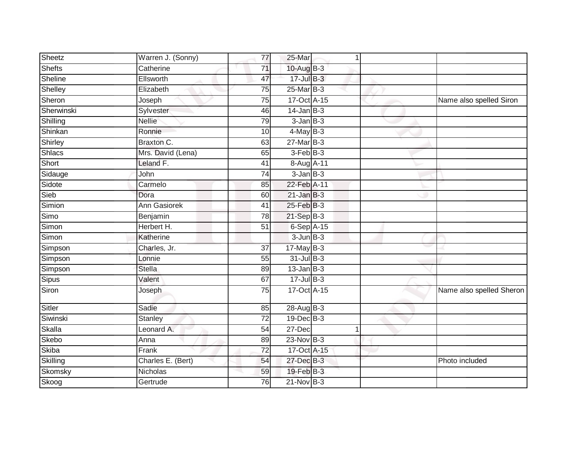| Sheetz        | Warren J. (Sonny)   | 77              | 25-Mar          | $\mathbf 1$ |                          |
|---------------|---------------------|-----------------|-----------------|-------------|--------------------------|
| Shefts        | Catherine           | 71              | 10-Aug B-3      |             |                          |
| Sheline       | Ellsworth           | 47              | 17-Jul B-3      |             |                          |
| Shelley       | Elizabeth           | 75              | 25-Mar B-3      |             |                          |
| Sheron        | Joseph              | 75              | 17-Oct A-15     |             | Name also spelled Siron  |
| Sherwinski    | Sylvester           | 46              | $14$ -Jan B-3   |             |                          |
| Shilling      | <b>Nellie</b>       | 79              | $3 - JanB - 3$  |             |                          |
| Shinkan       | Ronnie              | 10              | $4$ -May B-3    |             |                          |
| Shirley       | Braxton C.          | 63              | 27-Mar B-3      |             |                          |
| <b>Shlacs</b> | Mrs. David (Lena)   | 65              | $3-Feb$ $B-3$   |             |                          |
| Short         | Leland F.           | 41              | 8-Aug A-11      |             |                          |
| Sidauge       | John                | 74              | $3$ -Jan $B-3$  |             |                          |
| Sidote        | Carmelo             | 85              | 22-Feb A-11     |             |                          |
| Sieb          | Dora                | 60              | $21$ -Jan $B-3$ |             |                          |
| Simion        | <b>Ann Gasiorek</b> | 41              | 25-Feb B-3      |             |                          |
| Simo          | Benjamin            | 78              | $21-SepB-3$     |             |                          |
| Simon         | Herbert H.          | 51              | $6-Sep$ A-15    |             |                          |
| Simon         | Katherine           |                 | $3$ -Jun $B-3$  |             |                          |
| Simpson       | Charles, Jr.        | 37              | $17$ -May B-3   |             |                          |
| Simpson       | Lonnie              | 55              | $31$ -Jul $B-3$ |             |                          |
| Simpson       | <b>Stella</b>       | 89              | $13$ -Jan B-3   |             |                          |
| Sipus         | Valent              | 67              | $17 -$ Jul B-3  |             |                          |
| Siron         | Joseph              | 75              | 17-Oct A-15     |             | Name also spelled Sheron |
| Sitler        | Sadie               | 85              | 28-Aug B-3      |             |                          |
| Siwinski      | <b>Stanley</b>      | $\overline{72}$ | $19$ -Dec $B-3$ |             |                          |
| Skalla        | Leonard A.          | 54              | 27-Dec          | 1           |                          |
| Skebo         | Anna                | 89              | $23-Nov$ B-3    |             |                          |
| <b>Skiba</b>  | Frank               | $\overline{72}$ | 17-Oct A-15     |             |                          |
| Skilling      | Charles E. (Bert)   | 54              | 27-Dec B-3      |             | Photo included           |
| Skomsky       | Nicholas            | 59              | 19-Feb B-3      |             |                          |
| Skoog         | Gertrude            | 76              | $21-Nov$ B-3    |             |                          |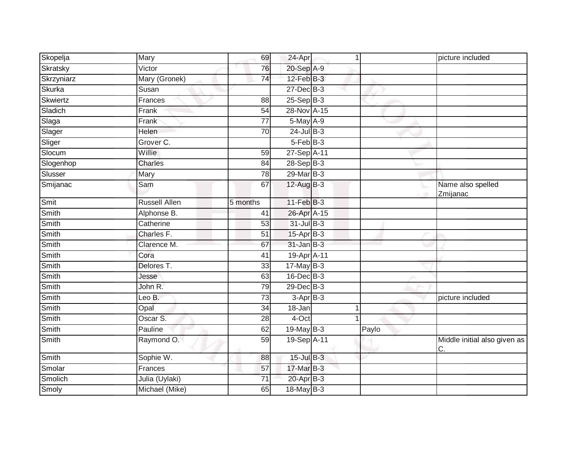| Skopelja   | Mary           | 69              | 24-Apr           | 1 |       | picture included                   |
|------------|----------------|-----------------|------------------|---|-------|------------------------------------|
| Skratsky   | Victor         | 76              | 20-Sep A-9       |   |       |                                    |
| Skrzyniarz | Mary (Gronek)  | 74              | $12$ -Feb $B-3$  |   |       |                                    |
| Skurka     | Susan          |                 | 27-Dec B-3       |   |       |                                    |
| Skwiertz   | Frances        | 88              | $25-Sep$ B-3     |   |       |                                    |
| Sladich    | Frank          | 54              | 28-Nov A-15      |   |       |                                    |
| Slaga      | Frank          | 77              | 5-May A-9        |   |       |                                    |
| Slager     | <b>Helen</b>   | 70              | $24$ -Jul $B-3$  |   |       |                                    |
| Sliger     | Grover C.      |                 | $5-FebB-3$       |   |       |                                    |
| Slocum     | Willie         | 59              | 27-Sep A-11      |   |       |                                    |
| Slogenhop  | Charles        | 84              | $28-Sep B-3$     |   |       |                                    |
| Slusser    | Mary           | 78              | 29-Mar B-3       |   |       |                                    |
| Smijanac   | Sam            | 67              | $12$ -Aug $B-3$  |   |       | Name also spelled<br>Zmijanac      |
| Smit       | Russell Allen  | 5 months        | $11-Feb$ B-3     |   |       |                                    |
| Smith      | Alphonse B.    | 41              | 26-Apr A-15      |   |       |                                    |
| Smith      | Catherine      | 53              | 31-Jul B-3       |   |       |                                    |
| Smith      | Charles F.     | 51              | 15-Apr B-3       |   |       |                                    |
| Smith      | Clarence M.    | 67              | $31 - Jan$ $B-3$ |   |       |                                    |
| Smith      | Cora           | 41              | 19-Apr A-11      |   |       |                                    |
| Smith      | Delores T.     | 33              | $17$ -May B-3    |   |       |                                    |
| Smith      | Jesse          | 63              | $16$ -Dec $B-3$  |   |       |                                    |
| Smith      | John R.        | 79              | $29$ -Dec $B-3$  |   |       |                                    |
| Smith      | Leo B.         | 73              | $3-AprB-3$       |   |       | picture included                   |
| Smith      | Opal           | 34              | 18-Jan           | 1 |       |                                    |
| Smith      | Oscar S.       | 28              | $4$ -Oct         | 1 |       |                                    |
| Smith      | Pauline        | 62              | $19$ -May B-3    |   | Paylo |                                    |
| Smith      | Raymond O.     | 59              | 19-Sep A-11      |   |       | Middle initial also given as<br>C. |
| Smith      | Sophie W.      | 88              | 15-Jul B-3       |   |       |                                    |
| Smolar     | Frances        | 57              | 17-Mar B-3       |   |       |                                    |
| Smolich    | Julia (Uylaki) | $\overline{71}$ | 20-Apr B-3       |   |       |                                    |
| Smoly      | Michael (Mike) | 65              | 18-May B-3       |   |       |                                    |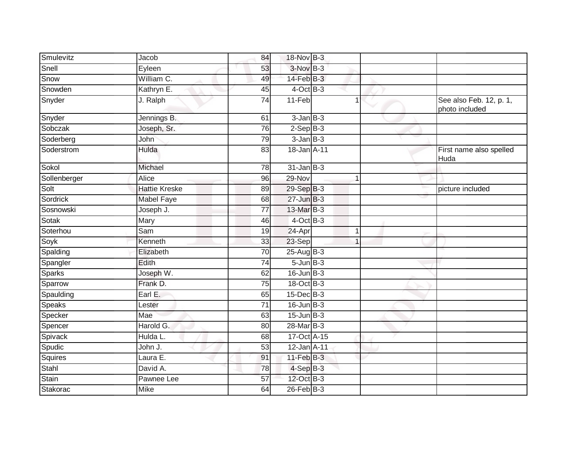| Smulevitz    | Jacob                | 84              | 18-Nov B-3       |             |                                           |
|--------------|----------------------|-----------------|------------------|-------------|-------------------------------------------|
| Snell        | Eyleen               | 53              | 3-Nov B-3        |             |                                           |
| Snow         | William C.           | 49              | $14$ -Feb $B-3$  |             |                                           |
| Snowden      | Kathryn E.           | 45              | $4$ -Oct B-3     |             |                                           |
| Snyder       | J. Ralph             | 74              | 11-Feb           | 1           | See also Feb. 12, p. 1,<br>photo included |
| Snyder       | Jennings B.          | 61              | $3$ -Jan $B-3$   |             |                                           |
| Sobczak      | Joseph, Sr.          | 76              | $2-Sep$ B-3      |             |                                           |
| Soderberg    | John                 | 79              | $3$ -Jan $B-3$   |             |                                           |
| Soderstrom   | Hulda                | 83              | 18-Jan A-11      |             | First name also spelled<br>Huda           |
| Sokol        | Michael              | 78              | $31$ -Jan $B-3$  |             |                                           |
| Sollenberger | Alice                | 96              | 29-Nov           |             |                                           |
| Solt         | <b>Hattie Kreske</b> | 89              | 29-Sep B-3       |             | picture included                          |
| Sordrick     | <b>Mabel Faye</b>    | 68              | $27 - Jun$ B-3   |             |                                           |
| Sosnowski    | Joseph J.            | 77              | 13-Mar B-3       |             |                                           |
| Sotak        | Mary                 | 46              | $4$ -Oct B-3     |             |                                           |
| Soterhou     | Sam                  | 19              | 24-Apr           | $\mathbf 1$ |                                           |
| Soyk         | Kenneth              | 33              | 23-Sep           |             |                                           |
| Spalding     | Elizabeth            | $\overline{70}$ | $25-AugB-3$      |             |                                           |
| Spangler     | Edith                | 74              | $5 - Jun$ $B-3$  |             |                                           |
| Sparks       | Joseph W.            | 62              | $16$ -Jun $B-3$  |             |                                           |
| Sparrow      | Frank D.             | 75              | 18-Oct B-3       |             |                                           |
| Spaulding    | Earl E.              | 65              | $15$ -Dec $B$ -3 |             |                                           |
| Speaks       | Lester               | 71              | $16$ -Jun $B-3$  |             |                                           |
| Specker      | Mae                  | 63              | $15$ -Jun $B-3$  |             |                                           |
| Spencer      | Harold G.            | 80              | 28-Mar B-3       |             |                                           |
| Spivack      | Hulda L.             | 68              | 17-Oct A-15      |             |                                           |
| Spudic       | John J.              | $\overline{53}$ | 12-Jan A-11      |             |                                           |
| Squires      | Laura E.             | 91              | $11$ -Feb $B-3$  |             |                                           |
| Stahl        | David A.             | 78              | $4-SepB-3$       |             |                                           |
| Stain        | Pawnee Lee           | 57              | 12-Oct B-3       |             |                                           |
| Stakorac     | Mike                 | 64              | $26$ -Feb $B-3$  |             |                                           |
|              |                      |                 |                  |             |                                           |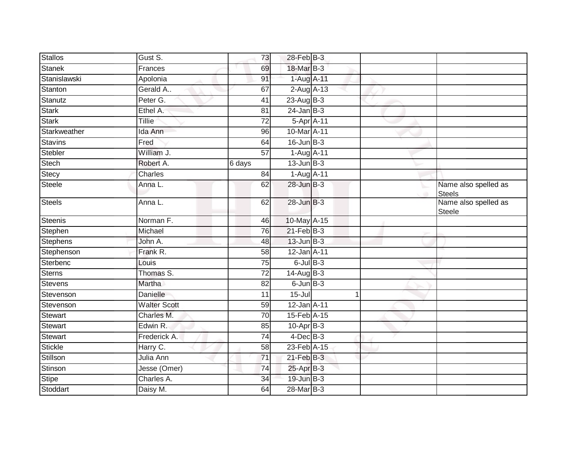| Gust S.             | 73              |            |   |                                                                                                                                                                                                                                                                                                                                                                                                                                                                                                     |                                       |
|---------------------|-----------------|------------|---|-----------------------------------------------------------------------------------------------------------------------------------------------------------------------------------------------------------------------------------------------------------------------------------------------------------------------------------------------------------------------------------------------------------------------------------------------------------------------------------------------------|---------------------------------------|
| Frances             | 69              |            |   |                                                                                                                                                                                                                                                                                                                                                                                                                                                                                                     |                                       |
| Apolonia            | 91              |            |   |                                                                                                                                                                                                                                                                                                                                                                                                                                                                                                     |                                       |
| Gerald A            | 67              |            |   |                                                                                                                                                                                                                                                                                                                                                                                                                                                                                                     |                                       |
| Peter G.            | $\overline{41}$ |            |   |                                                                                                                                                                                                                                                                                                                                                                                                                                                                                                     |                                       |
| Ethel A.            | 81              |            |   |                                                                                                                                                                                                                                                                                                                                                                                                                                                                                                     |                                       |
| Tillie              | 72              |            |   |                                                                                                                                                                                                                                                                                                                                                                                                                                                                                                     |                                       |
| Ida Ann             | 96              |            |   |                                                                                                                                                                                                                                                                                                                                                                                                                                                                                                     |                                       |
| Fred                | 64              |            |   |                                                                                                                                                                                                                                                                                                                                                                                                                                                                                                     |                                       |
| William J.          | $\overline{57}$ |            |   |                                                                                                                                                                                                                                                                                                                                                                                                                                                                                                     |                                       |
| Robert A.           | 6 days          |            |   |                                                                                                                                                                                                                                                                                                                                                                                                                                                                                                     |                                       |
| Charles             | 84              |            |   |                                                                                                                                                                                                                                                                                                                                                                                                                                                                                                     |                                       |
| Anna L.             | 62              |            |   |                                                                                                                                                                                                                                                                                                                                                                                                                                                                                                     | Name also spelled as<br><b>Steels</b> |
| Anna L.             | 62              |            |   |                                                                                                                                                                                                                                                                                                                                                                                                                                                                                                     | Name also spelled as<br>Steele        |
| Norman F.           | 46              |            |   |                                                                                                                                                                                                                                                                                                                                                                                                                                                                                                     |                                       |
| Michael             | 76              |            |   |                                                                                                                                                                                                                                                                                                                                                                                                                                                                                                     |                                       |
| John A.             | 48              |            |   |                                                                                                                                                                                                                                                                                                                                                                                                                                                                                                     |                                       |
| Frank R.            | 58              |            |   |                                                                                                                                                                                                                                                                                                                                                                                                                                                                                                     |                                       |
| Louis               | 75              |            |   |                                                                                                                                                                                                                                                                                                                                                                                                                                                                                                     |                                       |
| Thomas S.           | $\overline{72}$ |            |   |                                                                                                                                                                                                                                                                                                                                                                                                                                                                                                     |                                       |
| Martha              | 82              |            |   |                                                                                                                                                                                                                                                                                                                                                                                                                                                                                                     |                                       |
| Danielle            | 11              | $15 -$ Jul | 1 |                                                                                                                                                                                                                                                                                                                                                                                                                                                                                                     |                                       |
| <b>Walter Scott</b> | 59              |            |   |                                                                                                                                                                                                                                                                                                                                                                                                                                                                                                     |                                       |
| Charles M.          | $\overline{70}$ |            |   |                                                                                                                                                                                                                                                                                                                                                                                                                                                                                                     |                                       |
| Edwin R.            | 85              |            |   |                                                                                                                                                                                                                                                                                                                                                                                                                                                                                                     |                                       |
| Frederick A.        | 74              |            |   |                                                                                                                                                                                                                                                                                                                                                                                                                                                                                                     |                                       |
| Harry C.            | $\overline{58}$ |            |   |                                                                                                                                                                                                                                                                                                                                                                                                                                                                                                     |                                       |
| Julia Ann           | 71              |            |   |                                                                                                                                                                                                                                                                                                                                                                                                                                                                                                     |                                       |
| Jesse (Omer)        | 74              |            |   |                                                                                                                                                                                                                                                                                                                                                                                                                                                                                                     |                                       |
| Charles A.          | $\overline{34}$ |            |   |                                                                                                                                                                                                                                                                                                                                                                                                                                                                                                     |                                       |
| Daisy M.            | 64              |            |   |                                                                                                                                                                                                                                                                                                                                                                                                                                                                                                     |                                       |
|                     |                 |            |   | 28-Feb B-3<br>18-Mar B-3<br>1-Aug A-11<br>$2$ -Aug $A$ -13<br>$23-AugB-3$<br>$24$ -Jan B-3<br>5-Apr A-11<br>10-Mar A-11<br>$16$ -Jun $B-3$<br>1-Aug A-11<br>$13$ -Jun $B-3$<br>1-Aug A-11<br>$28$ -Jun $B-3$<br>$28$ -Jun $B-3$<br>10-May A-15<br>$21$ -Feb $B-3$<br>$13$ -Jun $B-3$<br>12-Jan A-11<br>$6$ -Jul $B$ -3<br>$14-AugB-3$<br>$6$ -Jun $B-3$<br>12-Jan A-11<br>15-Feb A-15<br>$10-Apr$ B-3<br>$4$ -Dec $B-3$<br>23-Feb A-15<br>$21$ -Feb $B-3$<br>25-Apr B-3<br>19-Jun B-3<br>28-Mar B-3 |                                       |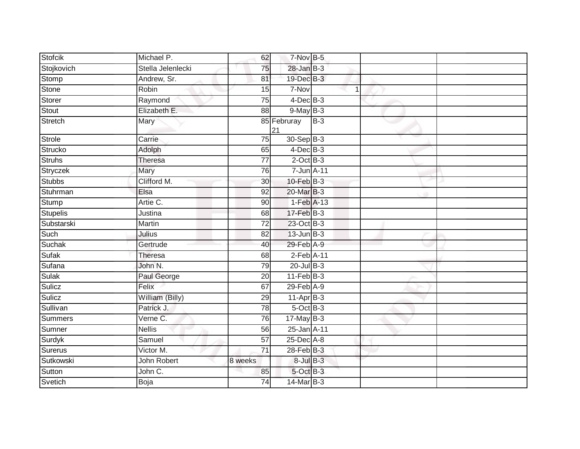| <b>Stofcik</b>  | Michael P.        | 62              | 7-Nov B-5         |             |  |
|-----------------|-------------------|-----------------|-------------------|-------------|--|
| Stojkovich      | Stella Jelenlecki | 75              | $28 - Jan$ $B-3$  |             |  |
| Stomp           | Andrew, Sr.       | 81              | 19-Dec B-3        |             |  |
| Stone           | Robin             | 15              | 7-Nov             | $\mathbf 1$ |  |
| Storer          | Raymond           | $\overline{75}$ | $4$ -Dec $B$ -3   |             |  |
| Stout           | Elizabeth E.      | 88              | $9$ -May $B-3$    |             |  |
| Stretch         | Mary              |                 | 85 Februray<br>21 | $B-3$       |  |
| <b>Strole</b>   | Carrie            | $\overline{75}$ | 30-Sep B-3        |             |  |
| Strucko         | Adolph            | 65              | $4$ -Dec $B$ -3   |             |  |
| <b>Struhs</b>   | Theresa           | 77              | $2$ -Oct $B-3$    |             |  |
| Stryczek        | Mary              | 76              | 7-Jun A-11        |             |  |
| <b>Stubbs</b>   | Clifford M.       | 30              | $10$ -Feb $B-3$   |             |  |
| Stuhrman        | Elsa              | $\overline{92}$ | 20-Mar B-3        |             |  |
| Stump           | Artie C.          | 90              | $1-Feb$ A-13      |             |  |
| <b>Stupelis</b> | Justina           | 68              | 17-Feb B-3        |             |  |
| Substarski      | Martin            | 72              | 23-Oct B-3        |             |  |
| Such            | Julius            | 82              | $13$ -Jun $B-3$   |             |  |
| Suchak          | Gertrude          | 40              | $29$ -Feb $A-9$   |             |  |
| <b>Sufak</b>    | Theresa           | 68              | 2-Feb A-11        |             |  |
| Sufana          | John N.           | 79              | $20$ -Jul $B-3$   |             |  |
| Sulak           | Paul George       | 20              | $11$ -Feb $B-3$   |             |  |
| Sulicz          | Felix             | 67              | $29$ -Feb $A-9$   |             |  |
| Sulicz          | William (Billy)   | 29              | $11-Apr$ B-3      |             |  |
| Sullivan        | Patrick J.        | 78              | 5-Oct B-3         |             |  |
| Summers         | Verne C.          | 76              | $17$ -May B-3     |             |  |
| Sumner          | <b>Nellis</b>     | 56              | 25-Jan A-11       |             |  |
| Surdyk          | Samuel            | $\overline{57}$ | 25-Dec A-8        |             |  |
| Surerus         | Victor M.         | 71              | 28-Feb B-3        |             |  |
| Sutkowski       | John Robert       | 8 weeks         | $8$ -Jul $B-3$    |             |  |
| Sutton          | John C.           | 85              | 5-Oct B-3         |             |  |
| Svetich         | Boja              | 74              | 14-Mar B-3        |             |  |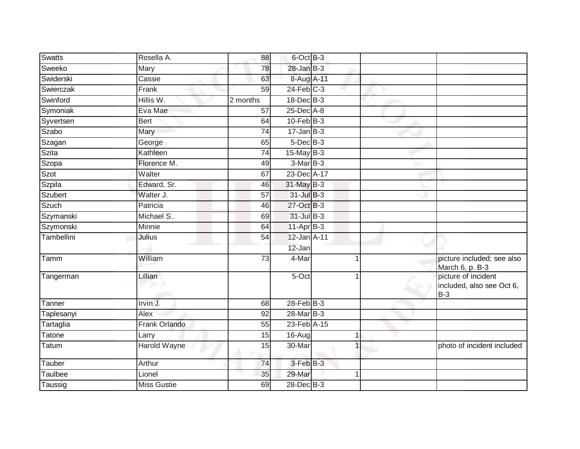| <b>Swatts</b>  | Rosella A.           | 88              | 6-Oct B-3        |   |                                                           |
|----------------|----------------------|-----------------|------------------|---|-----------------------------------------------------------|
| Sweeko         | Mary                 | 78              | $28 - Jan$ $B-3$ |   |                                                           |
| Swiderski      | Cassie               | 63              | 8-Aug A-11       |   |                                                           |
| Swierczak      | Frank                | 59              | $24$ -Feb $C-3$  |   |                                                           |
| Swinford       | Hillis W.            | 2 months        | 18-Dec B-3       |   |                                                           |
| Symoniak       | Eva Mae              | 57              | 25-Dec A-8       |   |                                                           |
| Syvertsen      | <b>Bert</b>          | 64              | $10$ -Feb $B-3$  |   |                                                           |
| Szabo          | Mary                 | 74              | $17 - Jan$ $B-3$ |   |                                                           |
| Szagan         | George               | 65              | $5$ -Dec $B$ -3  |   |                                                           |
| Szita          | Kathleen             | $\overline{74}$ | $15$ -May B-3    |   |                                                           |
| Szopa          | Florence M.          | 49              | $3-Mar$ B-3      |   |                                                           |
| Szot           | Walter               | 67              | 23-Dec A-17      |   |                                                           |
| Szpila         | Edward, Sr.          | 46              | $31$ -May B-3    |   |                                                           |
| <b>Szubert</b> | Walter J.            | 57              | 31-Jul B-3       |   |                                                           |
| <b>Szuch</b>   | Patricia             | 46              | 27-Oct B-3       |   |                                                           |
| Szymanski      | Michael S            | 69              | $31$ -Jul $B-3$  |   |                                                           |
| Szymonski      | Minnie               | 64              | $11-AprB-3$      |   |                                                           |
| Tambellini     | Julius               | 54              | 12-Jan A-11      |   |                                                           |
|                |                      |                 | 12-Jan           |   |                                                           |
| Tamm           | William              | $\overline{73}$ | 4-Mar            |   | picture included; see also<br>March 6, p. B-3             |
| Tangerman      | Lillian              |                 | 5-Oct            |   | picture of incident<br>included, also see Oct 6,<br>$B-3$ |
| Tanner         | Irvin J.             | 68              | $28$ -Feb $B-3$  |   |                                                           |
| Taplesanyi     | Alex                 | 92              | 28-Mar B-3       |   |                                                           |
| Tartaglia      | <b>Frank Orlando</b> | $\overline{55}$ | 23-Feb A-15      |   |                                                           |
| Tatone         | Larry                | 15              | 16-Aug           | 1 |                                                           |
| Tatum          | <b>Harold Wayne</b>  | $\overline{15}$ | 30-Mar           |   | photo of incident included                                |
| Tauber         | Arthur               | 74              | 3-Feb B-3        |   |                                                           |
| Taulbee        | Lionel               | 35              | 29-Mar           | 1 |                                                           |
| Taussig        | <b>Miss Gustie</b>   | 69              | 28-Dec B-3       |   |                                                           |
|                |                      |                 |                  |   |                                                           |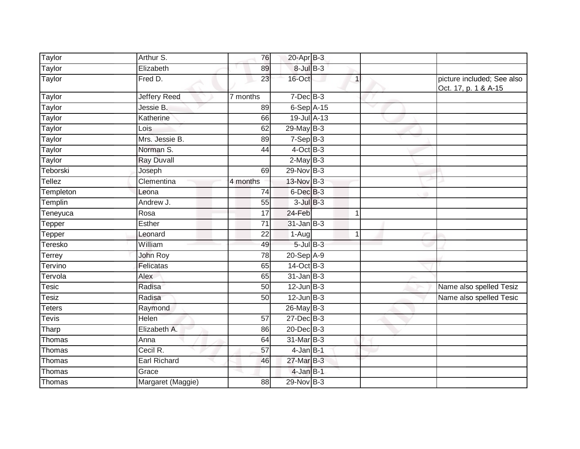| Taylor        | Arthur S.           | 76              | $20$ -Apr $B-3$      |              |                                                    |
|---------------|---------------------|-----------------|----------------------|--------------|----------------------------------------------------|
| Taylor        | Elizabeth           | 89              | $8$ -Jul $B$ -3      |              |                                                    |
| <b>Taylor</b> | Fred D.             | $\overline{23}$ | 16-Oct               | $\mathbf{1}$ | picture included; See also<br>Oct. 17, p. 1 & A-15 |
| Taylor        | <b>Jeffery Reed</b> | 7 months        | $7$ -Dec $B$ -3      |              |                                                    |
| Taylor        | Jessie B.           | 89              | $6-Sep$ A-15         |              |                                                    |
| Taylor        | Katherine           | 66              | 19-Jul A-13          |              |                                                    |
| Taylor        | Lois                | 62              | 29-May B-3           |              |                                                    |
| Taylor        | Mrs. Jessie B.      | 89              | $7-SepB-3$           |              |                                                    |
| Taylor        | Norman S.           | 44              | $4$ -Oct B-3         |              |                                                    |
| Taylor        | <b>Ray Duvall</b>   |                 | $2$ -May B-3         |              |                                                    |
| Teborski      | Joseph              | 69              | 29-Nov B-3           |              |                                                    |
| Tellez        | Clementina          | 4 months        | 13-Nov B-3           |              |                                                    |
| Templeton     | Leona               | 74              | 6-Dec <sup>B-3</sup> |              |                                                    |
| Templin       | Andrew J.           | 55              | $3$ -Jul $B-3$       |              |                                                    |
| Teneyuca      | Rosa                | 17              | 24-Feb               | $\mathbf 1$  |                                                    |
| Tepper        | Esther              | 71              | $31$ -Jan $B-3$      |              |                                                    |
| Tepper        | Leonard             | 22              | $1-Auq$              | $\mathbf{1}$ |                                                    |
| Teresko       | William             | 49              | $5$ -Jul $B$ -3      |              |                                                    |
| Terrey        | John Roy            | 78              | 20-Sep A-9           |              |                                                    |
| Tervino       | Felicatas           | 65              | $14-Oct$ B-3         |              |                                                    |
| Tervola       | Alex                | 65              | $31$ -Jan $B-3$      |              |                                                    |
| Tesic         | Radisa              | 50              | $12$ -Jun $B-3$      |              | Name also spelled Tesiz                            |
| Tesiz         | Radisa              | 50              | $12$ -Jun $B-3$      |              | Name also spelled Tesic                            |
| <b>Teters</b> | Raymond             |                 | 26-May B-3           |              |                                                    |
| Tevis         | <b>Helen</b>        | $\overline{57}$ | $27$ -Dec $B-3$      |              |                                                    |
| Tharp         | Elizabeth A.        | 86              | 20-Dec B-3           |              |                                                    |
| Thomas        | Anna                | 64              | 31-Mar B-3           |              |                                                    |
| Thomas        | Cecil R.            | 57              | $4$ -Jan B-1         |              |                                                    |
| Thomas        | Earl Richard        | 46              | 27-Mar B-3           |              |                                                    |
| Thomas        | Grace               |                 | $4$ -Jan B-1         |              |                                                    |
| Thomas        | Margaret (Maggie)   | 88              | 29-Nov B-3           |              |                                                    |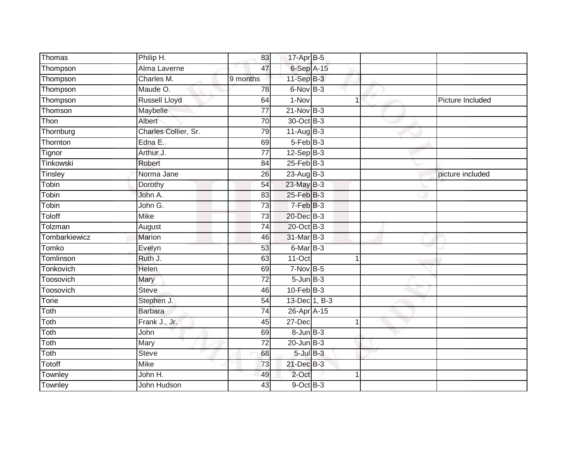| Thomas        | Philip H.            | 83              | 17-Apr B-5       |   |                  |
|---------------|----------------------|-----------------|------------------|---|------------------|
| Thompson      | Alma Laverne         | 47              | 6-Sep A-15       |   |                  |
| Thompson      | Charles M.           | 9 months        | $11-SepB-3$      |   |                  |
| Thompson      | Maude O.             | 78              | 6-Nov B-3        |   |                  |
| Thompson      | <b>Russell Lloyd</b> | 64              | $1-Nov$          | 1 | Picture Included |
| Thomson       | Maybelle             | $\overline{77}$ | $21$ -Nov B-3    |   |                  |
| Thon          | Albert               | 70              | 30-Oct B-3       |   |                  |
| Thornburg     | Charles Collier, Sr. | 79              | $11-Aug$ B-3     |   |                  |
| Thornton      | Edna E.              | 69              | $5-FebB-3$       |   |                  |
| Tignor        | Arthur J.            | $\overline{77}$ | $12-Sep$ $B-3$   |   |                  |
| Tinkowski     | Robert               | 84              | $25$ -Feb $B$ -3 |   |                  |
| Tinsley       | Norma Jane           | 26              | 23-Aug B-3       |   | picture included |
| Tobin         | Dorothy              | 54              | $23$ -May $B-3$  |   |                  |
| Tobin         | John A.              | 83              | 25-Feb B-3       |   |                  |
| Tobin         | John G.              | 73              | $7-FebB-3$       |   |                  |
| <b>Toloff</b> | <b>Mike</b>          | $\overline{73}$ | 20-Dec B-3       |   |                  |
| Tolzman       | August               | $\overline{74}$ | 20-Oct B-3       |   |                  |
| Tombarkiewicz | Marion               | 46              | 31-Mar B-3       |   |                  |
| Tomko         | Evelyn               | 53              | 6-Mar B-3        |   |                  |
| Tomlinson     | Ruth J.              | 63              | $11-Oct$         | 1 |                  |
| Tonkovich     | Helen                | 69              | $7-Nov$ B-5      |   |                  |
| Toosovich     | Mary                 | $\overline{72}$ | $5 - Jun$ $B-3$  |   |                  |
| Toosovich     | <b>Steve</b>         | 46              | $10$ -Feb $B-3$  |   |                  |
| Torie         | Stephen J.           | $\overline{54}$ | 13-Dec 1, B-3    |   |                  |
| Toth          | <b>Barbara</b>       | 74              | 26-Apr A-15      |   |                  |
| Toth          | Frank J., Jr.        | 45              | 27-Dec           | 1 |                  |
| Toth          | John                 | 69              | $8 - Jun$ $B-3$  |   |                  |
| Toth          | Mary                 | 72              | $20$ -Jun $B-3$  |   |                  |
| Toth          | <b>Steve</b>         | 68              | $5$ -Jul $B-3$   |   |                  |
| Totoff        | <b>Mike</b>          | 73              | 21-Dec B-3       |   |                  |
| Townley       | John H.              | 49              | 2-Oct            | 4 |                  |
| Townley       | John Hudson          | 43              | $9$ -Oct $B$ -3  |   |                  |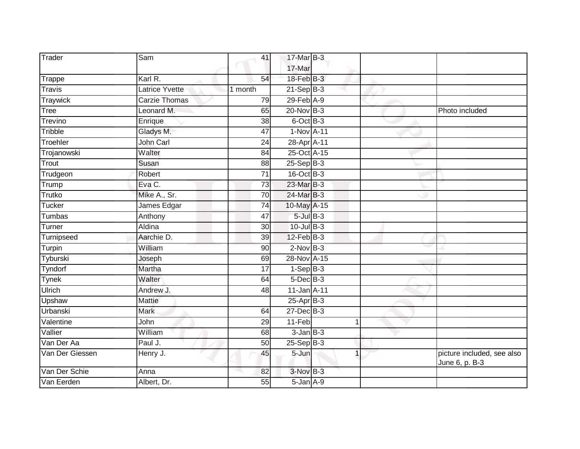| Trader          | Sam                   | 41              | 17-Mar B-3<br>17-Mar |                |                                              |
|-----------------|-----------------------|-----------------|----------------------|----------------|----------------------------------------------|
| Trappe          | Karl R.               | 54              | 18-Feb B-3           |                |                                              |
| <b>Travis</b>   | <b>Latrice Yvette</b> | 1 month         | $21-Sep$ B-3         |                |                                              |
| <b>Traywick</b> | <b>Carzie Thomas</b>  | 79              | 29-Feb A-9           |                |                                              |
| <b>Tree</b>     | Leonard M.            | 65              | 20-Nov B-3           |                | Photo included                               |
| Trevino         | Enrique               | 38              | $6$ -Oct $B-3$       |                |                                              |
| Tribble         | Gladys M.             | 47              | 1-Nov A-11           |                |                                              |
| Troehler        | John Carl             | 24              | 28-Apr A-11          |                |                                              |
| Trojanowski     | Walter                | $\overline{84}$ | 25-Oct A-15          |                |                                              |
| Trout           | Susan                 | 88              | $25-Sep$ B-3         |                |                                              |
| Trudgeon        | Robert                | 71              | $16$ -Oct B-3        |                |                                              |
| Trump           | Eva C.                | 73              | 23-Mar B-3           |                |                                              |
| Trutko          | Mike A., Sr.          | 70              | 24-Mar B-3           |                |                                              |
| <b>Tucker</b>   | James Edgar           | 74              | 10-May A-15          |                |                                              |
| Tumbas          | Anthony               | $\overline{47}$ | $5$ -Jul $B-3$       |                |                                              |
| Turner          | Aldina                | $\overline{30}$ | $10$ -Jul B-3        |                |                                              |
| Turnipseed      | Aarchie D.            | 39              | $12$ -Feb $B-3$      |                |                                              |
| Turpin          | William               | 90              | $2$ -Nov $B-3$       |                |                                              |
| Tyburski        | Joseph                | 69              | 28-Nov A-15          |                |                                              |
| Tyndorf         | Martha                | 17              | $1-Sep$ $B-3$        |                |                                              |
| <b>Tynek</b>    | Walter                | 64              | $5$ -Dec $B$ -3      |                |                                              |
| <b>Ulrich</b>   | Andrew J.             | 48              | 11-Jan A-11          |                |                                              |
| Upshaw          | Mattie                |                 | $25-Apr$ B-3         |                |                                              |
| Urbanski        | <b>Mark</b>           | 64              | 27-Dec B-3           |                |                                              |
| Valentine       | John                  | 29              | 11-Feb               | 1              |                                              |
| Vallier         | William               | 68              | $3$ -Jan $B-3$       |                |                                              |
| Van Der Aa      | Paul J.               | 50              | $25-Sep$ B-3         |                |                                              |
| Van Der Giessen | Henry J.              | 45              | 5-Jun                | $\overline{1}$ | picture included, see also<br>June 6, p. B-3 |
| Van Der Schie   | Anna                  | 82              | $3-Nov$ B-3          |                |                                              |
| Van Eerden      | Albert, Dr.           | 55              | 5-Jan A-9            |                |                                              |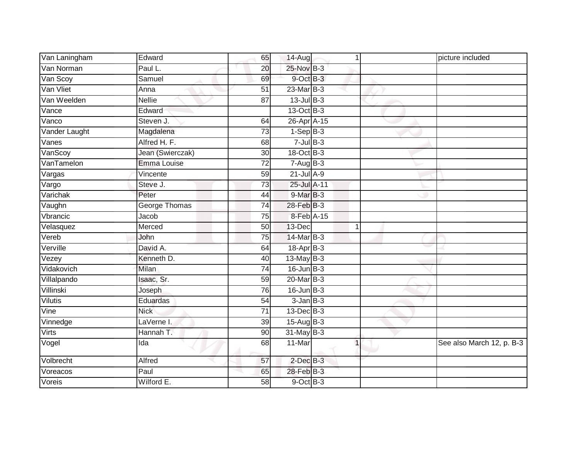| Van Laningham | Edward           | 65              | 14-Aug                      | 1              | picture included          |
|---------------|------------------|-----------------|-----------------------------|----------------|---------------------------|
| Van Norman    | Paul L.          | $\overline{20}$ | 25-Nov B-3                  |                |                           |
| Van Scoy      | Samuel           | 69              | 9-Oct B-3                   |                |                           |
| Van Vliet     | Anna             | 51              | 23-Mar B-3                  |                |                           |
| Van Weelden   | <b>Nellie</b>    | $\overline{87}$ | $13$ -Jul B-3               |                |                           |
| Vance         | Edward           |                 | 13-Oct B-3                  |                |                           |
| Vanco         | Steven J.        | 64              | 26-Apr A-15                 |                |                           |
| Vander Laught | Magdalena        | $\overline{73}$ | $1-Sep$ B-3                 |                |                           |
| Vanes         | Alfred H. F.     | 68              | $7$ -Jul $B-3$              |                |                           |
| VanScoy       | Jean (Swierczak) | $\overline{30}$ | 18-Oct B-3                  |                |                           |
| VanTamelon    | Emma Louise      | 72              | $7 - \overline{Aug}$ B-3    |                |                           |
| Vargas        | Vincente         | 59              | $21$ -Jul A-9               |                |                           |
| Vargo         | Steve J.         | 73              | 25-Jul A-11                 |                |                           |
| Varichak      | Peter            | 44              | 9-Mar B-3                   |                |                           |
| Vaughn        | George Thomas    | 74              | 28-Feb B-3                  |                |                           |
| Vbrancic      | Jacob            | 75              | $8$ -Feb $\overline{A}$ -15 |                |                           |
| Velasquez     | Merced           | 50              | 13-Dec                      | $\mathbf{1}$   |                           |
| Vereb         | John             | 75              | 14-Mar B-3                  |                |                           |
| Verville      | David A.         | 64              | 18-Apr <sub>B-3</sub>       |                |                           |
| Vezey         | Kenneth D.       | 40              | 13-May B-3                  |                |                           |
| Vidakovich    | <b>Milan</b>     | 74              | $16$ -Jun $B-3$             |                |                           |
| Villalpando   | Isaac, Sr.       | 59              | 20-Mar B-3                  |                |                           |
| Villinski     | Joseph           | 76              | $16$ -Jun $B-3$             |                |                           |
| Vilutis       | Eduardas         | 54              | $3$ -Jan $B-3$              |                |                           |
| Vine          | <b>Nick</b>      | $\overline{71}$ | 13-Dec B-3                  |                |                           |
| Vinnedge      | LaVerne I.       | 39              | 15-Aug B-3                  |                |                           |
| <b>Virts</b>  | Hannah T.        | 90              | $31$ -May B-3               |                |                           |
| Vogel         | Ida              | 68              | 11-Mar                      | $\overline{1}$ | See also March 12, p. B-3 |
| Volbrecht     | Alfred           | 57              | $2$ -Dec $B-3$              |                |                           |
| Voreacos      | Paul             | 65              | 28-Feb B-3                  |                |                           |
| Voreis        | Wilford E.       | 58              | $9$ -Oct $B-3$              |                |                           |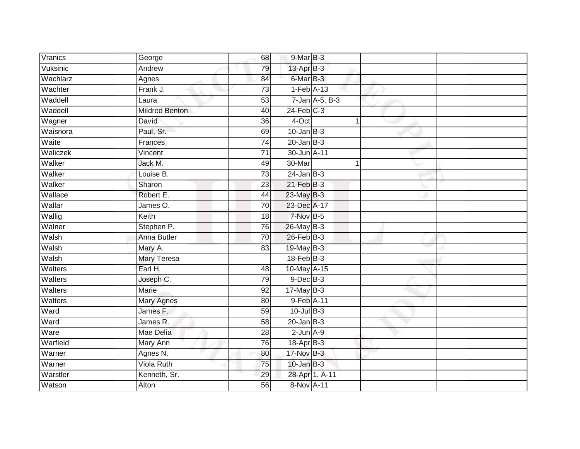| Vranics        | George                | 68              | 9-Mar B-3       |                      |  |
|----------------|-----------------------|-----------------|-----------------|----------------------|--|
| Vuksinic       | Andrew                | 79              | 13-Apr B-3      |                      |  |
| Wachlarz       | Agnes                 | 84              | 6-Mar B-3       |                      |  |
| Wachter        | Frank J.              | $\overline{73}$ | $1-Feb$ A-13    |                      |  |
| Waddell        | Laura                 | 53              |                 | $7$ -Jan $A$ -5, B-3 |  |
| Waddell        | <b>Mildred Benton</b> | 40              | $24$ -Feb $C-3$ |                      |  |
| Wagner         | David                 | 36              | 4-Oct           | 1                    |  |
| Waisnora       | Paul, Sr.             | 69              | $10$ -Jan B-3   |                      |  |
| Waite          | Frances               | 74              | $20$ -Jan $B-3$ |                      |  |
| Waliczek       | Vincent               | $\overline{71}$ | 30-Jun A-11     |                      |  |
| Walker         | Jack M.               | 49              | 30-Mar          |                      |  |
| Walker         | Louise B.             | 73              | $24$ -Jan B-3   |                      |  |
| Walker         | Sharon                | 23              | $21$ -Feb $B-3$ |                      |  |
| Wallace        | Robert E.             | 44              | 23-May B-3      |                      |  |
| Wallar         | James O.              | 70              | 23-Dec A-17     |                      |  |
| Wallig         | Keith                 | 18              | 7-Nov B-5       |                      |  |
| Walner         | Stephen P.            | 76              | 26-May B-3      |                      |  |
| Walsh          | Anna Butler           | 70              | $26$ -Feb $B-3$ |                      |  |
| Walsh          | Mary A.               | 83              | 19-May B-3      |                      |  |
| Walsh          | <b>Mary Teresa</b>    |                 | $18$ -Feb $B-3$ |                      |  |
| Walters        | Earl H.               | 48              | 10-May A-15     |                      |  |
| Walters        | Joseph C.             | 79              | $9$ -Dec $B$ -3 |                      |  |
| <b>Walters</b> | <b>Marie</b>          | 92              | $17$ -May B-3   |                      |  |
| Walters        | Mary Agnes            | 80              | 9-Feb A-11      |                      |  |
| Ward           | James F.              | 59              | $10$ -Jul $B-3$ |                      |  |
| Ward           | James R.              | 58              | $20$ -Jan $B-3$ |                      |  |
| Ware           | Mae Delia             | 28              | $2$ -Jun $A-9$  |                      |  |
| Warfield       | Mary Ann              | 76              | 18-Apr B-3      |                      |  |
| Warner         | Agnes N.              | 80              | 17-Nov B-3      |                      |  |
| Warner         | <b>Viola Ruth</b>     | 75              | $10$ -Jan $B-3$ |                      |  |
| Warstler       | Kenneth, Sr.          | 29              |                 | 28-Apr 1, A-11       |  |
| Watson         | Alton                 | 56              | 8-Nov A-11      |                      |  |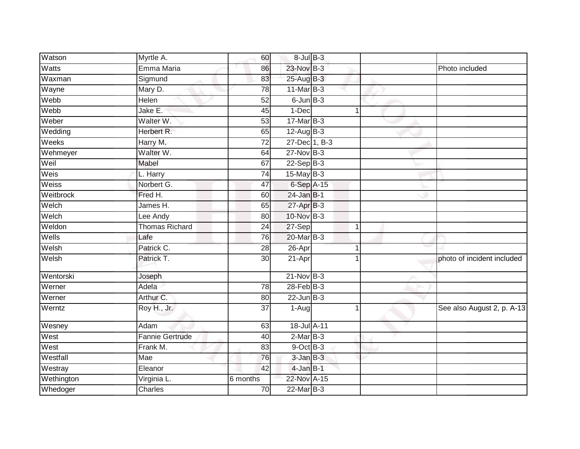| Watts<br>Emma Maria<br>23-Nov B-3<br>86<br>Photo included<br>25-Aug B-3<br>Waxman<br>Sigmund<br>83<br>$11$ -Mar $B-3$<br>Wayne<br>Mary D.<br>78<br>Webb<br>$\overline{52}$<br>$6$ -Jun $B-3$ |                            |
|----------------------------------------------------------------------------------------------------------------------------------------------------------------------------------------------|----------------------------|
|                                                                                                                                                                                              |                            |
|                                                                                                                                                                                              |                            |
|                                                                                                                                                                                              |                            |
| Helen                                                                                                                                                                                        |                            |
| Jake E.<br>Webb<br>1-Dec<br>45<br>$\mathbf 1$                                                                                                                                                |                            |
| 17-Mar B-3<br>Weber<br>Walter W.<br>53                                                                                                                                                       |                            |
| Wedding<br>Herbert R.<br>65<br>$12$ -Aug B-3                                                                                                                                                 |                            |
| 27-Dec 1, B-3<br>Weeks<br>Harry M.<br>72                                                                                                                                                     |                            |
| Walter W.<br>Wehmeyer<br>$27$ -Nov $B-3$<br>64                                                                                                                                               |                            |
| Weil<br>$22-Sep B-3$<br>Mabel<br>67                                                                                                                                                          |                            |
| Weis<br>$15$ -May B-3<br>74<br>L. Harry                                                                                                                                                      |                            |
| Norbert G.<br>Weiss<br>47<br>6-Sep A-15                                                                                                                                                      |                            |
| Weitbrock<br>Fred H.<br>24-Jan B-1<br>60                                                                                                                                                     |                            |
| Welch<br>27-Apr B-3<br>James H.<br>65                                                                                                                                                        |                            |
| Welch<br>10-Nov B-3<br>Lee Andy<br>80                                                                                                                                                        |                            |
| Weldon<br><b>Thomas Richard</b><br>27-Sep<br>24<br>1                                                                                                                                         |                            |
| Wells<br>20-Mar B-3<br>76<br>Lafe                                                                                                                                                            |                            |
| Welsh<br>Patrick C.<br>$26 - Apr$<br>28<br>1                                                                                                                                                 |                            |
| Welsh<br>Patrick T.<br>21-Apr<br>30                                                                                                                                                          | photo of incident included |
| $21-Nov$ B-3<br>Wentorski<br>Joseph                                                                                                                                                          |                            |
| Werner<br>Adela<br>$\overline{78}$<br>$28$ -Feb $B-3$                                                                                                                                        |                            |
| Arthur C.<br>Werner<br>$22$ -Jun B-3<br>80                                                                                                                                                   |                            |
| Roy H., Jr.<br>Werntz<br>37<br>1-Aug                                                                                                                                                         | See also August 2, p. A-13 |
| 18-Jul A-11<br>Wesney<br>Adam<br>63                                                                                                                                                          |                            |
| West<br>$2-MarB-3$<br><b>Fannie Gertrude</b><br>40                                                                                                                                           |                            |
| West<br>9-Oct B-3<br>Frank M.<br>83                                                                                                                                                          |                            |
| Westfall<br>$3$ -Jan $B-3$<br>Mae<br>76                                                                                                                                                      |                            |
| $4$ -Jan $B-1$<br>Westray<br>Eleanor<br>42                                                                                                                                                   |                            |
| Wethington<br>22-Nov A-15<br>6 months<br>Virginia L.                                                                                                                                         |                            |
| 22-Mar B-3<br>Whedoger<br>Charles<br>70                                                                                                                                                      |                            |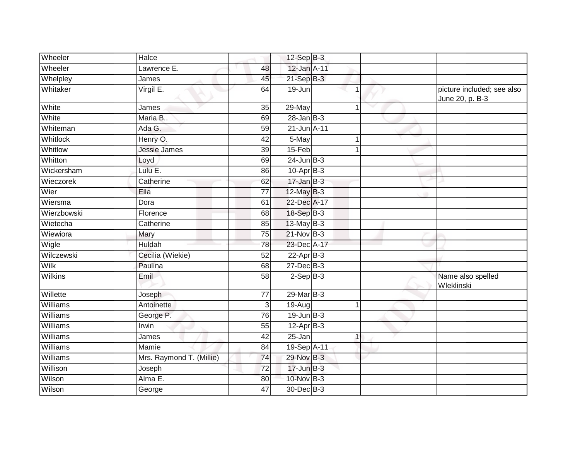| Wheeler         | Halce                    |                 | $12-Sep$ B-3    |   |                                               |
|-----------------|--------------------------|-----------------|-----------------|---|-----------------------------------------------|
| Wheeler         | Lawrence E.              | 48              | 12-Jan A-11     |   |                                               |
| Whelpley        | James                    | 45              | $21-SepB-3$     |   |                                               |
| Whitaker        | Virgil E.                | 64              | 19-Jun          |   | picture included; see also<br>June 20, p. B-3 |
| White           | James                    | 35              | 29-May          | 1 |                                               |
| White           | Maria B                  | 69              | $28$ -Jan B-3   |   |                                               |
| Whiteman        | Ada G.                   | 59              | 21-Jun A-11     |   |                                               |
| <b>Whitlock</b> | Henry O.                 | 42              | 5-May           | 1 |                                               |
| Whitlow         | Jessie James             | 39              | 15-Feb          |   |                                               |
| Whitton         | Loyd                     | 69              | $24$ -Jun $B-3$ |   |                                               |
| Wickersham      | Lulu E.                  | 86              | $10-Apr$ B-3    |   |                                               |
| Wieczorek       | Catherine                | 62              | $17$ -Jan B-3   |   |                                               |
| Wier            | Ella                     | $\overline{77}$ | 12-May B-3      |   |                                               |
| Wiersma         | Dora                     | 61              | 22-Dec A-17     |   |                                               |
| Wierzbowski     | Florence                 | 68              | 18-Sep B-3      |   |                                               |
| Wietecha        | Catherine                | 85              | $13$ -May B-3   |   |                                               |
| Wiewiora        | Mary                     | 75              | $21-Nov$ B-3    |   |                                               |
| Wigle           | <b>Huldah</b>            | 78              | 23-Dec A-17     |   |                                               |
| Wilczewski      | Cecilia (Wiekie)         | 52              | $22$ -Apr $B-3$ |   |                                               |
| <b>Wilk</b>     | Paulina                  | 68              | $27 - Dec$ B-3  |   |                                               |
| <b>Wilkins</b>  | Emil                     | 58              | $2-Sep$ B-3     |   | Name also spelled<br>Wleklinski               |
| Willette        | Joseph                   | $\overline{77}$ | 29-Mar B-3      |   |                                               |
| Williams        | Antoinette               | $\mathsf 3$     | 19-Aug          | 1 |                                               |
| <b>Williams</b> | George P.                | 76              | $19$ -Jun $B-3$ |   |                                               |
| Williams        | Irwin                    | 55              | $12-Apr$ B-3    |   |                                               |
| Williams        | James                    | 42              | 25-Jan          | 1 |                                               |
| <b>Williams</b> | Mamie                    | 84              | 19-Sep A-11     |   |                                               |
| Williams        | Mrs. Raymond T. (Millie) | 74              | 29-Nov B-3      |   |                                               |
| Willison        | Joseph                   | 72              | $17 - Jun$ B-3  |   |                                               |
| Wilson          | Alma E.                  | 80              | 10-Nov B-3      |   |                                               |
| Wilson          | George                   | 47              | 30-Dec B-3      |   |                                               |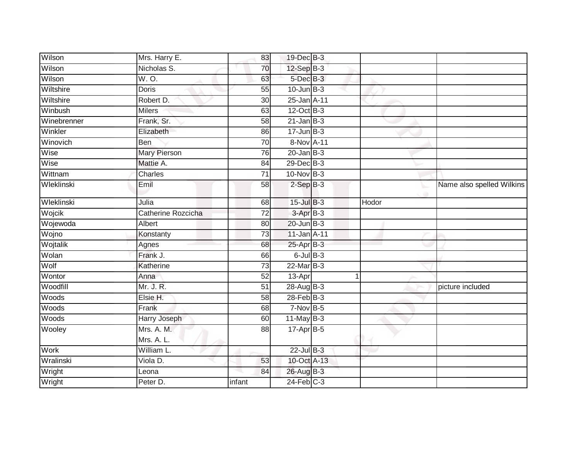| Wilson      | Mrs. Harry E.       | 83              | 19-Dec B-3            |       |                           |
|-------------|---------------------|-----------------|-----------------------|-------|---------------------------|
| Wilson      | Nicholas S.         | 70              | 12-Sep B-3            |       |                           |
| Wilson      | W.O.                | 63              | 5-Dec B-3             |       |                           |
| Wiltshire   | Doris               | 55              | $10$ -Jun $B-3$       |       |                           |
| Wiltshire   | Robert D.           | $\overline{30}$ | 25-Jan A-11           |       |                           |
| Winbush     | <b>Milers</b>       | 63              | $12$ -Oct B-3         |       |                           |
| Winebrenner | Frank, Sr.          | 58              | $21$ -Jan $B-3$       |       |                           |
| Winkler     | Elizabeth           | 86              | $17 - Jun$ B-3        |       |                           |
| Winovich    | Ben                 | 70              | 8-Nov A-11            |       |                           |
| Wise        | <b>Mary Pierson</b> | 76              | $20$ -Jan $B-3$       |       |                           |
| Wise        | Mattie A.           | 84              | 29-Dec B-3            |       |                           |
| Wittnam     | Charles             | 71              | 10-Nov B-3            |       |                           |
| Wleklinski  | Emil                | 58              | $2-SepB-3$            |       | Name also spelled Wilkins |
| Wleklinski  | Julia               | 68              | 15-Jul B-3            | Hodor |                           |
| Wojcik      | Catherine Rozcicha  | $\overline{72}$ | 3-Apr B-3             |       |                           |
| Wojewoda    | Albert              | 80              | $20$ -Jun $B-3$       |       |                           |
| Wojno       | Konstanty           | 73              | 11-Jan A-11           |       |                           |
| Wojtalik    | Agnes               | 68              | 25-Apr <sub>B-3</sub> |       |                           |
| Wolan       | Frank J.            | 66              | $6$ -Jul $B$ -3       |       |                           |
| Wolf        | Katherine           | 73              | 22-Mar B-3            |       |                           |
| Wontor      | Anna                | 52              | 13-Apr                | 1     |                           |
| Woodfill    | Mr. J. R.           | 51              | 28-Aug B-3            |       | picture included          |
| Woods       | Elsie H.            | 58              | $28$ -Feb $B-3$       |       |                           |
| Woods       | Frank               | 68              | $7-Nov$ B-5           |       |                           |
| Woods       | Harry Joseph        | 60              | $11$ -May B-3         |       |                           |
| Wooley      | Mrs. A. M.          | 88              | 17-Apr B-5            |       |                           |
|             | Mrs. A. L.          |                 |                       |       |                           |
| Work        | William L.          |                 | $22$ -Jul B-3         |       |                           |
| Wralinski   | Viola D.            | 53              | 10-Oct A-13           |       |                           |
| Wright      | Leona               | 84              | 26-Aug B-3            |       |                           |
| Wright      | Peter D.            | infant          | $24$ -Feb $C-3$       |       |                           |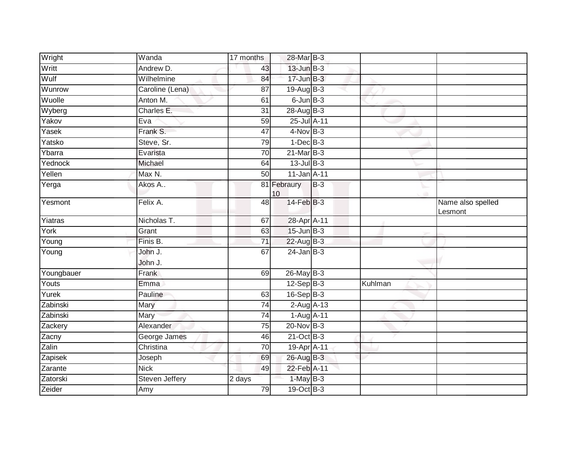| Wright     | Wanda              | 17 months       | 28-Mar B-3        |       |         |                              |
|------------|--------------------|-----------------|-------------------|-------|---------|------------------------------|
| Writt      | Andrew D.          | 43              | $13$ -Jun $B-3$   |       |         |                              |
| Wulf       | Wilhelmine         | 84              | $17 - Jun$ $B-3$  |       |         |                              |
| Wunrow     | Caroline (Lena)    | 87              | $19$ -Aug $B - 3$ |       |         |                              |
| Wuolle     | Anton M.           | 61              | $6$ -Jun $B-3$    |       |         |                              |
| Wyberg     | Charles E.         | 31              | 28-Aug B-3        |       |         |                              |
| Yakov      | Eva                | 59              | 25-Jul A-11       |       |         |                              |
| Yasek      | Frank S.           | $\overline{47}$ | $4-Nov$ B-3       |       |         |                              |
| Yatsko     | Steve, Sr.         | 79              | $1-Dec$ $B-3$     |       |         |                              |
| Ybarra     | Evarista           | 70              | $21$ -Mar $B-3$   |       |         |                              |
| Yednock    | Michael            | 64              | $13$ -Jul B-3     |       |         |                              |
| Yellen     | Max N.             | 50              | 11-Jan A-11       |       |         |                              |
| Yerga      | Akos A             |                 | 81 Febraury<br>10 | $B-3$ |         |                              |
| Yesmont    | Felix A.           | $\overline{48}$ | 14-Feb B-3        |       |         | Name also spelled<br>Lesmont |
| Yiatras    | Nicholas T.        | 67              | 28-Apr A-11       |       |         |                              |
| York       | Grant              | 63              | $15$ -Jun $B-3$   |       |         |                              |
| Young      | Finis B.           | 71              | 22-Aug B-3        |       |         |                              |
| Young      | John J.<br>John J. | 67              | $24$ -Jan B-3     |       |         |                              |
| Youngbauer | Frank              | 69              | $26$ -May B-3     |       |         |                              |
| Youts      | Emma               |                 | $12-Sep$ B-3      |       | Kuhlman |                              |
| Yurek      | Pauline            | 63              | $16-Sep$ B-3      |       |         |                              |
| Zabinski   | Mary               | 74              | $2-AugA-13$       |       |         |                              |
| Zabinski   | Mary               | 74              | 1-Aug A-11        |       |         |                              |
| Zackery    | Alexander          | 75              | $20$ -Nov $B-3$   |       |         |                              |
| Zacny      | George James       | 46              | $21$ -Oct B-3     |       |         |                              |
| Zalin      | Christina          | 70              | 19-Apr A-11       |       |         |                              |
| Zapisek    | Joseph             | 69              | 26-Aug B-3        |       |         |                              |
| Zarante    | <b>Nick</b>        | 49              | 22-Feb A-11       |       |         |                              |
| Zatorski   | Steven Jeffery     | 2 days          | $1-MayB-3$        |       |         |                              |
| Zeider     | Amy                | 79              | 19-Oct B-3        |       |         |                              |